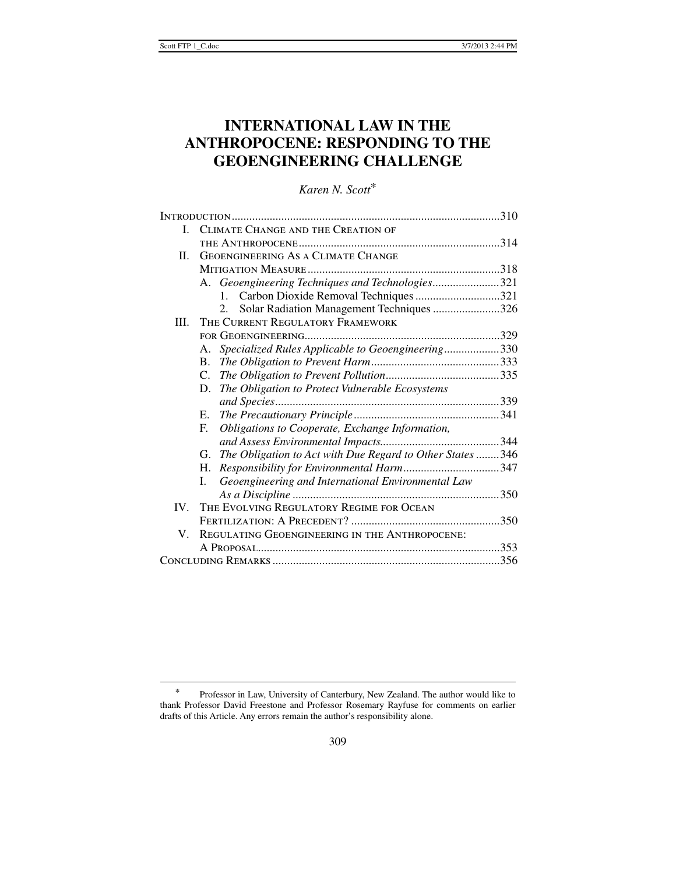# **INTERNATIONAL LAW IN THE ANTHROPOCENE: RESPONDING TO THE GEOENGINEERING CHALLENGE**

# *Karen N. Scott*\*

| I.       | CLIMATE CHANGE AND THE CREATION OF                              |  |
|----------|-----------------------------------------------------------------|--|
|          |                                                                 |  |
| H.       | <b>GEOENGINEERING AS A CLIMATE CHANGE</b>                       |  |
|          |                                                                 |  |
|          | A. Geoengineering Techniques and Technologies321                |  |
|          | 1. Carbon Dioxide Removal Techniques 321                        |  |
|          | Solar Radiation Management Techniques 326<br>$2^{2}$            |  |
| III.     | THE CURRENT REGULATORY FRAMEWORK                                |  |
|          |                                                                 |  |
|          | Specialized Rules Applicable to Geoengineering330<br>A.         |  |
|          | $\mathbf{B}$ .                                                  |  |
|          | C.                                                              |  |
|          | The Obligation to Protect Vulnerable Ecosystems<br>D.           |  |
|          |                                                                 |  |
|          | Е.                                                              |  |
|          | E.<br>Obligations to Cooperate, Exchange Information,           |  |
|          |                                                                 |  |
|          | The Obligation to Act with Due Regard to Other States 346<br>G. |  |
|          | Н.                                                              |  |
|          | Geoengineering and International Environmental Law<br>L         |  |
|          |                                                                 |  |
| $IV_{-}$ | THE EVOLVING REGULATORY REGIME FOR OCEAN                        |  |
|          |                                                                 |  |
| V.       | REGULATING GEOENGINEERING IN THE ANTHROPOCENE:                  |  |
|          |                                                                 |  |
|          |                                                                 |  |

 <sup>\*</sup> Professor in Law, University of Canterbury, New Zealand. The author would like to thank Professor David Freestone and Professor Rosemary Rayfuse for comments on earlier drafts of this Article. Any errors remain the author's responsibility alone.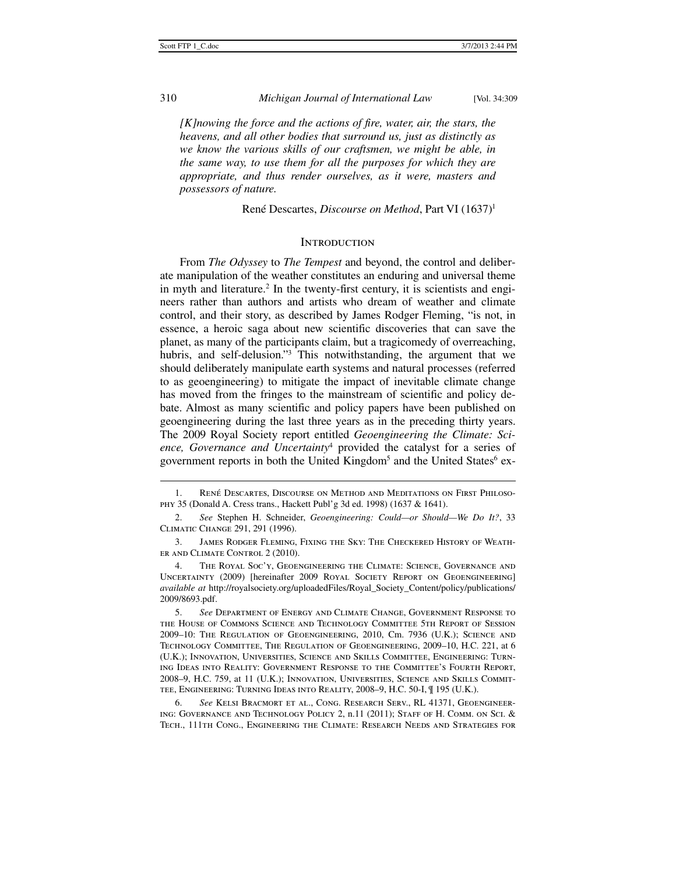*[K]nowing the force and the actions of fire, water, air, the stars, the heavens, and all other bodies that surround us, just as distinctly as we know the various skills of our craftsmen, we might be able, in the same way, to use them for all the purposes for which they are appropriate, and thus render ourselves, as it were, masters and possessors of nature.* 

René Descartes, *Discourse on Method*, Part VI (1637)1

# **INTRODUCTION**

From *The Odyssey* to *The Tempest* and beyond, the control and deliberate manipulation of the weather constitutes an enduring and universal theme in myth and literature.<sup>2</sup> In the twenty-first century, it is scientists and engineers rather than authors and artists who dream of weather and climate control, and their story, as described by James Rodger Fleming, "is not, in essence, a heroic saga about new scientific discoveries that can save the planet, as many of the participants claim, but a tragicomedy of overreaching, hubris, and self-delusion."<sup>3</sup> This notwithstanding, the argument that we should deliberately manipulate earth systems and natural processes (referred to as geoengineering) to mitigate the impact of inevitable climate change has moved from the fringes to the mainstream of scientific and policy debate. Almost as many scientific and policy papers have been published on geoengineering during the last three years as in the preceding thirty years. The 2009 Royal Society report entitled *Geoengineering the Climate: Science, Governance and Uncertainty*<sup>4</sup> provided the catalyst for a series of government reports in both the United Kingdom<sup>5</sup> and the United States<sup>6</sup> ex-

 <sup>1.</sup> René Descartes, Discourse on Method and Meditations on First Philosophy 35 (Donald A. Cress trans., Hackett Publ'g 3d ed. 1998) (1637 & 1641).

 <sup>2.</sup> *See* Stephen H. Schneider, *Geoengineering: Could—or Should—We Do It?*, 33 Climatic Change 291, 291 (1996).

 <sup>3.</sup> James Rodger Fleming, Fixing the Sky: The Checkered History of Weather and Climate Control 2 (2010).

 <sup>4.</sup> The Royal Soc'y, Geoengineering the Climate: Science, Governance and Uncertainty (2009) [hereinafter 2009 Royal Society Report on Geoengineering] *available at* http://royalsociety.org/uploadedFiles/Royal\_Society\_Content/policy/publications/ 2009/8693.pdf.

 <sup>5.</sup> *See* Department of Energy and Climate Change, Government Response to the House of Commons Science and Technology Committee 5th Report of Session 2009–10: The Regulation of Geoengineering, 2010, Cm. 7936 (U.K.); Science and Technology Committee, The Regulation of Geoengineering, 2009–10, H.C. 221, at 6 (U.K.); Innovation, Universities, Science and Skills Committee, Engineering: Turning Ideas into Reality: Government Response to the Committee's Fourth Report, 2008–9, H.C. 759, at 11 (U.K.); Innovation, Universities, Science and Skills Committee, Engineering: Turning Ideas into Reality, 2008–9, H.C. 50-I, ¶ 195 (U.K.).

 <sup>6.</sup> *See* Kelsi Bracmort et al., Cong. Research Serv., RL 41371, Geoengineering: Governance and Technology Policy 2, n.11 (2011); Staff of H. Comm. on Sci. & Tech., 111th Cong., Engineering the Climate: Research Needs and Strategies for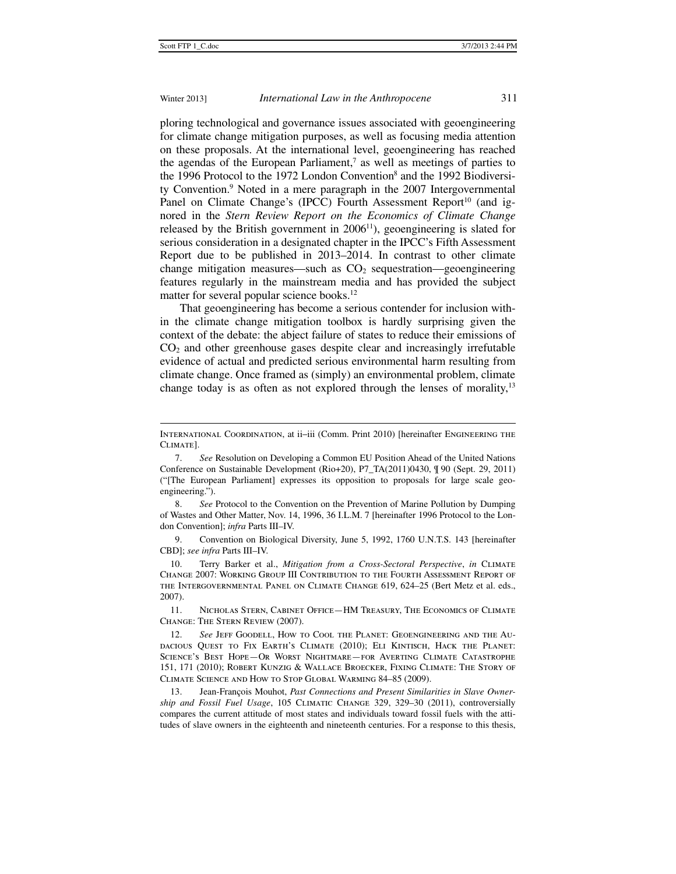j

### Winter 2013] *International Law in the Anthropocene* 311

ploring technological and governance issues associated with geoengineering for climate change mitigation purposes, as well as focusing media attention on these proposals. At the international level, geoengineering has reached the agendas of the European Parliament,<sup>7</sup> as well as meetings of parties to the 1996 Protocol to the 1972 London Convention<sup>8</sup> and the 1992 Biodiversity Convention.9 Noted in a mere paragraph in the 2007 Intergovernmental Panel on Climate Change's (IPCC) Fourth Assessment Report<sup>10</sup> (and ignored in the *Stern Review Report on the Economics of Climate Change* released by the British government in  $2006<sup>11</sup>$ ), geoengineering is slated for serious consideration in a designated chapter in the IPCC's Fifth Assessment Report due to be published in 2013–2014. In contrast to other climate change mitigation measures—such as  $CO<sub>2</sub>$  sequestration—geoengineering features regularly in the mainstream media and has provided the subject matter for several popular science books.<sup>12</sup>

That geoengineering has become a serious contender for inclusion within the climate change mitigation toolbox is hardly surprising given the context of the debate: the abject failure of states to reduce their emissions of  $CO<sub>2</sub>$  and other greenhouse gases despite clear and increasingly irrefutable evidence of actual and predicted serious environmental harm resulting from climate change. Once framed as (simply) an environmental problem, climate change today is as often as not explored through the lenses of morality,<sup>13</sup>

 9. Convention on Biological Diversity, June 5, 1992, 1760 U.N.T.S. 143 [hereinafter CBD]; *see infra* Parts III–IV.

 10. Terry Barker et al., *Mitigation from a Cross-Sectoral Perspective*, *in* Climate Change 2007: Working Group III Contribution to the Fourth Assessment Report of the Intergovernmental Panel on Climate Change 619, 624–25 (Bert Metz et al. eds., 2007).

 11. Nicholas Stern, Cabinet Office—HM Treasury, The Economics of Climate Change: The Stern Review (2007).

International Coordination, at ii–iii (Comm. Print 2010) [hereinafter Engineering the Climate].

 <sup>7.</sup> *See* Resolution on Developing a Common EU Position Ahead of the United Nations Conference on Sustainable Development (Rio+20), P7\_TA(2011)0430, ¶ 90 (Sept. 29, 2011) ("[The European Parliament] expresses its opposition to proposals for large scale geoengineering.").

 <sup>8.</sup> *See* Protocol to the Convention on the Prevention of Marine Pollution by Dumping of Wastes and Other Matter, Nov. 14, 1996, 36 I.L.M. 7 [hereinafter 1996 Protocol to the London Convention]; *infra* Parts III–IV.

 <sup>12.</sup> *See* Jeff Goodell, How to Cool the Planet: Geoengineering and the Audacious Quest to Fix Earth's Climate (2010); Eli Kintisch, Hack the Planet: Science's Best Hope—Or Worst Nightmare—for Averting Climate Catastrophe 151, 171 (2010); Robert Kunzig & Wallace Broecker, Fixing Climate: The Story of Climate Science and How to Stop Global Warming 84–85 (2009).

 <sup>13.</sup> Jean-François Mouhot, *Past Connections and Present Similarities in Slave Ownership and Fossil Fuel Usage*, 105 Climatic Change 329, 329–30 (2011), controversially compares the current attitude of most states and individuals toward fossil fuels with the attitudes of slave owners in the eighteenth and nineteenth centuries. For a response to this thesis,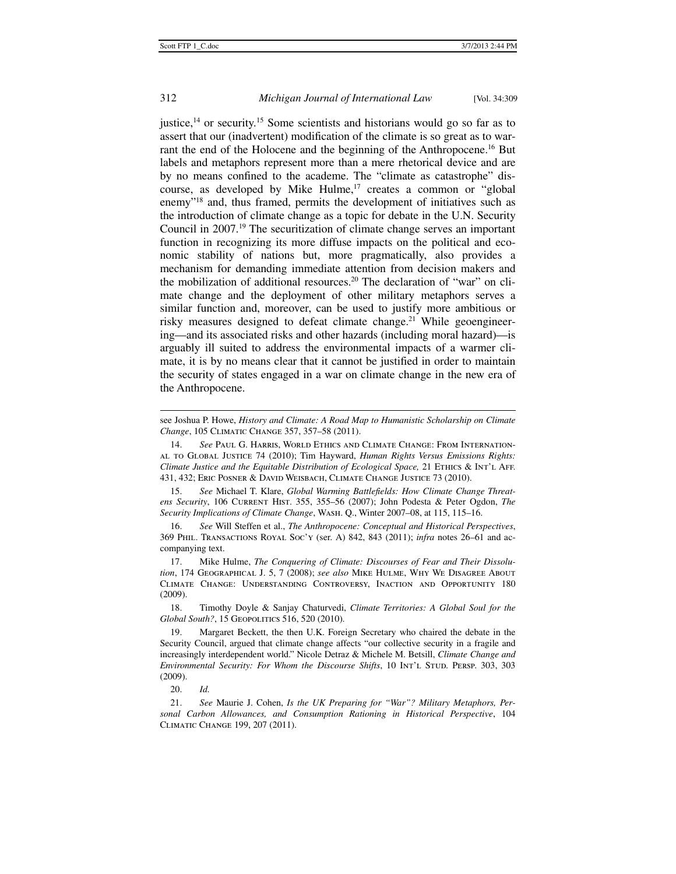justice, $14$  or security.<sup>15</sup> Some scientists and historians would go so far as to assert that our (inadvertent) modification of the climate is so great as to warrant the end of the Holocene and the beginning of the Anthropocene.<sup>16</sup> But labels and metaphors represent more than a mere rhetorical device and are by no means confined to the academe. The "climate as catastrophe" discourse, as developed by Mike Hulme, $17$  creates a common or "global" enemy"18 and, thus framed, permits the development of initiatives such as the introduction of climate change as a topic for debate in the U.N. Security Council in 2007.19 The securitization of climate change serves an important function in recognizing its more diffuse impacts on the political and economic stability of nations but, more pragmatically, also provides a mechanism for demanding immediate attention from decision makers and the mobilization of additional resources.20 The declaration of "war" on climate change and the deployment of other military metaphors serves a similar function and, moreover, can be used to justify more ambitious or risky measures designed to defeat climate change.<sup>21</sup> While geoengineering—and its associated risks and other hazards (including moral hazard)—is arguably ill suited to address the environmental impacts of a warmer climate, it is by no means clear that it cannot be justified in order to maintain the security of states engaged in a war on climate change in the new era of the Anthropocene.

 15. *See* Michael T. Klare, *Global Warming Battlefields: How Climate Change Threatens Security*, 106 Current Hist. 355, 355–56 (2007); John Podesta & Peter Ogdon, *The Security Implications of Climate Change*, Wash. Q., Winter 2007–08, at 115, 115–16.

 18. Timothy Doyle & Sanjay Chaturvedi, *Climate Territories: A Global Soul for the Global South?*, 15 GEOPOLITICS 516, 520 (2010).

20. *Id.*

j

see Joshua P. Howe, *History and Climate: A Road Map to Humanistic Scholarship on Climate Change*, 105 Climatic Change 357, 357–58 (2011).

 <sup>14.</sup> *See* Paul G. Harris, World Ethics and Climate Change: From International to Global Justice 74 (2010); Tim Hayward, *Human Rights Versus Emissions Rights: Climate Justice and the Equitable Distribution of Ecological Space,* 21 Ethics & Int'l Aff. 431, 432; Eric Posner & David Weisbach, Climate Change Justice 73 (2010).

 <sup>16.</sup> *See* Will Steffen et al., *The Anthropocene: Conceptual and Historical Perspectives*, 369 Phil. Transactions Royal Soc'y (ser. A) 842, 843 (2011); *infra* notes 26–61 and accompanying text.

 <sup>17.</sup> Mike Hulme, *The Conquering of Climate: Discourses of Fear and Their Dissolution*, 174 Geographical J. 5, 7 (2008); *see also* Mike Hulme, Why We Disagree About Climate Change: Understanding Controversy, Inaction and Opportunity 180 (2009).

 <sup>19.</sup> Margaret Beckett, the then U.K. Foreign Secretary who chaired the debate in the Security Council, argued that climate change affects "our collective security in a fragile and increasingly interdependent world." Nicole Detraz & Michele M. Betsill, *Climate Change and Environmental Security: For Whom the Discourse Shifts*, 10 Int'l Stud. PERSP. 303, 303 (2009).

 <sup>21.</sup> *See* Maurie J. Cohen, *Is the UK Preparing for "War"? Military Metaphors, Personal Carbon Allowances, and Consumption Rationing in Historical Perspective*, 104 Climatic Change 199, 207 (2011).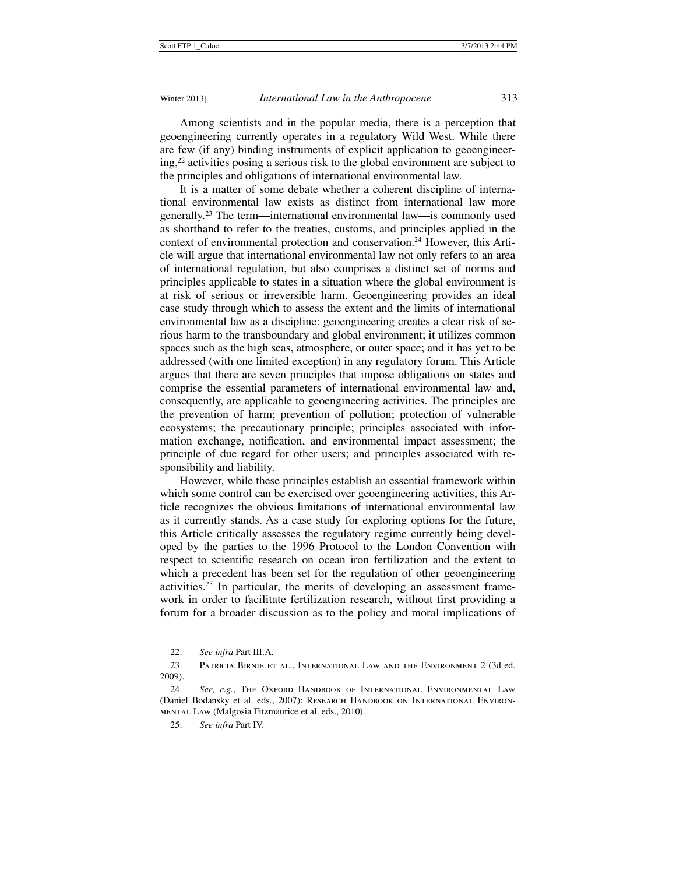Among scientists and in the popular media, there is a perception that geoengineering currently operates in a regulatory Wild West. While there are few (if any) binding instruments of explicit application to geoengineering,22 activities posing a serious risk to the global environment are subject to the principles and obligations of international environmental law.

It is a matter of some debate whether a coherent discipline of international environmental law exists as distinct from international law more generally.23 The term—international environmental law—is commonly used as shorthand to refer to the treaties, customs, and principles applied in the context of environmental protection and conservation.<sup>24</sup> However, this Article will argue that international environmental law not only refers to an area of international regulation, but also comprises a distinct set of norms and principles applicable to states in a situation where the global environment is at risk of serious or irreversible harm. Geoengineering provides an ideal case study through which to assess the extent and the limits of international environmental law as a discipline: geoengineering creates a clear risk of serious harm to the transboundary and global environment; it utilizes common spaces such as the high seas, atmosphere, or outer space; and it has yet to be addressed (with one limited exception) in any regulatory forum. This Article argues that there are seven principles that impose obligations on states and comprise the essential parameters of international environmental law and, consequently, are applicable to geoengineering activities. The principles are the prevention of harm; prevention of pollution; protection of vulnerable ecosystems; the precautionary principle; principles associated with information exchange, notification, and environmental impact assessment; the principle of due regard for other users; and principles associated with responsibility and liability.

However, while these principles establish an essential framework within which some control can be exercised over geoengineering activities, this Article recognizes the obvious limitations of international environmental law as it currently stands. As a case study for exploring options for the future, this Article critically assesses the regulatory regime currently being developed by the parties to the 1996 Protocol to the London Convention with respect to scientific research on ocean iron fertilization and the extent to which a precedent has been set for the regulation of other geoengineering activities.25 In particular, the merits of developing an assessment framework in order to facilitate fertilization research, without first providing a forum for a broader discussion as to the policy and moral implications of

 <sup>22.</sup> *See infra* Part III.A.

 <sup>23.</sup> Patricia Birnie et al., International Law and the Environment 2 (3d ed. 2009).

 <sup>24.</sup> *See, e.g.*, The Oxford Handbook of International Environmental Law (Daniel Bodansky et al. eds., 2007); Research Handbook on International Environmental Law (Malgosia Fitzmaurice et al. eds., 2010).

 <sup>25.</sup> *See infra* Part IV.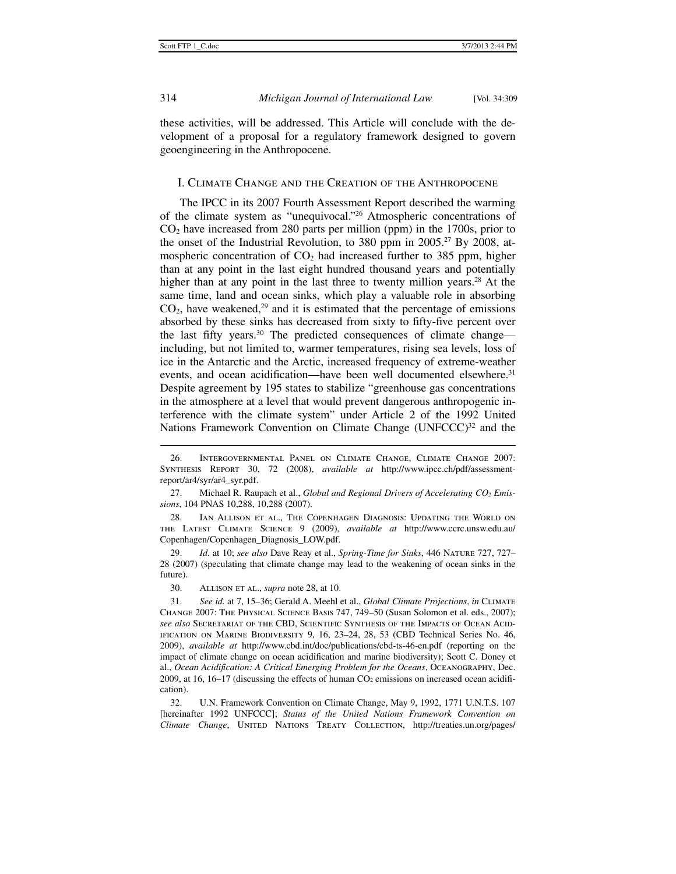314 *Michigan Journal of International Law* [Vol. 34:309

these activities, will be addressed. This Article will conclude with the development of a proposal for a regulatory framework designed to govern geoengineering in the Anthropocene.

### I. Climate Change and the Creation of the Anthropocene

The IPCC in its 2007 Fourth Assessment Report described the warming of the climate system as "unequivocal."26 Atmospheric concentrations of  $CO<sub>2</sub>$  have increased from 280 parts per million (ppm) in the 1700s, prior to the onset of the Industrial Revolution, to 380 ppm in 2005.<sup>27</sup> By 2008, atmospheric concentration of  $CO<sub>2</sub>$  had increased further to 385 ppm, higher than at any point in the last eight hundred thousand years and potentially higher than at any point in the last three to twenty million years.<sup>28</sup> At the same time, land and ocean sinks, which play a valuable role in absorbing  $CO<sub>2</sub>$ , have weakened,<sup>29</sup> and it is estimated that the percentage of emissions absorbed by these sinks has decreased from sixty to fifty-five percent over the last fifty years.30 The predicted consequences of climate change including, but not limited to, warmer temperatures, rising sea levels, loss of ice in the Antarctic and the Arctic, increased frequency of extreme-weather events, and ocean acidification—have been well documented elsewhere.<sup>31</sup> Despite agreement by 195 states to stabilize "greenhouse gas concentrations in the atmosphere at a level that would prevent dangerous anthropogenic interference with the climate system" under Article 2 of the 1992 United Nations Framework Convention on Climate Change  $(UNFCCC)^{32}$  and the

27. Michael R. Raupach et al., *Global and Regional Drivers of Accelerating CO<sub>2</sub> Emissions*, 104 PNAS 10,288, 10,288 (2007).

 28. Ian Allison et al., The Copenhagen Diagnosis: Updating the World on the Latest Climate Science 9 (2009), *available at* http://www.ccrc.unsw.edu.au/ Copenhagen/Copenhagen\_Diagnosis\_LOW.pdf.

 29. *Id.* at 10; *see also* Dave Reay et al., *Spring-Time for Sinks*, 446 Nature 727, 727– 28 (2007) (speculating that climate change may lead to the weakening of ocean sinks in the future).

30. Allison et al., *supra* note 28, at 10.

 31. *See id.* at 7, 15–36; Gerald A. Meehl et al., *Global Climate Projections*, *in* Climate Change 2007: The Physical Science Basis 747, 749–50 (Susan Solomon et al. eds., 2007); *see also* Secretariat of the CBD, Scientific Synthesis of the Impacts of Ocean Acidification on Marine Biodiversity 9, 16, 23–24, 28, 53 (CBD Technical Series No. 46, 2009), *available at* http://www.cbd.int/doc/publications/cbd-ts-46-en.pdf (reporting on the impact of climate change on ocean acidification and marine biodiversity); Scott C. Doney et al., *Ocean Acidification: A Critical Emerging Problem for the Oceans*, Oceanography, Dec. 2009, at 16, 16–17 (discussing the effects of human  $CO<sub>2</sub>$  emissions on increased ocean acidification).

 32. U.N. Framework Convention on Climate Change, May 9, 1992, 1771 U.N.T.S. 107 [hereinafter 1992 UNFCCC]; *Status of the United Nations Framework Convention on Climate Change*, UNITED NATIONS TREATY COLLECTION, http://treaties.un.org/pages/

 <sup>26.</sup> Intergovernmental Panel on Climate Change, Climate Change 2007: Synthesis Report 30, 72 (2008), *available at* http://www.ipcc.ch/pdf/assessmentreport/ar4/syr/ar4\_syr.pdf.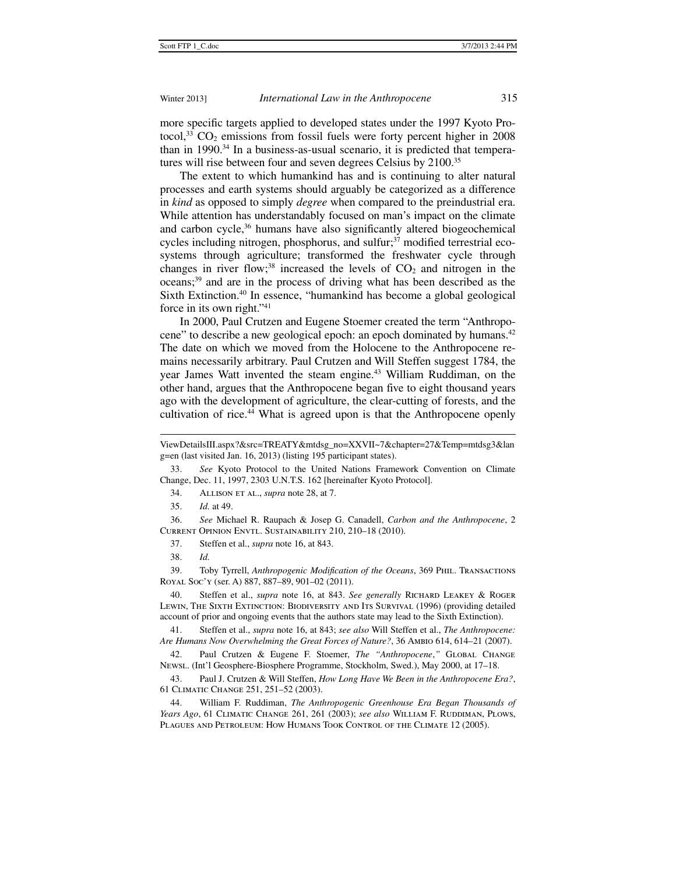more specific targets applied to developed states under the 1997 Kyoto Protocol,<sup>33</sup>  $CO<sub>2</sub>$  emissions from fossil fuels were forty percent higher in 2008 than in 1990.<sup>34</sup> In a business-as-usual scenario, it is predicted that temperatures will rise between four and seven degrees Celsius by 2100.35

The extent to which humankind has and is continuing to alter natural processes and earth systems should arguably be categorized as a difference in *kind* as opposed to simply *degree* when compared to the preindustrial era. While attention has understandably focused on man's impact on the climate and carbon cycle,<sup>36</sup> humans have also significantly altered biogeochemical cycles including nitrogen, phosphorus, and sulfur;<sup>37</sup> modified terrestrial ecosystems through agriculture; transformed the freshwater cycle through changes in river flow;<sup>38</sup> increased the levels of  $CO<sub>2</sub>$  and nitrogen in the oceans;39 and are in the process of driving what has been described as the Sixth Extinction.40 In essence, "humankind has become a global geological force in its own right."41

In 2000, Paul Crutzen and Eugene Stoemer created the term "Anthropocene" to describe a new geological epoch: an epoch dominated by humans.42 The date on which we moved from the Holocene to the Anthropocene remains necessarily arbitrary. Paul Crutzen and Will Steffen suggest 1784, the year James Watt invented the steam engine.<sup>43</sup> William Ruddiman, on the other hand, argues that the Anthropocene began five to eight thousand years ago with the development of agriculture, the clear-cutting of forests, and the cultivation of rice.<sup>44</sup> What is agreed upon is that the Anthropocene openly

34. Allison et al., *supra* note 28, at 7.

 36. *See* Michael R. Raupach & Josep G. Canadell, *Carbon and the Anthropocene*, 2 Current Opinion Envtl. Sustainability 210, 210–18 (2010).

37. Steffen et al., *supra* note 16, at 843.

 $\ddot{ }$ 

 39. Toby Tyrrell, *Anthropogenic Modification of the Oceans*, 369 Phil. Transactions Royal Soc'y (ser. A) 887, 887–89, 901–02 (2011).

 40. Steffen et al., *supra* note 16, at 843. *See generally* Richard Leakey & Roger Lewin, The Sixth Extinction: Biodiversity and Its Survival (1996) (providing detailed account of prior and ongoing events that the authors state may lead to the Sixth Extinction).

 41. Steffen et al., *supra* note 16, at 843; *see also* Will Steffen et al., *The Anthropocene: Are Humans Now Overwhelming the Great Forces of Nature?*, 36 Ambio 614, 614–21 (2007).

 42. Paul Crutzen & Eugene F. Stoemer, *The "Anthropocene*,*"* Global Change Newsl. (Int'l Geosphere-Biosphere Programme, Stockholm, Swed.), May 2000, at 17–18.

 43. Paul J. Crutzen & Will Steffen, *How Long Have We Been in the Anthropocene Era?*, 61 Climatic Change 251, 251–52 (2003).

 44. William F. Ruddiman, *The Anthropogenic Greenhouse Era Began Thousands of Years Ago*, 61 CLIMATIC CHANGE 261, 261 (2003); *see also* WILLIAM F. RUDDIMAN, PLOWS, Plagues and Petroleum: How Humans Took Control of the Climate 12 (2005).

ViewDetailsIII.aspx?&src=TREATY&mtdsg\_no=XXVII~7&chapter=27&Temp=mtdsg3&lan g=en (last visited Jan. 16, 2013) (listing 195 participant states).

 <sup>33.</sup> *See* Kyoto Protocol to the United Nations Framework Convention on Climate Change, Dec. 11, 1997, 2303 U.N.T.S. 162 [hereinafter Kyoto Protocol].

 <sup>35.</sup> *Id.* at 49.

 <sup>38.</sup> *Id.*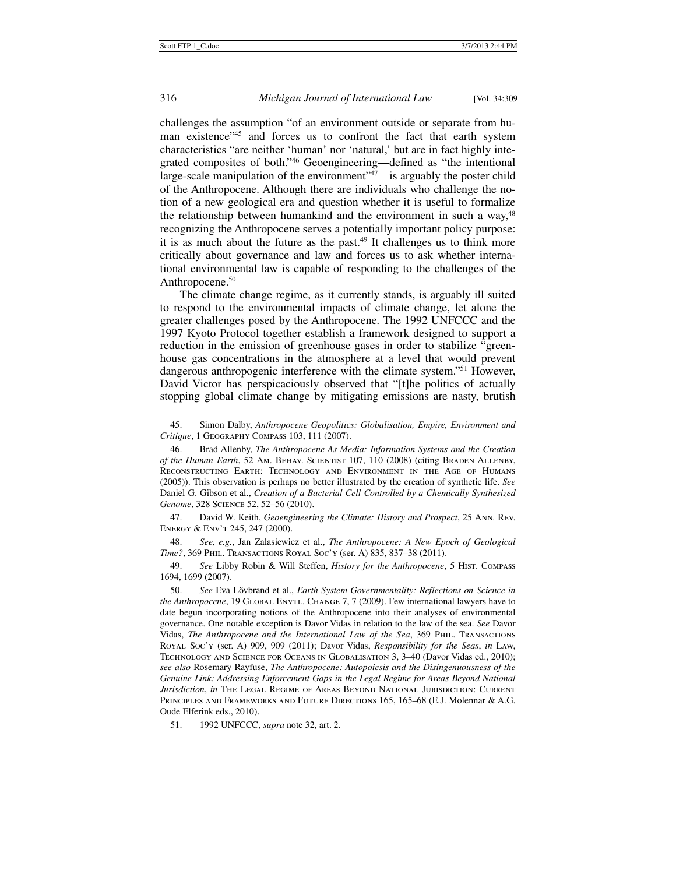# 316 *Michigan Journal of International Law* [Vol. 34:309

challenges the assumption "of an environment outside or separate from human existence"<sup>45</sup> and forces us to confront the fact that earth system characteristics "are neither 'human' nor 'natural,' but are in fact highly integrated composites of both."46 Geoengineering—defined as "the intentional large-scale manipulation of the environment"<sup>47</sup>—is arguably the poster child of the Anthropocene. Although there are individuals who challenge the notion of a new geological era and question whether it is useful to formalize the relationship between humankind and the environment in such a way,48 recognizing the Anthropocene serves a potentially important policy purpose: it is as much about the future as the past. $49$  It challenges us to think more critically about governance and law and forces us to ask whether international environmental law is capable of responding to the challenges of the Anthropocene.<sup>50</sup>

The climate change regime, as it currently stands, is arguably ill suited to respond to the environmental impacts of climate change, let alone the greater challenges posed by the Anthropocene. The 1992 UNFCCC and the 1997 Kyoto Protocol together establish a framework designed to support a reduction in the emission of greenhouse gases in order to stabilize "greenhouse gas concentrations in the atmosphere at a level that would prevent dangerous anthropogenic interference with the climate system."51 However, David Victor has perspicaciously observed that "[t]he politics of actually stopping global climate change by mitigating emissions are nasty, brutish

 47. David W. Keith, *Geoengineering the Climate: History and Prospect*, 25 Ann. Rev. Energy & Env't 245, 247 (2000).

 48. *See, e.g.*, Jan Zalasiewicz et al., *The Anthropocene: A New Epoch of Geological Time?*, 369 Phil. Transactions Royal Soc'y (ser. A) 835, 837–38 (2011).

 49. *See* Libby Robin & Will Steffen, *History for the Anthropocene*, 5 Hist. Compass 1694, 1699 (2007).

 50. *See* Eva Lövbrand et al., *Earth System Governmentality: Reflections on Science in the Anthropocene*, 19 GLOBAL ENVTL. CHANGE 7, 7 (2009). Few international lawyers have to date begun incorporating notions of the Anthropocene into their analyses of environmental governance. One notable exception is Davor Vidas in relation to the law of the sea. *See* Davor Vidas, *The Anthropocene and the International Law of the Sea*, 369 Phil. Transactions Royal Soc'y (ser. A) 909, 909 (2011); Davor Vidas, *Responsibility for the Seas*, *in* Law, Technology and Science for Oceans in Globalisation 3, 3–40 (Davor Vidas ed., 2010); *see also* Rosemary Rayfuse, *The Anthropocene: Autopoiesis and the Disingenuousness of the Genuine Link: Addressing Enforcement Gaps in the Legal Regime for Areas Beyond National Jurisdiction*, *in* The Legal Regime of Areas Beyond National Jurisdiction: Current Principles and Frameworks and Future Directions 165, 165–68 (E.J. Molennar & A.G. Oude Elferink eds., 2010).

51. 1992 UNFCCC, *supra* note 32, art. 2.

 <sup>45.</sup> Simon Dalby, *Anthropocene Geopolitics: Globalisation, Empire, Environment and Critique*, 1 Geography Compass 103, 111 (2007).

 <sup>46.</sup> Brad Allenby, *The Anthropocene As Media: Information Systems and the Creation of the Human Earth*, 52 Am. Behav. Scientist 107, 110 (2008) (citing Braden Allenby, Reconstructing Earth: Technology and Environment in the Age of Humans (2005)). This observation is perhaps no better illustrated by the creation of synthetic life. *See* Daniel G. Gibson et al., *Creation of a Bacterial Cell Controlled by a Chemically Synthesized Genome*, 328 Science 52, 52–56 (2010).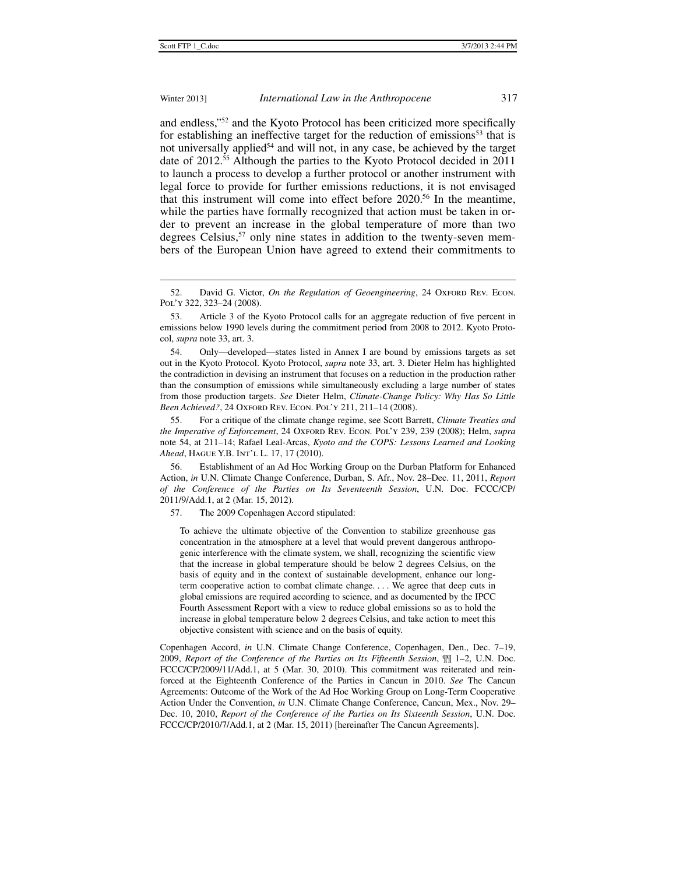### Winter 2013] *International Law in the Anthropocene* 317

and endless,"52 and the Kyoto Protocol has been criticized more specifically for establishing an ineffective target for the reduction of emissions<sup>53</sup> that is not universally applied<sup>54</sup> and will not, in any case, be achieved by the target date of 2012.<sup>55</sup> Although the parties to the Kyoto Protocol decided in 2011 to launch a process to develop a further protocol or another instrument with legal force to provide for further emissions reductions, it is not envisaged that this instrument will come into effect before 2020.56 In the meantime, while the parties have formally recognized that action must be taken in order to prevent an increase in the global temperature of more than two degrees Celsius,<sup>57</sup> only nine states in addition to the twenty-seven members of the European Union have agreed to extend their commitments to

 55. For a critique of the climate change regime, see Scott Barrett, *Climate Treaties and the Imperative of Enforcement*, 24 Oxford Rev. Econ. Pol'y 239, 239 (2008); Helm, *supra* note 54, at 211–14; Rafael Leal-Arcas, *Kyoto and the COPS: Lessons Learned and Looking Ahead*, Hague Y.B. Int'l L. 17, 17 (2010).

 56. Establishment of an Ad Hoc Working Group on the Durban Platform for Enhanced Action, *in* U.N. Climate Change Conference, Durban, S. Afr., Nov. 28–Dec. 11, 2011, *Report of the Conference of the Parties on Its Seventeenth Session*, U.N. Doc. FCCC/CP/ 2011/9/Add.1, at 2 (Mar. 15, 2012).

57. The 2009 Copenhagen Accord stipulated:

To achieve the ultimate objective of the Convention to stabilize greenhouse gas concentration in the atmosphere at a level that would prevent dangerous anthropogenic interference with the climate system, we shall, recognizing the scientific view that the increase in global temperature should be below 2 degrees Celsius, on the basis of equity and in the context of sustainable development, enhance our longterm cooperative action to combat climate change. . . . We agree that deep cuts in global emissions are required according to science, and as documented by the IPCC Fourth Assessment Report with a view to reduce global emissions so as to hold the increase in global temperature below 2 degrees Celsius, and take action to meet this objective consistent with science and on the basis of equity.

Copenhagen Accord, *in* U.N. Climate Change Conference, Copenhagen, Den., Dec. 7–19, 2009, *Report of the Conference of the Parties on Its Fifteenth Session*, ¶¶ 1–2, U.N. Doc. FCCC/CP/2009/11/Add.1, at 5 (Mar. 30, 2010). This commitment was reiterated and reinforced at the Eighteenth Conference of the Parties in Cancun in 2010. *See* The Cancun Agreements: Outcome of the Work of the Ad Hoc Working Group on Long-Term Cooperative Action Under the Convention, *in* U.N. Climate Change Conference, Cancun, Mex., Nov. 29– Dec. 10, 2010, *Report of the Conference of the Parties on Its Sixteenth Session*, U.N. Doc. FCCC/CP/2010/7/Add.1, at 2 (Mar. 15, 2011) [hereinafter The Cancun Agreements].

<sup>52.</sup> David G. Victor, *On the Regulation of Geoengineering*, 24 OxFORD REV. ECON. Pol'y 322, 323–24 (2008).

 <sup>53.</sup> Article 3 of the Kyoto Protocol calls for an aggregate reduction of five percent in emissions below 1990 levels during the commitment period from 2008 to 2012. Kyoto Protocol, *supra* note 33, art. 3.

 <sup>54.</sup> Only—developed—states listed in Annex I are bound by emissions targets as set out in the Kyoto Protocol. Kyoto Protocol, *supra* note 33, art. 3. Dieter Helm has highlighted the contradiction in devising an instrument that focuses on a reduction in the production rather than the consumption of emissions while simultaneously excluding a large number of states from those production targets. *See* Dieter Helm, *Climate-Change Policy: Why Has So Little Been Achieved?*, 24 Oxford Rev. Econ. Pol'y 211, 211–14 (2008).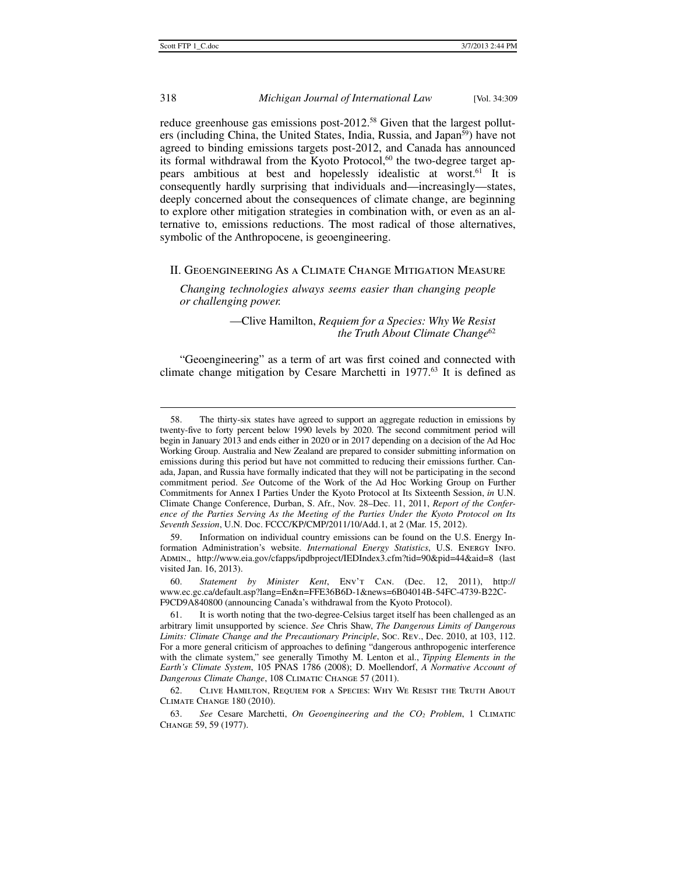# 318 *Michigan Journal of International Law* [Vol. 34:309

reduce greenhouse gas emissions post-2012.<sup>58</sup> Given that the largest polluters (including China, the United States, India, Russia, and Japan<sup>59</sup>) have not agreed to binding emissions targets post-2012, and Canada has announced its formal withdrawal from the Kyoto Protocol, $60$  the two-degree target appears ambitious at best and hopelessly idealistic at worst.<sup>61</sup> It is consequently hardly surprising that individuals and—increasingly—states, deeply concerned about the consequences of climate change, are beginning to explore other mitigation strategies in combination with, or even as an alternative to, emissions reductions. The most radical of those alternatives, symbolic of the Anthropocene, is geoengineering.

## II. Geoengineering As a Climate Change Mitigation Measure

*Changing technologies always seems easier than changing people or challenging power.* 

> —Clive Hamilton, *Requiem for a Species: Why We Resist the Truth About Climate Change*<sup>62</sup>

"Geoengineering" as a term of art was first coined and connected with climate change mitigation by Cesare Marchetti in  $1977<sup>63</sup>$  It is defined as

 <sup>58.</sup> The thirty-six states have agreed to support an aggregate reduction in emissions by twenty-five to forty percent below 1990 levels by 2020. The second commitment period will begin in January 2013 and ends either in 2020 or in 2017 depending on a decision of the Ad Hoc Working Group. Australia and New Zealand are prepared to consider submitting information on emissions during this period but have not committed to reducing their emissions further. Canada, Japan, and Russia have formally indicated that they will not be participating in the second commitment period. *See* Outcome of the Work of the Ad Hoc Working Group on Further Commitments for Annex I Parties Under the Kyoto Protocol at Its Sixteenth Session, *in* U.N. Climate Change Conference, Durban, S. Afr., Nov. 28–Dec. 11, 2011, *Report of the Conference of the Parties Serving As the Meeting of the Parties Under the Kyoto Protocol on Its Seventh Session*, U.N. Doc. FCCC/KP/CMP/2011/10/Add.1, at 2 (Mar. 15, 2012).

 <sup>59.</sup> Information on individual country emissions can be found on the U.S. Energy Information Administration's website. *International Energy Statistics*, U.S. Energy Info. Admin., http://www.eia.gov/cfapps/ipdbproject/IEDIndex3.cfm?tid=90&pid=44&aid=8 (last visited Jan. 16, 2013).

 <sup>60.</sup> *Statement by Minister Kent*, Env't Can. (Dec. 12, 2011), http:// www.ec.gc.ca/default.asp?lang=En&n=FFE36B6D-1&news=6B04014B-54FC-4739-B22C-F9CD9A840800 (announcing Canada's withdrawal from the Kyoto Protocol).

 <sup>61.</sup> It is worth noting that the two-degree-Celsius target itself has been challenged as an arbitrary limit unsupported by science. *See* Chris Shaw, *The Dangerous Limits of Dangerous Limits: Climate Change and the Precautionary Principle*, Soc. Rev., Dec. 2010, at 103, 112. For a more general criticism of approaches to defining "dangerous anthropogenic interference with the climate system," see generally Timothy M. Lenton et al., *Tipping Elements in the Earth's Climate System*, 105 PNAS 1786 (2008); D. Moellendorf, *A Normative Account of Dangerous Climate Change*, 108 Climatic Change 57 (2011).

 <sup>62.</sup> Clive Hamilton, Requiem for a Species: Why We Resist the Truth About Climate Change 180 (2010).

 <sup>63.</sup> *See* Cesare Marchetti, *On Geoengineering and the CO2 Problem*, 1 Climatic Change 59, 59 (1977).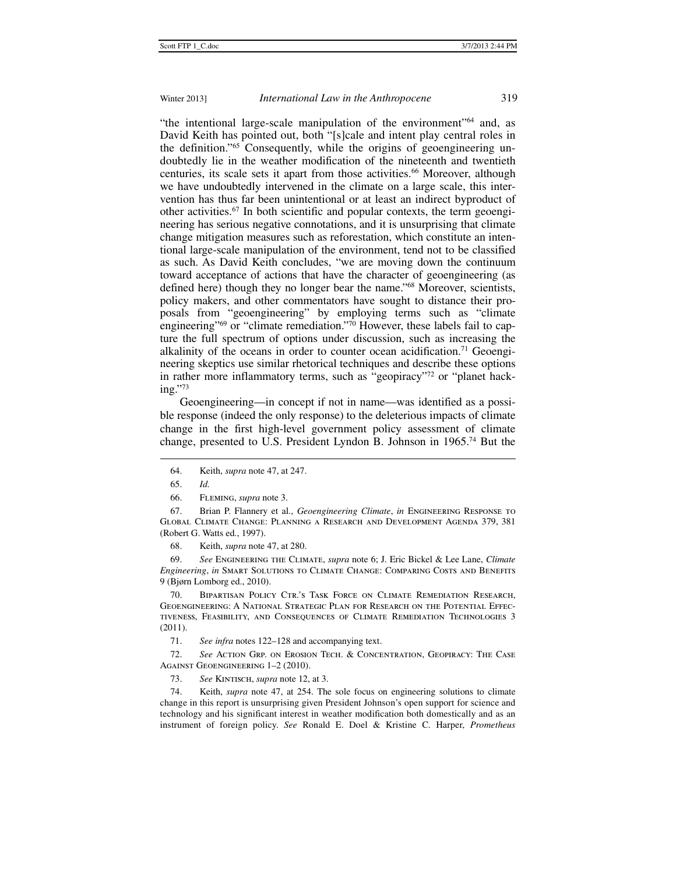"the intentional large-scale manipulation of the environment"64 and, as David Keith has pointed out, both "[s]cale and intent play central roles in the definition."65 Consequently, while the origins of geoengineering undoubtedly lie in the weather modification of the nineteenth and twentieth centuries, its scale sets it apart from those activities.<sup>66</sup> Moreover, although we have undoubtedly intervened in the climate on a large scale, this intervention has thus far been unintentional or at least an indirect byproduct of other activities.67 In both scientific and popular contexts, the term geoengineering has serious negative connotations, and it is unsurprising that climate change mitigation measures such as reforestation, which constitute an intentional large-scale manipulation of the environment, tend not to be classified as such. As David Keith concludes, "we are moving down the continuum toward acceptance of actions that have the character of geoengineering (as defined here) though they no longer bear the name."68 Moreover, scientists, policy makers, and other commentators have sought to distance their proposals from "geoengineering" by employing terms such as "climate engineering"<sup>69</sup> or "climate remediation."<sup>70</sup> However, these labels fail to capture the full spectrum of options under discussion, such as increasing the alkalinity of the oceans in order to counter ocean acidification.<sup>71</sup> Geoengineering skeptics use similar rhetorical techniques and describe these options in rather more inflammatory terms, such as "geopiracy"<sup>72</sup> or "planet hacking."73

Geoengineering—in concept if not in name—was identified as a possible response (indeed the only response) to the deleterious impacts of climate change in the first high-level government policy assessment of climate change, presented to U.S. President Lyndon B. Johnson in 1965.74 But the

 $\ddot{ }$ 

 67. Brian P. Flannery et al., *Geoengineering Climate*, *in* Engineering Response to Global Climate Change: Planning a Research and Development Agenda 379, 381 (Robert G. Watts ed., 1997).

68. Keith, *supra* note 47, at 280.

 69. *See* Engineering the Climate, *supra* note 6; J. Eric Bickel & Lee Lane, *Climate Engineering*, *in* Smart Solutions to Climate Change: Comparing Costs and Benefits 9 (Bjørn Lomborg ed., 2010).

 70. Bipartisan Policy Ctr.'s Task Force on Climate Remediation Research, Geoengineering: A National Strategic Plan for Research on the Potential Effectiveness, Feasibility, and Consequences of Climate Remediation Technologies 3 (2011).

71. *See infra* notes 122–128 and accompanying text.

 72. *See* Action Grp. on Erosion Tech. & Concentration, Geopiracy: The Case Against Geoengineering 1–2 (2010).

73. *See* Kintisch, *supra* note 12, at 3.

 74. Keith, *supra* note 47, at 254. The sole focus on engineering solutions to climate change in this report is unsurprising given President Johnson's open support for science and technology and his significant interest in weather modification both domestically and as an instrument of foreign policy. *See* Ronald E. Doel & Kristine C. Harper, *Prometheus* 

 <sup>64.</sup> Keith, *supra* note 47, at 247.

 <sup>65.</sup> *Id.*

 <sup>66.</sup> Fleming, *supra* note 3.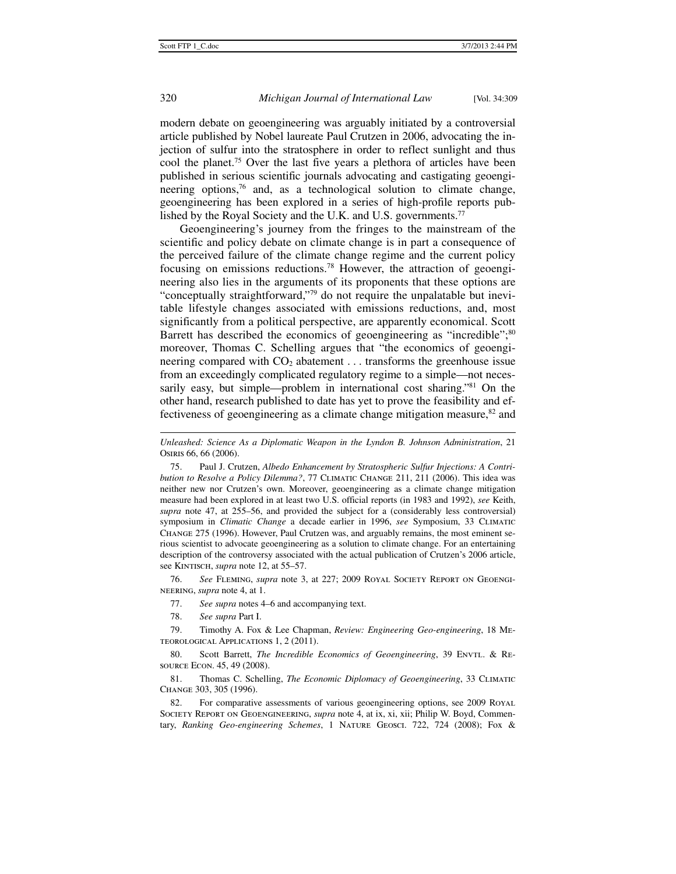modern debate on geoengineering was arguably initiated by a controversial article published by Nobel laureate Paul Crutzen in 2006, advocating the injection of sulfur into the stratosphere in order to reflect sunlight and thus cool the planet.75 Over the last five years a plethora of articles have been published in serious scientific journals advocating and castigating geoengineering options,<sup>76</sup> and, as a technological solution to climate change, geoengineering has been explored in a series of high-profile reports published by the Royal Society and the U.K. and U.S. governments.<sup>77</sup>

Geoengineering's journey from the fringes to the mainstream of the scientific and policy debate on climate change is in part a consequence of the perceived failure of the climate change regime and the current policy focusing on emissions reductions.78 However, the attraction of geoengineering also lies in the arguments of its proponents that these options are "conceptually straightforward,"79 do not require the unpalatable but inevitable lifestyle changes associated with emissions reductions, and, most significantly from a political perspective, are apparently economical. Scott Barrett has described the economics of geoengineering as "incredible";<sup>80</sup> moreover, Thomas C. Schelling argues that "the economics of geoengineering compared with  $CO<sub>2</sub>$  abatement ... transforms the greenhouse issue from an exceedingly complicated regulatory regime to a simple—not necessarily easy, but simple—problem in international cost sharing."<sup>81</sup> On the other hand, research published to date has yet to prove the feasibility and effectiveness of geoengineering as a climate change mitigation measure,<sup>82</sup> and

*Unleashed: Science As a Diplomatic Weapon in the Lyndon B. Johnson Administration*, 21 Osiris 66, 66 (2006).

 75. Paul J. Crutzen, *Albedo Enhancement by Stratospheric Sulfur Injections: A Contribution to Resolve a Policy Dilemma?*, 77 CLIMATIC CHANGE 211, 211 (2006). This idea was neither new nor Crutzen's own. Moreover, geoengineering as a climate change mitigation measure had been explored in at least two U.S. official reports (in 1983 and 1992), *see* Keith, *supra* note 47, at 255–56, and provided the subject for a (considerably less controversial) symposium in *Climatic Change* a decade earlier in 1996, *see* Symposium, 33 Climatic Change 275 (1996). However, Paul Crutzen was, and arguably remains, the most eminent serious scientist to advocate geoengineering as a solution to climate change. For an entertaining description of the controversy associated with the actual publication of Crutzen's 2006 article, see KINTISCH, *supra* note 12, at 55–57.

 76. *See* Fleming, *supra* note 3, at 227; 2009 Royal Society Report on Geoengineering, *supra* note 4, at 1.

- 77. *See supra* notes 4–6 and accompanying text.
- 78. *See supra* Part I.

 79. Timothy A. Fox & Lee Chapman, *Review: Engineering Geo-engineering*, 18 Meteorological Applications 1, 2 (2011).

 80. Scott Barrett, *The Incredible Economics of Geoengineering*, 39 Envtl. & Resource Econ. 45, 49 (2008).

81. Thomas C. Schelling, *The Economic Diplomacy of Geoengineering*, 33 CLIMATIC Change 303, 305 (1996).

82. For comparative assessments of various geoengineering options, see 2009 ROYAL Society Report on Geoengineering, *supra* note 4, at ix, xi, xii; Philip W. Boyd, Commentary, *Ranking Geo-engineering Schemes*, 1 Nature Geosci. 722, 724 (2008); Fox &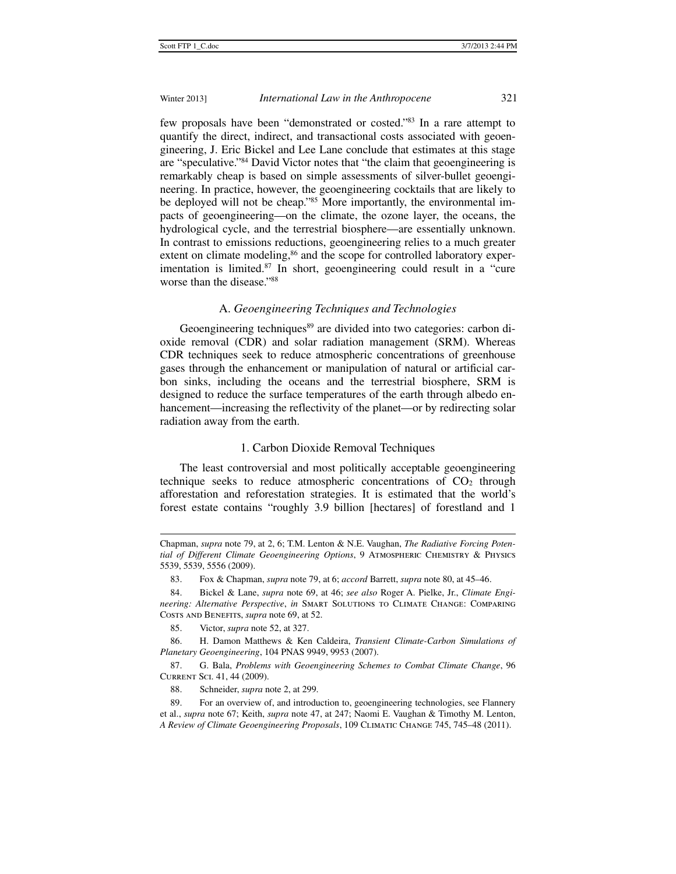few proposals have been "demonstrated or costed."83 In a rare attempt to quantify the direct, indirect, and transactional costs associated with geoengineering, J. Eric Bickel and Lee Lane conclude that estimates at this stage are "speculative."84 David Victor notes that "the claim that geoengineering is remarkably cheap is based on simple assessments of silver-bullet geoengineering. In practice, however, the geoengineering cocktails that are likely to be deployed will not be cheap."<sup>85</sup> More importantly, the environmental impacts of geoengineering—on the climate, the ozone layer, the oceans, the hydrological cycle, and the terrestrial biosphere—are essentially unknown. In contrast to emissions reductions, geoengineering relies to a much greater extent on climate modeling,<sup>86</sup> and the scope for controlled laboratory experimentation is limited.<sup>87</sup> In short, geoengineering could result in a "cure worse than the disease."88

# A. *Geoengineering Techniques and Technologies*

Geoengineering techniques<sup>89</sup> are divided into two categories: carbon dioxide removal (CDR) and solar radiation management (SRM). Whereas CDR techniques seek to reduce atmospheric concentrations of greenhouse gases through the enhancement or manipulation of natural or artificial carbon sinks, including the oceans and the terrestrial biosphere, SRM is designed to reduce the surface temperatures of the earth through albedo enhancement—increasing the reflectivity of the planet—or by redirecting solar radiation away from the earth.

### 1. Carbon Dioxide Removal Techniques

The least controversial and most politically acceptable geoengineering technique seeks to reduce atmospheric concentrations of  $CO<sub>2</sub>$  through afforestation and reforestation strategies. It is estimated that the world's forest estate contains "roughly 3.9 billion [hectares] of forestland and 1

Chapman, *supra* note 79, at 2, 6; T.M. Lenton & N.E. Vaughan, *The Radiative Forcing Potential of Different Climate Geoengineering Options*, 9 Atmospheric Chemistry & Physics 5539, 5539, 5556 (2009).

 <sup>83.</sup> Fox & Chapman, *supra* note 79, at 6; *accord* Barrett, *supra* note 80, at 45–46.

 <sup>84.</sup> Bickel & Lane, *supra* note 69, at 46; *see also* Roger A. Pielke, Jr., *Climate Engineering: Alternative Perspective*, *in* Smart Solutions to Climate Change: Comparing COSTS AND BENEFITS, *supra* note 69, at 52.

 <sup>85.</sup> Victor, *supra* note 52, at 327.

 <sup>86.</sup> H. Damon Matthews & Ken Caldeira, *Transient Climate-Carbon Simulations of Planetary Geoengineering*, 104 PNAS 9949, 9953 (2007).

 <sup>87.</sup> G. Bala, *Problems with Geoengineering Schemes to Combat Climate Change*, 96 Current Sci. 41, 44 (2009).

 <sup>88.</sup> Schneider, *supra* note 2, at 299.

 <sup>89.</sup> For an overview of, and introduction to, geoengineering technologies, see Flannery et al., *supra* note 67; Keith, *supra* note 47, at 247; Naomi E. Vaughan & Timothy M. Lenton, *A Review of Climate Geoengineering Proposals*, 109 Climatic Change 745, 745–48 (2011).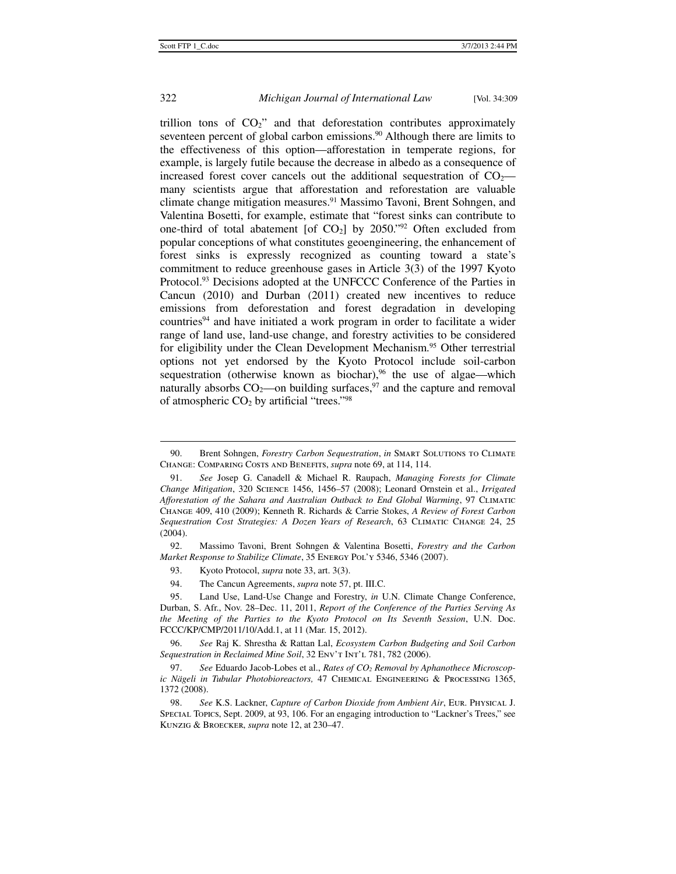# 322 *Michigan Journal of International Law* [Vol. 34:309

trillion tons of  $CO<sub>2</sub>$ " and that deforestation contributes approximately seventeen percent of global carbon emissions.<sup>90</sup> Although there are limits to the effectiveness of this option—afforestation in temperate regions, for example, is largely futile because the decrease in albedo as a consequence of increased forest cover cancels out the additional sequestration of  $CO<sub>2</sub>$  many scientists argue that afforestation and reforestation are valuable climate change mitigation measures.91 Massimo Tavoni, Brent Sohngen, and Valentina Bosetti, for example, estimate that "forest sinks can contribute to one-third of total abatement [of  $CO<sub>2</sub>$ ] by 2050."<sup>92</sup> Often excluded from popular conceptions of what constitutes geoengineering, the enhancement of forest sinks is expressly recognized as counting toward a state's commitment to reduce greenhouse gases in Article 3(3) of the 1997 Kyoto Protocol.93 Decisions adopted at the UNFCCC Conference of the Parties in Cancun (2010) and Durban (2011) created new incentives to reduce emissions from deforestation and forest degradation in developing countries<sup>94</sup> and have initiated a work program in order to facilitate a wider range of land use, land-use change, and forestry activities to be considered for eligibility under the Clean Development Mechanism.<sup>95</sup> Other terrestrial options not yet endorsed by the Kyoto Protocol include soil-carbon sequestration (otherwise known as biochar),<sup>96</sup> the use of algae—which naturally absorbs  $CO_2$ —on building surfaces,<sup>97</sup> and the capture and removal of atmospheric  $CO<sub>2</sub>$  by artificial "trees."<sup>98</sup>

 92. Massimo Tavoni, Brent Sohngen & Valentina Bosetti, *Forestry and the Carbon Market Response to Stabilize Climate*, 35 Energy Pol'y 5346, 5346 (2007).

93. Kyoto Protocol, *supra* note 33, art. 3(3).

<sup>90.</sup> Brent Sohngen, *Forestry Carbon Sequestration*, *in* SMART SOLUTIONS TO CLIMATE Change: Comparing Costs and Benefits, *supra* note 69, at 114, 114.

 <sup>91.</sup> *See* Josep G. Canadell & Michael R. Raupach, *Managing Forests for Climate Change Mitigation*, 320 Science 1456, 1456–57 (2008); Leonard Ornstein et al., *Irrigated Afforestation of the Sahara and Australian Outback to End Global Warming*, 97 Climatic Change 409, 410 (2009); Kenneth R. Richards & Carrie Stokes, *A Review of Forest Carbon Sequestration Cost Strategies: A Dozen Years of Research*, 63 Climatic Change 24, 25 (2004).

 <sup>94.</sup> The Cancun Agreements, *supra* note 57, pt. III.C.

 <sup>95.</sup> Land Use, Land-Use Change and Forestry, *in* U.N. Climate Change Conference, Durban, S. Afr., Nov. 28–Dec. 11, 2011, *Report of the Conference of the Parties Serving As the Meeting of the Parties to the Kyoto Protocol on Its Seventh Session*, U.N. Doc. FCCC/KP/CMP/2011/10/Add.1, at 11 (Mar. 15, 2012).

 <sup>96.</sup> *See* Raj K. Shrestha & Rattan Lal, *Ecosystem Carbon Budgeting and Soil Carbon Sequestration in Reclaimed Mine Soil*, 32 Env't Int'l 781, 782 (2006).

 <sup>97.</sup> *See* Eduardo Jacob-Lobes et al., *Rates of CO2 Removal by Aphanothece Microscopic Nägeli in Tubular Photobioreactors,* 47 Chemical Engineering & Processing 1365, 1372 (2008).

 <sup>98.</sup> *See* K.S. Lackner, *Capture of Carbon Dioxide from Ambient Air*, Eur. Physical J. Special Topics, Sept. 2009, at 93, 106. For an engaging introduction to "Lackner's Trees," see Kunzig & Broecker, *supra* note 12, at 230–47.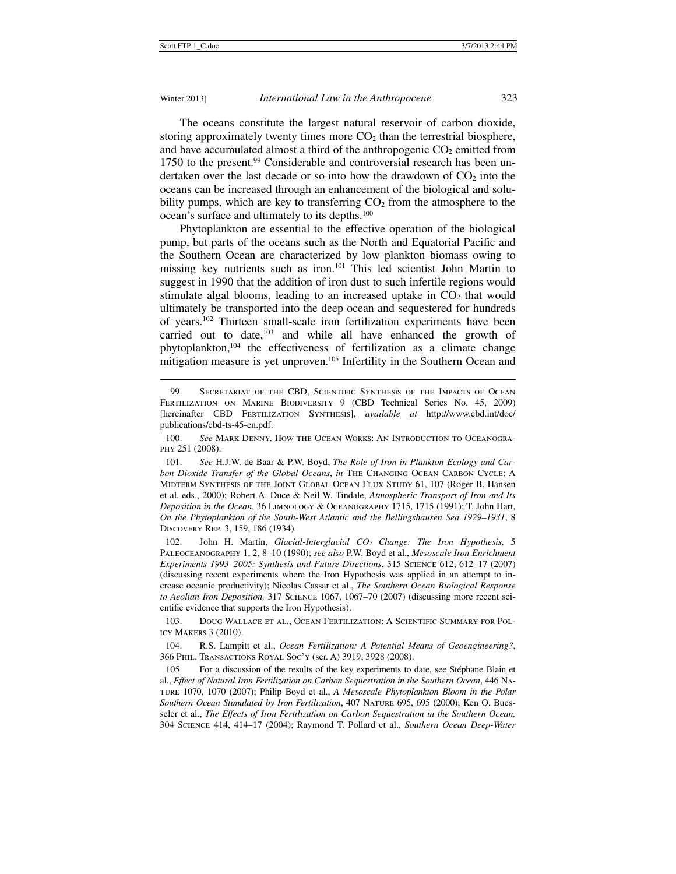### Winter 2013] *International Law in the Anthropocene* 323

The oceans constitute the largest natural reservoir of carbon dioxide, storing approximately twenty times more  $CO<sub>2</sub>$  than the terrestrial biosphere, and have accumulated almost a third of the anthropogenic  $CO<sub>2</sub>$  emitted from 1750 to the present.<sup>99</sup> Considerable and controversial research has been undertaken over the last decade or so into how the drawdown of  $CO<sub>2</sub>$  into the oceans can be increased through an enhancement of the biological and solubility pumps, which are key to transferring  $CO<sub>2</sub>$  from the atmosphere to the ocean's surface and ultimately to its depths.100

Phytoplankton are essential to the effective operation of the biological pump, but parts of the oceans such as the North and Equatorial Pacific and the Southern Ocean are characterized by low plankton biomass owing to missing key nutrients such as iron.101 This led scientist John Martin to suggest in 1990 that the addition of iron dust to such infertile regions would stimulate algal blooms, leading to an increased uptake in  $CO<sub>2</sub>$  that would ultimately be transported into the deep ocean and sequestered for hundreds of years.102 Thirteen small-scale iron fertilization experiments have been carried out to date,<sup>103</sup> and while all have enhanced the growth of phytoplankton,104 the effectiveness of fertilization as a climate change mitigation measure is yet unproven.<sup>105</sup> Infertility in the Southern Ocean and

 102. John H. Martin, *Glacial-Interglacial CO2 Change: The Iron Hypothesis,* 5 Paleoceanography 1, 2, 8–10 (1990); *see also* P.W. Boyd et al., *Mesoscale Iron Enrichment Experiments 1993–2005: Synthesis and Future Directions*, 315 Science 612, 612–17 (2007) (discussing recent experiments where the Iron Hypothesis was applied in an attempt to increase oceanic productivity); Nicolas Cassar et al., *The Southern Ocean Biological Response to Aeolian Iron Deposition,* 317 Science 1067, 1067–70 (2007) (discussing more recent scientific evidence that supports the Iron Hypothesis).

 103. Doug Wallace et al., Ocean Fertilization: A Scientific Summary for Policy Makers 3 (2010).

 104. R.S. Lampitt et al., *Ocean Fertilization: A Potential Means of Geoengineering?*, 366 Phil. Transactions Royal Soc'y (ser. A) 3919, 3928 (2008).

 105. For a discussion of the results of the key experiments to date, see Stéphane Blain et al., *Effect of Natural Iron Fertilization on Carbon Sequestration in the Southern Ocean*, 446 Nature 1070, 1070 (2007); Philip Boyd et al., *A Mesoscale Phytoplankton Bloom in the Polar Southern Ocean Stimulated by Iron Fertilization*, 407 Nature 695, 695 (2000); Ken O. Buesseler et al., *The Effects of Iron Fertilization on Carbon Sequestration in the Southern Ocean,* 304 Science 414, 414–17 (2004); Raymond T. Pollard et al., *Southern Ocean Deep-Water* 

 <sup>99.</sup> Secretariat of the CBD, Scientific Synthesis of the Impacts of Ocean Fertilization on Marine Biodiversity 9 (CBD Technical Series No. 45, 2009) [hereinafter CBD Fertilization Synthesis], *available at* http://www.cbd.int/doc/ publications/cbd-ts-45-en.pdf.

 <sup>100.</sup> *See* Mark Denny, How the Ocean Works: An Introduction to Oceanography 251 (2008).

 <sup>101.</sup> *See* H.J.W. de Baar & P.W. Boyd, *The Role of Iron in Plankton Ecology and Carbon Dioxide Transfer of the Global Oceans*, *in* The Changing Ocean Carbon Cycle: A Midterm Synthesis of the Joint Global Ocean Flux Study 61, 107 (Roger B. Hansen et al. eds., 2000); Robert A. Duce & Neil W. Tindale, *Atmospheric Transport of Iron and Its Deposition in the Ocean*, 36 Limnology & Oceanography 1715, 1715 (1991); T. John Hart, *On the Phytoplankton of the South-West Atlantic and the Bellingshausen Sea 1929–1931*, 8 Discovery Rep. 3, 159, 186 (1934).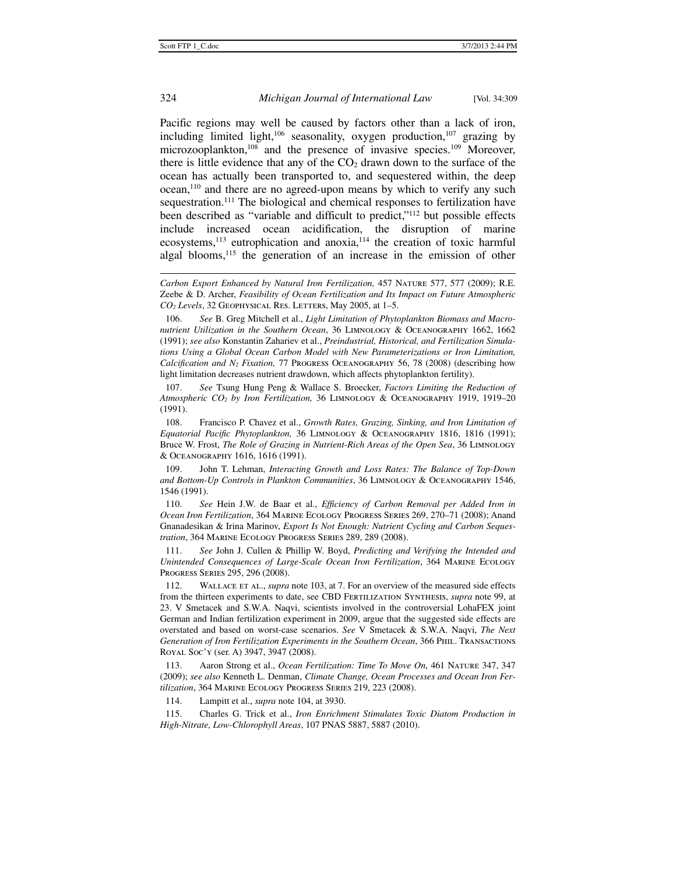# 324 *Michigan Journal of International Law* [Vol. 34:309

Pacific regions may well be caused by factors other than a lack of iron, including limited light,<sup>106</sup> seasonality, oxygen production,<sup>107</sup> grazing by microzooplankton,<sup>108</sup> and the presence of invasive species.<sup>109</sup> Moreover, there is little evidence that any of the  $CO<sub>2</sub>$  drawn down to the surface of the ocean has actually been transported to, and sequestered within, the deep ocean,110 and there are no agreed-upon means by which to verify any such sequestration.<sup>111</sup> The biological and chemical responses to fertilization have been described as "variable and difficult to predict,"112 but possible effects include increased ocean acidification, the disruption of marine ecosystems,<sup>113</sup> eutrophication and anoxia,<sup>114</sup> the creation of toxic harmful algal blooms,<sup>115</sup> the generation of an increase in the emission of other

 106. *See* B. Greg Mitchell et al., *Light Limitation of Phytoplankton Biomass and Macronutrient Utilization in the Southern Ocean*, 36 Limnology & Oceanography 1662, 1662 (1991); *see also* Konstantin Zahariev et al., *Preindustrial, Historical, and Fertilization Simulations Using a Global Ocean Carbon Model with New Parameterizations or Iron Limitation, Calcification and N2 Fixation,* 77 Progress Oceanography 56, 78 (2008) (describing how light limitation decreases nutrient drawdown, which affects phytoplankton fertility).

 107. *See* Tsung Hung Peng & Wallace S. Broecker, *Factors Limiting the Reduction of Atmospheric CO2 by Iron Fertilization,* 36 Limnology & Oceanography 1919, 1919–20 (1991).

 108. Francisco P. Chavez et al., *Growth Rates, Grazing, Sinking, and Iron Limitation of Equatorial Pacific Phytoplankton,* 36 Limnology & Oceanography 1816, 1816 (1991); Bruce W. Frost, *The Role of Grazing in Nutrient-Rich Areas of the Open Sea*, 36 Limnology & Oceanography 1616, 1616 (1991).

 109. John T. Lehman, *Interacting Growth and Loss Rates: The Balance of Top-Down and Bottom-Up Controls in Plankton Communities*, 36 Limnology & Oceanography 1546, 1546 (1991).

 110. *See* Hein J.W. de Baar et al., *Efficiency of Carbon Removal per Added Iron in Ocean Iron Fertilization*, 364 Marine Ecology Progress Series 269, 270–71 (2008); Anand Gnanadesikan & Irina Marinov, *Export Is Not Enough: Nutrient Cycling and Carbon Sequestration*, 364 Marine Ecology Progress Series 289, 289 (2008).

 111. *See* John J. Cullen & Phillip W. Boyd, *Predicting and Verifying the Intended and Unintended Consequences of Large-Scale Ocean Iron Fertilization*, 364 Marine Ecology Progress Series 295, 296 (2008).

 112. Wallace et al., *supra* note 103, at 7. For an overview of the measured side effects from the thirteen experiments to date, see CBD Fertilization Synthesis, *supra* note 99, at 23. V Smetacek and S.W.A. Naqvi, scientists involved in the controversial LohaFEX joint German and Indian fertilization experiment in 2009, argue that the suggested side effects are overstated and based on worst-case scenarios. *See* V Smetacek & S.W.A. Naqvi, *The Next Generation of Iron Fertilization Experiments in the Southern Ocean*, 366 Phil. Transactions Royal Soc'y (ser. A) 3947, 3947 (2008).

 113. Aaron Strong et al., *Ocean Fertilization: Time To Move On*, 461 Nature 347, 347 (2009); *see also* Kenneth L. Denman, *Climate Change, Ocean Processes and Ocean Iron Fertilization*, 364 Marine Ecology Progress Series 219, 223 (2008).

114. Lampitt et al., *supra* note 104, at 3930.

 115. Charles G. Trick et al., *Iron Enrichment Stimulates Toxic Diatom Production in High-Nitrate, Low-Chlorophyll Areas*, 107 PNAS 5887, 5887 (2010).

*Carbon Export Enhanced by Natural Iron Fertilization,* 457 Nature 577, 577 (2009); R.E. Zeebe & D. Archer, *Feasibility of Ocean Fertilization and Its Impact on Future Atmospheric CO2 Levels*, 32 Geophysical Res. Letters, May 2005, at 1–5.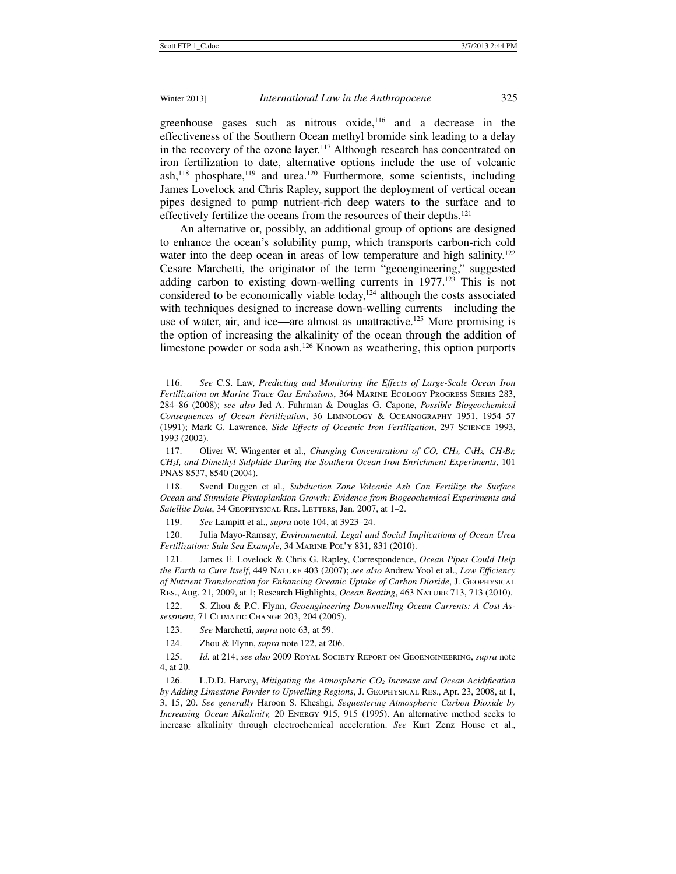j

# Winter 2013] *International Law in the Anthropocene* 325

greenhouse gases such as nitrous oxide,<sup>116</sup> and a decrease in the effectiveness of the Southern Ocean methyl bromide sink leading to a delay in the recovery of the ozone layer.<sup>117</sup> Although research has concentrated on iron fertilization to date, alternative options include the use of volcanic ash,<sup>118</sup> phosphate,<sup>119</sup> and urea.<sup>120</sup> Furthermore, some scientists, including James Lovelock and Chris Rapley, support the deployment of vertical ocean pipes designed to pump nutrient-rich deep waters to the surface and to effectively fertilize the oceans from the resources of their depths.121

An alternative or, possibly, an additional group of options are designed to enhance the ocean's solubility pump, which transports carbon-rich cold water into the deep ocean in areas of low temperature and high salinity.<sup>122</sup> Cesare Marchetti, the originator of the term "geoengineering," suggested adding carbon to existing down-welling currents in 1977.<sup>123</sup> This is not considered to be economically viable today, $124$  although the costs associated with techniques designed to increase down-welling currents—including the use of water, air, and ice—are almost as unattractive.<sup>125</sup> More promising is the option of increasing the alkalinity of the ocean through the addition of limestone powder or soda ash.<sup>126</sup> Known as weathering, this option purports

119. *See* Lampitt et al., *supra* note 104, at 3923–24.

 120. Julia Mayo-Ramsay, *Environmental, Legal and Social Implications of Ocean Urea Fertilization: Sulu Sea Example*, 34 Marine Pol'y 831, 831 (2010).

 121. James E. Lovelock & Chris G. Rapley, Correspondence, *Ocean Pipes Could Help the Earth to Cure Itself*, 449 Nature 403 (2007); *see also* Andrew Yool et al., *Low Efficiency of Nutrient Translocation for Enhancing Oceanic Uptake of Carbon Dioxide*, J. Geophysical Res., Aug. 21, 2009, at 1; Research Highlights, *Ocean Beating*, 463 Nature 713, 713 (2010).

 122. S. Zhou & P.C. Flynn, *Geoengineering Downwelling Ocean Currents: A Cost Assessment*, 71 Climatic Change 203, 204 (2005).

124. Zhou & Flynn, *supra* note 122, at 206.

 <sup>116.</sup> *See* C.S. Law, *Predicting and Monitoring the Effects of Large-Scale Ocean Iron Fertilization on Marine Trace Gas Emissions*, 364 Marine Ecology Progress Series 283, 284–86 (2008); *see also* Jed A. Fuhrman & Douglas G. Capone, *Possible Biogeochemical Consequences of Ocean Fertilization*, 36 Limnology & Oceanography 1951, 1954–57 (1991); Mark G. Lawrence, *Side Effects of Oceanic Iron Fertilization*, 297 Science 1993, 1993 (2002).

 <sup>117.</sup> Oliver W. Wingenter et al., *Changing Concentrations of CO, CH4, C5H8, CH3Br, CH3I, and Dimethyl Sulphide During the Southern Ocean Iron Enrichment Experiments*, 101 PNAS 8537, 8540 (2004).

 <sup>118.</sup> Svend Duggen et al., *Subduction Zone Volcanic Ash Can Fertilize the Surface Ocean and Stimulate Phytoplankton Growth: Evidence from Biogeochemical Experiments and*  Satellite Data, 34 GEOPHYSICAL RES. LETTERS, Jan. 2007, at 1-2.

 <sup>123.</sup> *See* Marchetti, *supra* note 63, at 59.

 <sup>125.</sup> *Id.* at 214; *see also* 2009 Royal Society Report on Geoengineering, *supra* note 4, at 20.

 <sup>126.</sup> L.D.D. Harvey, *Mitigating the Atmospheric CO2 Increase and Ocean Acidification by Adding Limestone Powder to Upwelling Regions*, J. Geophysical Res., Apr. 23, 2008, at 1, 3, 15, 20. *See generally* Haroon S. Kheshgi, *Sequestering Atmospheric Carbon Dioxide by Increasing Ocean Alkalinity,* 20 ENERGY 915, 915 (1995). An alternative method seeks to increase alkalinity through electrochemical acceleration. *See* Kurt Zenz House et al.,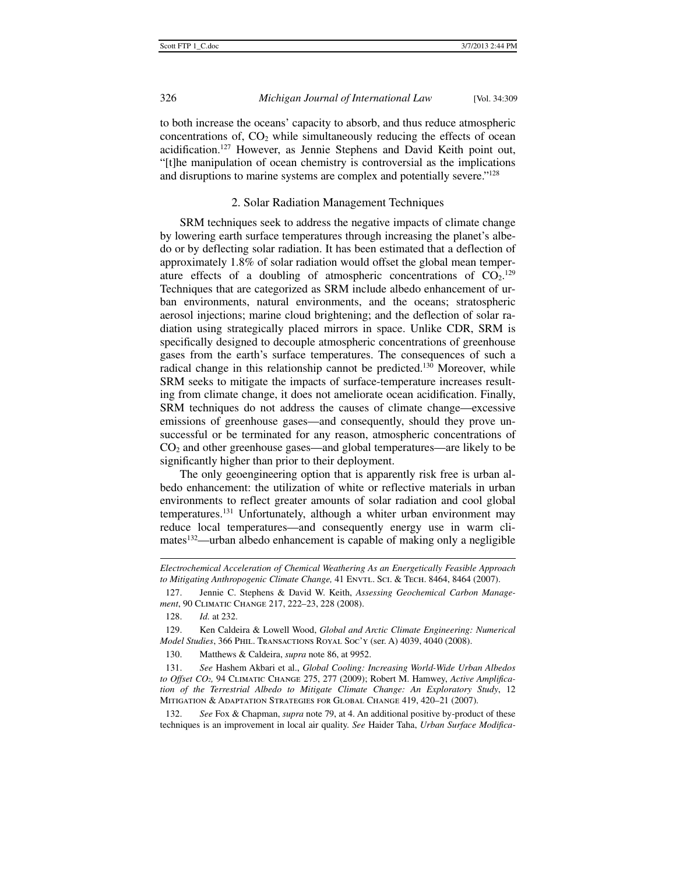to both increase the oceans' capacity to absorb, and thus reduce atmospheric concentrations of,  $CO<sub>2</sub>$  while simultaneously reducing the effects of ocean acidification.127 However, as Jennie Stephens and David Keith point out, "[t]he manipulation of ocean chemistry is controversial as the implications and disruptions to marine systems are complex and potentially severe."128

### 2. Solar Radiation Management Techniques

SRM techniques seek to address the negative impacts of climate change by lowering earth surface temperatures through increasing the planet's albedo or by deflecting solar radiation. It has been estimated that a deflection of approximately 1.8% of solar radiation would offset the global mean temperature effects of a doubling of atmospheric concentrations of  $CO<sub>2</sub>$ .<sup>129</sup> Techniques that are categorized as SRM include albedo enhancement of urban environments, natural environments, and the oceans; stratospheric aerosol injections; marine cloud brightening; and the deflection of solar radiation using strategically placed mirrors in space. Unlike CDR, SRM is specifically designed to decouple atmospheric concentrations of greenhouse gases from the earth's surface temperatures. The consequences of such a radical change in this relationship cannot be predicted.<sup>130</sup> Moreover, while SRM seeks to mitigate the impacts of surface-temperature increases resulting from climate change, it does not ameliorate ocean acidification. Finally, SRM techniques do not address the causes of climate change—excessive emissions of greenhouse gases—and consequently, should they prove unsuccessful or be terminated for any reason, atmospheric concentrations of  $CO<sub>2</sub>$  and other greenhouse gases—and global temperatures—are likely to be significantly higher than prior to their deployment.

The only geoengineering option that is apparently risk free is urban albedo enhancement: the utilization of white or reflective materials in urban environments to reflect greater amounts of solar radiation and cool global temperatures.131 Unfortunately, although a whiter urban environment may reduce local temperatures—and consequently energy use in warm climates<sup>132</sup>—urban albedo enhancement is capable of making only a negligible

*Electrochemical Acceleration of Chemical Weathering As an Energetically Feasible Approach to Mitigating Anthropogenic Climate Change,* 41 EnvrL. ScI. & Tech. 8464, 8464 (2007).

 <sup>127.</sup> Jennie C. Stephens & David W. Keith, *Assessing Geochemical Carbon Management*, 90 Climatic Change 217, 222–23, 228 (2008).

 <sup>128.</sup> *Id.* at 232.

 <sup>129.</sup> Ken Caldeira & Lowell Wood, *Global and Arctic Climate Engineering: Numerical Model Studies*, 366 Phil. Transactions Royal Soc'y (ser. A) 4039, 4040 (2008).

 <sup>130.</sup> Matthews & Caldeira, *supra* note 86, at 9952.

 <sup>131.</sup> *See* Hashem Akbari et al., *Global Cooling: Increasing World-Wide Urban Albedos to Offset CO2,* 94 Climatic Change 275, 277 (2009); Robert M. Hamwey, *Active Amplification of the Terrestrial Albedo to Mitigate Climate Change: An Exploratory Study*, 12 Mitigation & Adaptation Strategies for Global Change 419, 420–21 (2007).

 <sup>132.</sup> *See* Fox & Chapman, *supra* note 79, at 4. An additional positive by-product of these techniques is an improvement in local air quality. *See* Haider Taha, *Urban Surface Modifica-*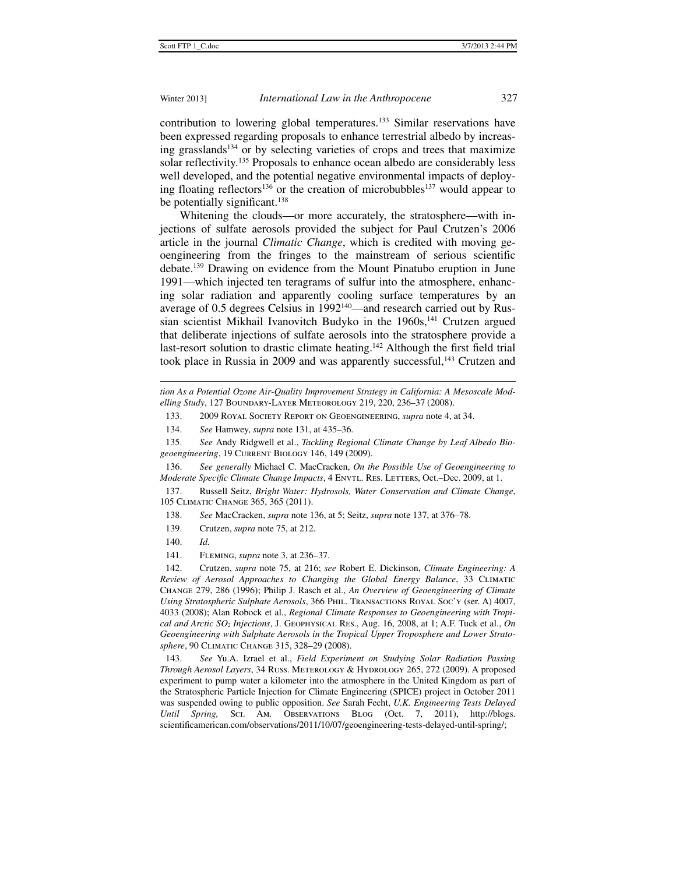contribution to lowering global temperatures.133 Similar reservations have been expressed regarding proposals to enhance terrestrial albedo by increasing grasslands<sup>134</sup> or by selecting varieties of crops and trees that maximize solar reflectivity.<sup>135</sup> Proposals to enhance ocean albedo are considerably less well developed, and the potential negative environmental impacts of deploying floating reflectors<sup>136</sup> or the creation of microbubbles<sup>137</sup> would appear to be potentially significant.<sup>138</sup>

Whitening the clouds—or more accurately, the stratosphere—with injections of sulfate aerosols provided the subject for Paul Crutzen's 2006 article in the journal *Climatic Change*, which is credited with moving geoengineering from the fringes to the mainstream of serious scientific debate.139 Drawing on evidence from the Mount Pinatubo eruption in June 1991—which injected ten teragrams of sulfur into the atmosphere, enhancing solar radiation and apparently cooling surface temperatures by an average of 0.5 degrees Celsius in 1992<sup>140</sup>—and research carried out by Russian scientist Mikhail Ivanovitch Budyko in the 1960s,<sup>141</sup> Crutzen argued that deliberate injections of sulfate aerosols into the stratosphere provide a last-resort solution to drastic climate heating.<sup>142</sup> Although the first field trial took place in Russia in 2009 and was apparently successful,<sup>143</sup> Crutzen and

*tion As a Potential Ozone Air-Quality Improvement Strategy in California: A Mesoscale Modelling Study*, 127 Boundary-Layer Meteorology 219, 220, 236–37 (2008).

133. 2009 Royal Society Report on Geoengineering, *supra* note 4, at 34.

134. *See* Hamwey, *supra* note 131, at 435–36.

 135. *See* Andy Ridgwell et al., *Tackling Regional Climate Change by Leaf Albedo Biogeoengineering*, 19 Current Biology 146, 149 (2009).

 136. *See generally* Michael C. MacCracken, *On the Possible Use of Geoengineering to Moderate Specific Climate Change Impacts*, 4 ENVTL. RES. LETTERS, Oct.-Dec. 2009, at 1.

 137. Russell Seitz, *Bright Water: Hydrosols, Water Conservation and Climate Change*, 105 Climatic Change 365, 365 (2011).

138. *See* MacCracken, *supra* note 136, at 5; Seitz, *supra* note 137, at 376–78.

139. Crutzen, *supra* note 75, at 212.

140. *Id.*

 $\ddot{ }$ 

141. Fleming, *supra* note 3, at 236–37.

 142. Crutzen, *supra* note 75, at 216; *see* Robert E. Dickinson, *Climate Engineering: A Review of Aerosol Approaches to Changing the Global Energy Balance*, 33 Climatic Change 279, 286 (1996); Philip J. Rasch et al., *An Overview of Geoengineering of Climate Using Stratospheric Sulphate Aerosols*, 366 Phil. Transactions Royal Soc'y (ser. A) 4007, 4033 (2008); Alan Robock et al., *Regional Climate Responses to Geoengineering with Tropical and Arctic SO2 Injections*, J. Geophysical Res., Aug. 16, 2008, at 1; A.F. Tuck et al., *On Geoengineering with Sulphate Aerosols in the Tropical Upper Troposphere and Lower Stratosphere*, 90 Climatic Change 315, 328–29 (2008).

 143. *See* Yu.A. Izrael et al., *Field Experiment on Studying Solar Radiation Passing Through Aerosol Layers*, 34 Russ. Meterology & Hydrology 265, 272 (2009). A proposed experiment to pump water a kilometer into the atmosphere in the United Kingdom as part of the Stratospheric Particle Injection for Climate Engineering (SPICE) project in October 2011 was suspended owing to public opposition. *See* Sarah Fecht, *U.K. Engineering Tests Delayed Until Spring,* Sci. Am. Observations Blog (Oct. 7, 2011), http://blogs. scientificamerican.com/observations/2011/10/07/geoengineering-tests-delayed-until-spring/;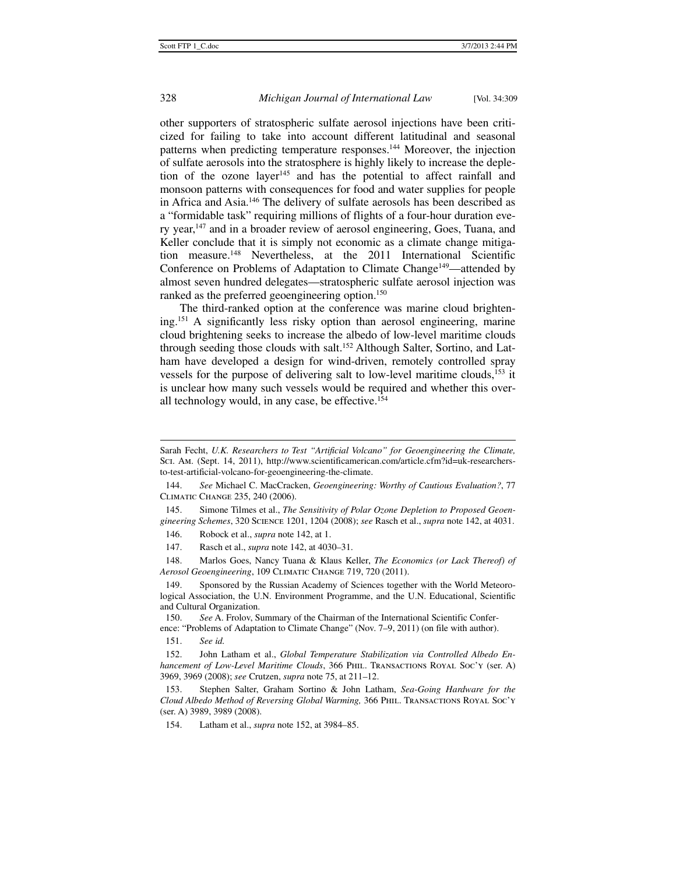other supporters of stratospheric sulfate aerosol injections have been criticized for failing to take into account different latitudinal and seasonal patterns when predicting temperature responses.<sup>144</sup> Moreover, the injection of sulfate aerosols into the stratosphere is highly likely to increase the depletion of the ozone layer<sup>145</sup> and has the potential to affect rainfall and monsoon patterns with consequences for food and water supplies for people in Africa and Asia.146 The delivery of sulfate aerosols has been described as a "formidable task" requiring millions of flights of a four-hour duration every year,<sup>147</sup> and in a broader review of aerosol engineering, Goes, Tuana, and Keller conclude that it is simply not economic as a climate change mitigation measure.148 Nevertheless, at the 2011 International Scientific Conference on Problems of Adaptation to Climate Change<sup>149</sup>—attended by almost seven hundred delegates—stratospheric sulfate aerosol injection was ranked as the preferred geoengineering option.<sup>150</sup>

The third-ranked option at the conference was marine cloud brightening.151 A significantly less risky option than aerosol engineering, marine cloud brightening seeks to increase the albedo of low-level maritime clouds through seeding those clouds with salt.152 Although Salter, Sortino, and Latham have developed a design for wind-driven, remotely controlled spray vessels for the purpose of delivering salt to low-level maritime clouds,<sup>153</sup> it is unclear how many such vessels would be required and whether this overall technology would, in any case, be effective.154

 145. Simone Tilmes et al., *The Sensitivity of Polar Ozone Depletion to Proposed Geoengineering Schemes*, 320 Science 1201, 1204 (2008); *see* Rasch et al., *supra* note 142, at 4031.

146. Robock et al., *supra* note 142, at 1.

147. Rasch et al., *supra* note 142, at 4030–31.

 148. Marlos Goes, Nancy Tuana & Klaus Keller, *The Economics (or Lack Thereof) of Aerosol Geoengineering*, 109 Climatic Change 719, 720 (2011).

149. Sponsored by the Russian Academy of Sciences together with the World Meteorological Association, the U.N. Environment Programme, and the U.N. Educational, Scientific and Cultural Organization.

150. *See* A. Frolov, Summary of the Chairman of the International Scientific Confer-

ence: "Problems of Adaptation to Climate Change" (Nov. 7–9, 2011) (on file with author).

151. *See id.*

 152. John Latham et al., *Global Temperature Stabilization via Controlled Albedo Enhancement of Low-Level Maritime Clouds*, 366 PHIL. TRANSACTIONS ROYAL SOC'Y (ser. A) 3969, 3969 (2008); *see* Crutzen, *supra* note 75, at 211–12.

 153. Stephen Salter, Graham Sortino & John Latham, *Sea-Going Hardware for the Cloud Albedo Method of Reversing Global Warming,* 366 Phil. Transactions Royal Soc'y (ser. A) 3989, 3989 (2008).

154. Latham et al., *supra* note 152, at 3984–85.

j

Sarah Fecht, *U.K. Researchers to Test "Artificial Volcano" for Geoengineering the Climate,* Sci. Am. (Sept. 14, 2011), http://www.scientificamerican.com/article.cfm?id=uk-researchersto-test-artificial-volcano-for-geoengineering-the-climate.

 <sup>144.</sup> *See* Michael C. MacCracken, *Geoengineering: Worthy of Cautious Evaluation?*, 77 Climatic Change 235, 240 (2006).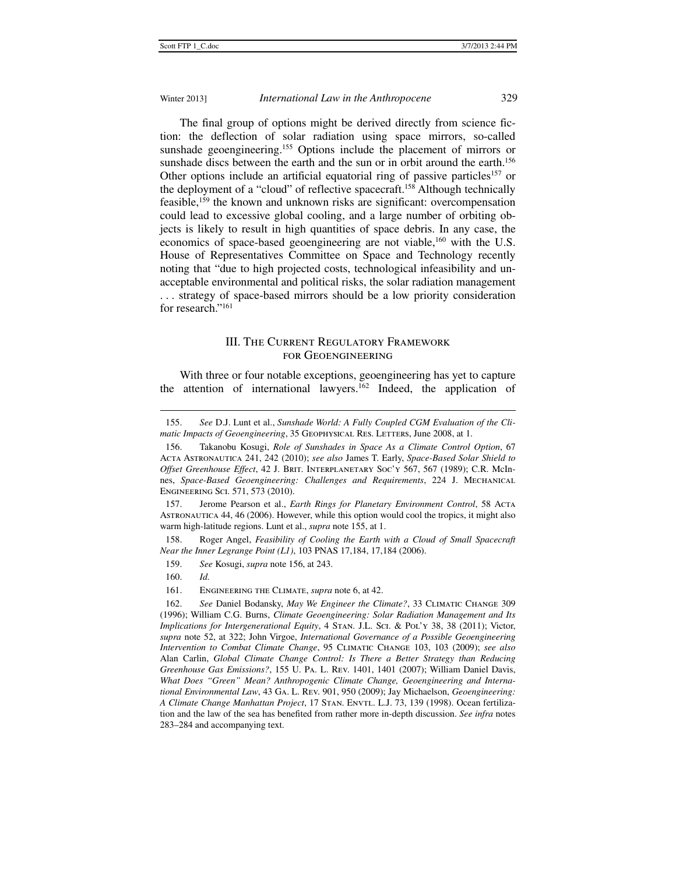The final group of options might be derived directly from science fiction: the deflection of solar radiation using space mirrors, so-called sunshade geoengineering.<sup>155</sup> Options include the placement of mirrors or sunshade discs between the earth and the sun or in orbit around the earth.<sup>156</sup> Other options include an artificial equatorial ring of passive particles<sup>157</sup> or the deployment of a "cloud" of reflective spacecraft.158 Although technically feasible,159 the known and unknown risks are significant: overcompensation could lead to excessive global cooling, and a large number of orbiting objects is likely to result in high quantities of space debris. In any case, the economics of space-based geoengineering are not viable,<sup>160</sup> with the U.S. House of Representatives Committee on Space and Technology recently noting that "due to high projected costs, technological infeasibility and unacceptable environmental and political risks, the solar radiation management . . . strategy of space-based mirrors should be a low priority consideration for research."161

# III. The Current Regulatory Framework for Geoengineering

With three or four notable exceptions, geoengineering has yet to capture the attention of international lawyers.<sup>162</sup> Indeed, the application of

j

 <sup>155.</sup> *See* D.J. Lunt et al., *Sunshade World: A Fully Coupled CGM Evaluation of the Climatic Impacts of Geoengineering*, 35 GEOPHYSICAL RES. LETTERS, June 2008, at 1.

 <sup>156.</sup> Takanobu Kosugi, *Role of Sunshades in Space As a Climate Control Option*, 67 Acta Astronautica 241, 242 (2010); *see also* James T. Early, *Space-Based Solar Shield to Offset Greenhouse Effect*, 42 J. Brit. Interplanetary Soc'y 567, 567 (1989); C.R. McInnes, *Space-Based Geoengineering: Challenges and Requirements*, 224 J. Mechanical Engineering Sci. 571, 573 (2010).

 <sup>157.</sup> Jerome Pearson et al., *Earth Rings for Planetary Environment Control*, 58 Acta Astronautica 44, 46 (2006). However, while this option would cool the tropics, it might also warm high-latitude regions. Lunt et al., *supra* note 155, at 1.

 <sup>158.</sup> Roger Angel, *Feasibility of Cooling the Earth with a Cloud of Small Spacecraft Near the Inner Legrange Point (L1)*, 103 PNAS 17,184, 17,184 (2006).

 <sup>159.</sup> *See* Kosugi, *supra* note 156, at 243.

 <sup>160.</sup> *Id.*

 <sup>161.</sup> Engineering the Climate, *supra* note 6, at 42.

<sup>162.</sup> *See* Daniel Bodansky, *May We Engineer the Climate?*, 33 CLIMATIC CHANGE 309 (1996); William C.G. Burns, *Climate Geoengineering: Solar Radiation Management and Its Implications for Intergenerational Equity*, 4 Stan. J.L. Sci. & Pol'y 38, 38 (2011); Victor, *supra* note 52, at 322; John Virgoe, *International Governance of a Possible Geoengineering Intervention to Combat Climate Change*, 95 Climatic Change 103, 103 (2009); *see also* Alan Carlin, *Global Climate Change Control: Is There a Better Strategy than Reducing Greenhouse Gas Emissions?*, 155 U. Pa. L. Rev. 1401, 1401 (2007); William Daniel Davis, *What Does "Green" Mean? Anthropogenic Climate Change, Geoengineering and International Environmental Law*, 43 Ga. L. Rev. 901, 950 (2009); Jay Michaelson, *Geoengineering: A Climate Change Manhattan Project*, 17 Stan. Envtl. L.J. 73, 139 (1998). Ocean fertilization and the law of the sea has benefited from rather more in-depth discussion. *See infra* notes 283–284 and accompanying text.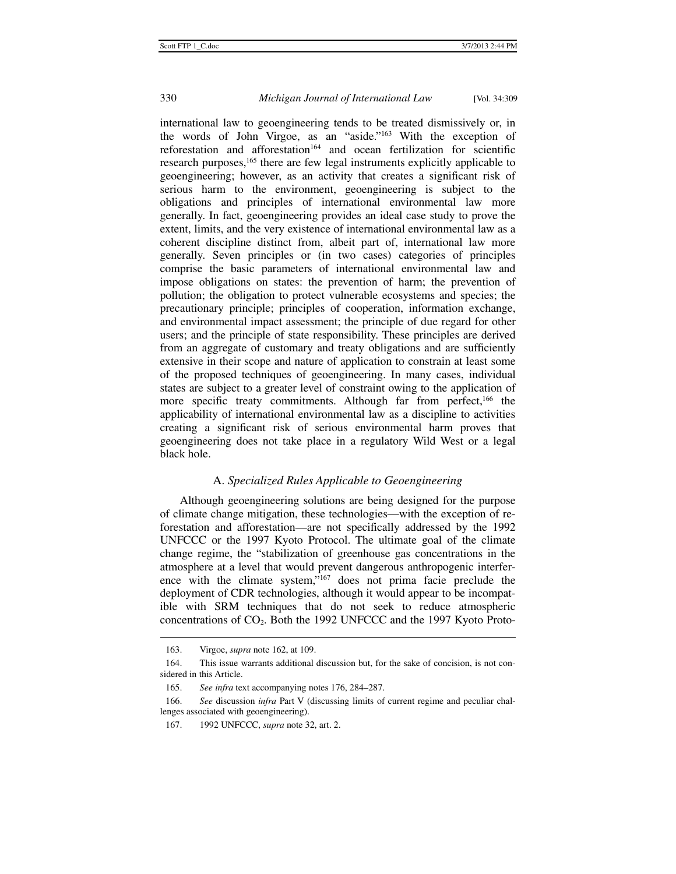international law to geoengineering tends to be treated dismissively or, in the words of John Virgoe, as an "aside."163 With the exception of reforestation and afforestation<sup>164</sup> and ocean fertilization for scientific research purposes,<sup>165</sup> there are few legal instruments explicitly applicable to geoengineering; however, as an activity that creates a significant risk of serious harm to the environment, geoengineering is subject to the obligations and principles of international environmental law more generally. In fact, geoengineering provides an ideal case study to prove the extent, limits, and the very existence of international environmental law as a coherent discipline distinct from, albeit part of, international law more generally. Seven principles or (in two cases) categories of principles comprise the basic parameters of international environmental law and impose obligations on states: the prevention of harm; the prevention of pollution; the obligation to protect vulnerable ecosystems and species; the precautionary principle; principles of cooperation, information exchange, and environmental impact assessment; the principle of due regard for other users; and the principle of state responsibility. These principles are derived from an aggregate of customary and treaty obligations and are sufficiently extensive in their scope and nature of application to constrain at least some of the proposed techniques of geoengineering. In many cases, individual states are subject to a greater level of constraint owing to the application of more specific treaty commitments. Although far from perfect,<sup>166</sup> the applicability of international environmental law as a discipline to activities creating a significant risk of serious environmental harm proves that geoengineering does not take place in a regulatory Wild West or a legal black hole.

# A. *Specialized Rules Applicable to Geoengineering*

Although geoengineering solutions are being designed for the purpose of climate change mitigation, these technologies—with the exception of reforestation and afforestation—are not specifically addressed by the 1992 UNFCCC or the 1997 Kyoto Protocol. The ultimate goal of the climate change regime, the "stabilization of greenhouse gas concentrations in the atmosphere at a level that would prevent dangerous anthropogenic interference with the climate system,"167 does not prima facie preclude the deployment of CDR technologies, although it would appear to be incompatible with SRM techniques that do not seek to reduce atmospheric concentrations of  $CO<sub>2</sub>$ . Both the 1992 UNFCCC and the 1997 Kyoto Proto-

 <sup>163.</sup> Virgoe, *supra* note 162, at 109.

 <sup>164.</sup> This issue warrants additional discussion but, for the sake of concision, is not considered in this Article.

 <sup>165.</sup> *See infra* text accompanying notes 176, 284–287.

 <sup>166.</sup> *See* discussion *infra* Part V (discussing limits of current regime and peculiar challenges associated with geoengineering).

 <sup>167. 1992</sup> UNFCCC, *supra* note 32, art. 2.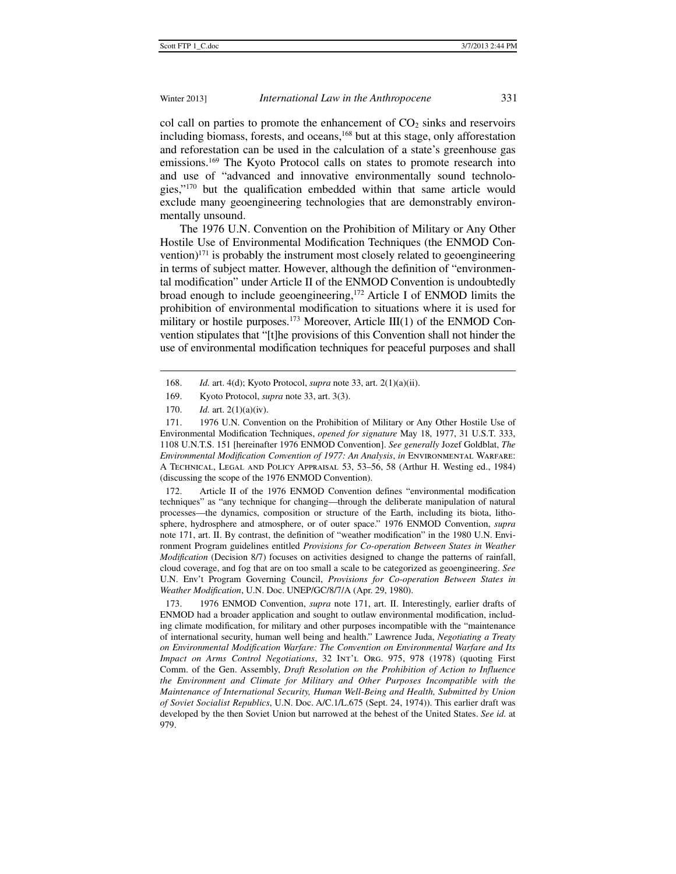col call on parties to promote the enhancement of  $CO<sub>2</sub>$  sinks and reservoirs including biomass, forests, and oceans,<sup>168</sup> but at this stage, only afforestation and reforestation can be used in the calculation of a state's greenhouse gas emissions.169 The Kyoto Protocol calls on states to promote research into and use of "advanced and innovative environmentally sound technologies,"170 but the qualification embedded within that same article would exclude many geoengineering technologies that are demonstrably environmentally unsound.

The 1976 U.N. Convention on the Prohibition of Military or Any Other Hostile Use of Environmental Modification Techniques (the ENMOD Convention) $171$  is probably the instrument most closely related to geoengineering in terms of subject matter. However, although the definition of "environmental modification" under Article II of the ENMOD Convention is undoubtedly broad enough to include geoengineering,172 Article I of ENMOD limits the prohibition of environmental modification to situations where it is used for military or hostile purposes.<sup>173</sup> Moreover, Article III(1) of the ENMOD Convention stipulates that "[t]he provisions of this Convention shall not hinder the use of environmental modification techniques for peaceful purposes and shall

j

 172. Article II of the 1976 ENMOD Convention defines "environmental modification techniques" as "any technique for changing—through the deliberate manipulation of natural processes—the dynamics, composition or structure of the Earth, including its biota, lithosphere, hydrosphere and atmosphere, or of outer space." 1976 ENMOD Convention, *supra* note 171, art. II. By contrast, the definition of "weather modification" in the 1980 U.N. Environment Program guidelines entitled *Provisions for Co-operation Between States in Weather Modification* (Decision 8/7) focuses on activities designed to change the patterns of rainfall, cloud coverage, and fog that are on too small a scale to be categorized as geoengineering. *See*  U.N. Env't Program Governing Council, *Provisions for Co-operation Between States in Weather Modification*, U.N. Doc. UNEP/GC/8/7/A (Apr. 29, 1980).

 173. 1976 ENMOD Convention, *supra* note 171, art. II. Interestingly, earlier drafts of ENMOD had a broader application and sought to outlaw environmental modification, including climate modification, for military and other purposes incompatible with the "maintenance of international security, human well being and health." Lawrence Juda, *Negotiating a Treaty on Environmental Modification Warfare: The Convention on Environmental Warfare and Its Impact on Arms Control Negotiations*, 32 Int'l Org. 975, 978 (1978) (quoting First Comm. of the Gen. Assembly, *Draft Resolution on the Prohibition of Action to Influence the Environment and Climate for Military and Other Purposes Incompatible with the Maintenance of International Security, Human Well-Being and Health, Submitted by Union of Soviet Socialist Republics*, U.N. Doc. A/C.1/L.675 (Sept. 24, 1974)). This earlier draft was developed by the then Soviet Union but narrowed at the behest of the United States. *See id.* at 979.

 <sup>168.</sup> *Id.* art. 4(d); Kyoto Protocol, *supra* note 33, art. 2(1)(a)(ii).

 <sup>169.</sup> Kyoto Protocol, *supra* note 33, art. 3(3).

 <sup>170.</sup> *Id.* art. 2(1)(a)(iv).

 <sup>171. 1976</sup> U.N. Convention on the Prohibition of Military or Any Other Hostile Use of Environmental Modification Techniques, *opened for signature* May 18, 1977, 31 U.S.T. 333, 1108 U.N.T.S. 151 [hereinafter 1976 ENMOD Convention]. *See generally* Jozef Goldblat, *The Environmental Modification Convention of 1977: An Analysis*, *in* Environmental Warfare: A Technical, Legal and Policy Appraisal 53, 53–56, 58 (Arthur H. Westing ed., 1984) (discussing the scope of the 1976 ENMOD Convention).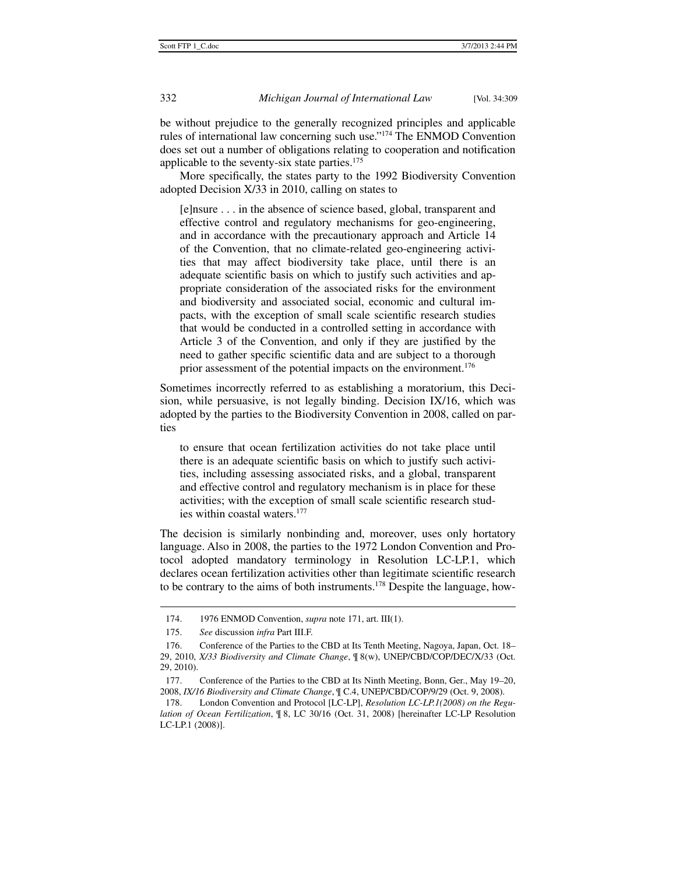be without prejudice to the generally recognized principles and applicable rules of international law concerning such use."174 The ENMOD Convention does set out a number of obligations relating to cooperation and notification applicable to the seventy-six state parties.175

More specifically, the states party to the 1992 Biodiversity Convention adopted Decision X/33 in 2010, calling on states to

[e]nsure . . . in the absence of science based, global, transparent and effective control and regulatory mechanisms for geo-engineering, and in accordance with the precautionary approach and Article 14 of the Convention, that no climate-related geo-engineering activities that may affect biodiversity take place, until there is an adequate scientific basis on which to justify such activities and appropriate consideration of the associated risks for the environment and biodiversity and associated social, economic and cultural impacts, with the exception of small scale scientific research studies that would be conducted in a controlled setting in accordance with Article 3 of the Convention, and only if they are justified by the need to gather specific scientific data and are subject to a thorough prior assessment of the potential impacts on the environment.<sup>176</sup>

Sometimes incorrectly referred to as establishing a moratorium, this Decision, while persuasive, is not legally binding. Decision IX/16, which was adopted by the parties to the Biodiversity Convention in 2008, called on parties

to ensure that ocean fertilization activities do not take place until there is an adequate scientific basis on which to justify such activities, including assessing associated risks, and a global, transparent and effective control and regulatory mechanism is in place for these activities; with the exception of small scale scientific research studies within coastal waters.177

The decision is similarly nonbinding and, moreover, uses only hortatory language. Also in 2008, the parties to the 1972 London Convention and Protocol adopted mandatory terminology in Resolution LC-LP.1, which declares ocean fertilization activities other than legitimate scientific research to be contrary to the aims of both instruments.178 Despite the language, how-

 <sup>174. 1976</sup> ENMOD Convention, *supra* note 171, art. III(1).

 <sup>175.</sup> *See* discussion *infra* Part III.F.

 <sup>176.</sup> Conference of the Parties to the CBD at Its Tenth Meeting, Nagoya, Japan, Oct. 18– 29, 2010, *X/33 Biodiversity and Climate Change*, ¶ 8(w), UNEP/CBD/COP/DEC/X/33 (Oct. 29, 2010).

 <sup>177.</sup> Conference of the Parties to the CBD at Its Ninth Meeting, Bonn, Ger., May 19–20, 2008, *IX/16 Biodiversity and Climate Change*, ¶ C.4, UNEP/CBD/COP/9/29 (Oct. 9, 2008).

 <sup>178.</sup> London Convention and Protocol [LC-LP], *Resolution LC-LP.1(2008) on the Regulation of Ocean Fertilization*, ¶ 8, LC 30/16 (Oct. 31, 2008) [hereinafter LC-LP Resolution LC-LP.1 (2008)].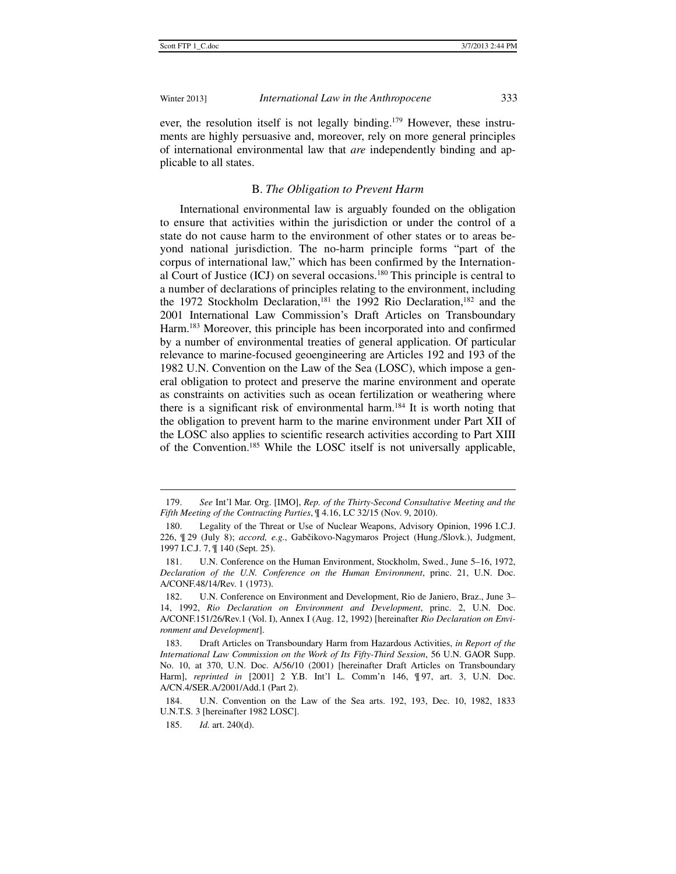ever, the resolution itself is not legally binding.179 However, these instruments are highly persuasive and, moreover, rely on more general principles of international environmental law that *are* independently binding and applicable to all states.

### B. *The Obligation to Prevent Harm*

International environmental law is arguably founded on the obligation to ensure that activities within the jurisdiction or under the control of a state do not cause harm to the environment of other states or to areas beyond national jurisdiction. The no-harm principle forms "part of the corpus of international law," which has been confirmed by the International Court of Justice (ICJ) on several occasions.180 This principle is central to a number of declarations of principles relating to the environment, including the 1972 Stockholm Declaration,<sup>181</sup> the 1992 Rio Declaration,<sup>182</sup> and the 2001 International Law Commission's Draft Articles on Transboundary Harm.183 Moreover, this principle has been incorporated into and confirmed by a number of environmental treaties of general application. Of particular relevance to marine-focused geoengineering are Articles 192 and 193 of the 1982 U.N. Convention on the Law of the Sea (LOSC), which impose a general obligation to protect and preserve the marine environment and operate as constraints on activities such as ocean fertilization or weathering where there is a significant risk of environmental harm.<sup>184</sup> It is worth noting that the obligation to prevent harm to the marine environment under Part XII of the LOSC also applies to scientific research activities according to Part XIII of the Convention.185 While the LOSC itself is not universally applicable,

j

 <sup>179.</sup> *See* Int'l Mar. Org. [IMO], *Rep. of the Thirty-Second Consultative Meeting and the Fifth Meeting of the Contracting Parties*, ¶ 4.16, LC 32/15 (Nov. 9, 2010).

 <sup>180.</sup> Legality of the Threat or Use of Nuclear Weapons, Advisory Opinion, 1996 I.C.J. 226, ¶ 29 (July 8); *accord, e.g.*, Gabčikovo-Nagymaros Project (Hung./Slovk.), Judgment, 1997 I.C.J. 7, ¶ 140 (Sept. 25).

 <sup>181.</sup> U.N. Conference on the Human Environment, Stockholm, Swed., June 5–16, 1972, *Declaration of the U.N. Conference on the Human Environment*, princ. 21, U.N. Doc. A/CONF.48/14/Rev. 1 (1973).

 <sup>182.</sup> U.N. Conference on Environment and Development, Rio de Janiero, Braz., June 3– 14, 1992, *Rio Declaration on Environment and Development*, princ. 2, U.N. Doc. A/CONF.151/26/Rev.1 (Vol. I), Annex I (Aug. 12, 1992) [hereinafter *Rio Declaration on Environment and Development*].

 <sup>183.</sup> Draft Articles on Transboundary Harm from Hazardous Activities, *in Report of the International Law Commission on the Work of Its Fifty-Third Session*, 56 U.N. GAOR Supp. No. 10, at 370, U.N. Doc. A/56/10 (2001) [hereinafter Draft Articles on Transboundary Harm], *reprinted in* [2001] 2 Y.B. Int'l L. Comm'n 146, ¶ 97, art. 3, U.N. Doc. A/CN.4/SER.A/2001/Add.1 (Part 2).

 <sup>184.</sup> U.N. Convention on the Law of the Sea arts. 192, 193, Dec. 10, 1982, 1833 U.N.T.S. 3 [hereinafter 1982 LOSC].

 <sup>185.</sup> *Id.* art. 240(d).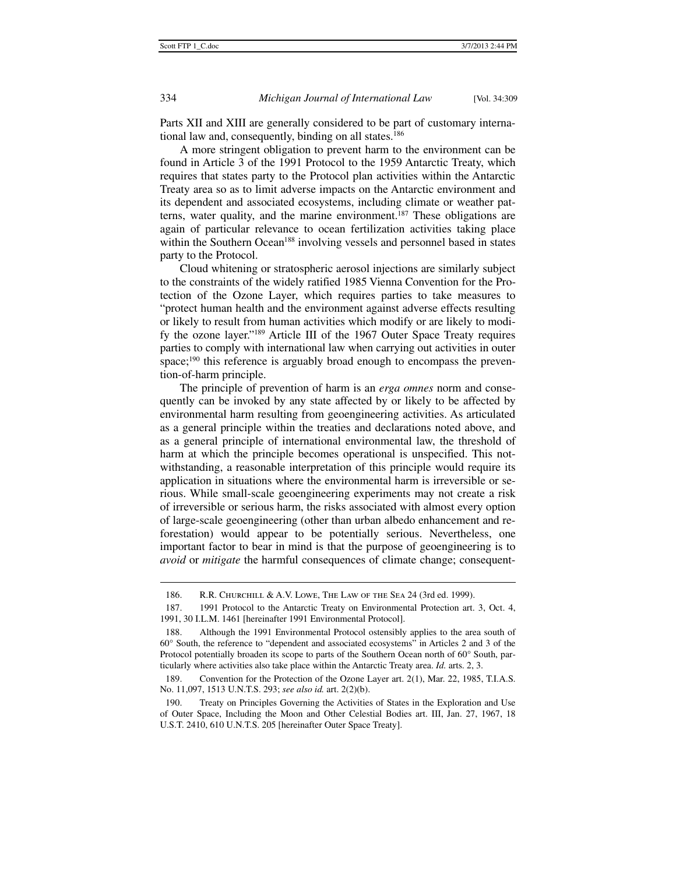j

Parts XII and XIII are generally considered to be part of customary international law and, consequently, binding on all states.<sup>186</sup>

A more stringent obligation to prevent harm to the environment can be found in Article 3 of the 1991 Protocol to the 1959 Antarctic Treaty, which requires that states party to the Protocol plan activities within the Antarctic Treaty area so as to limit adverse impacts on the Antarctic environment and its dependent and associated ecosystems, including climate or weather patterns, water quality, and the marine environment.187 These obligations are again of particular relevance to ocean fertilization activities taking place within the Southern Ocean<sup>188</sup> involving vessels and personnel based in states party to the Protocol.

Cloud whitening or stratospheric aerosol injections are similarly subject to the constraints of the widely ratified 1985 Vienna Convention for the Protection of the Ozone Layer, which requires parties to take measures to "protect human health and the environment against adverse effects resulting or likely to result from human activities which modify or are likely to modify the ozone layer."189 Article III of the 1967 Outer Space Treaty requires parties to comply with international law when carrying out activities in outer space;<sup>190</sup> this reference is arguably broad enough to encompass the prevention-of-harm principle.

The principle of prevention of harm is an *erga omnes* norm and consequently can be invoked by any state affected by or likely to be affected by environmental harm resulting from geoengineering activities. As articulated as a general principle within the treaties and declarations noted above, and as a general principle of international environmental law, the threshold of harm at which the principle becomes operational is unspecified. This notwithstanding, a reasonable interpretation of this principle would require its application in situations where the environmental harm is irreversible or serious. While small-scale geoengineering experiments may not create a risk of irreversible or serious harm, the risks associated with almost every option of large-scale geoengineering (other than urban albedo enhancement and reforestation) would appear to be potentially serious. Nevertheless, one important factor to bear in mind is that the purpose of geoengineering is to *avoid* or *mitigate* the harmful consequences of climate change; consequent-

 190. Treaty on Principles Governing the Activities of States in the Exploration and Use of Outer Space, Including the Moon and Other Celestial Bodies art. III, Jan. 27, 1967, 18 U.S.T. 2410, 610 U.N.T.S. 205 [hereinafter Outer Space Treaty].

<sup>186.</sup> R.R. CHURCHILL & A.V. LOWE, THE LAW OF THE SEA 24 (3rd ed. 1999).

 <sup>187. 1991</sup> Protocol to the Antarctic Treaty on Environmental Protection art. 3, Oct. 4, 1991, 30 I.L.M. 1461 [hereinafter 1991 Environmental Protocol].

 <sup>188.</sup> Although the 1991 Environmental Protocol ostensibly applies to the area south of 60° South, the reference to "dependent and associated ecosystems" in Articles 2 and 3 of the Protocol potentially broaden its scope to parts of the Southern Ocean north of 60° South, particularly where activities also take place within the Antarctic Treaty area. *Id.* arts. 2, 3.

 <sup>189.</sup> Convention for the Protection of the Ozone Layer art. 2(1), Mar. 22, 1985, T.I.A.S. No. 11,097, 1513 U.N.T.S. 293; *see also id.* art. 2(2)(b).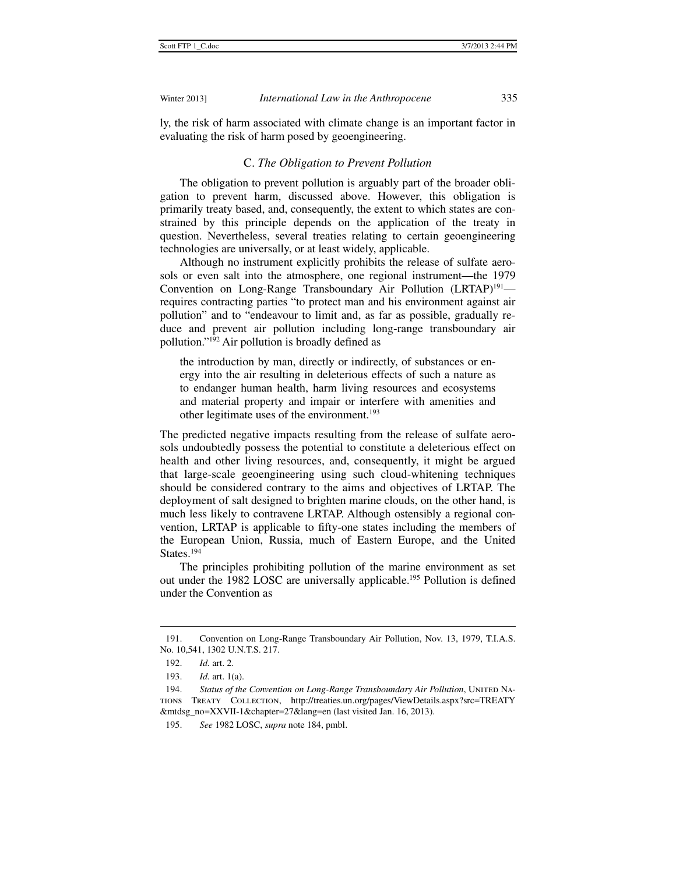ly, the risk of harm associated with climate change is an important factor in evaluating the risk of harm posed by geoengineering.

# C. *The Obligation to Prevent Pollution*

The obligation to prevent pollution is arguably part of the broader obligation to prevent harm, discussed above. However, this obligation is primarily treaty based, and, consequently, the extent to which states are constrained by this principle depends on the application of the treaty in question. Nevertheless, several treaties relating to certain geoengineering technologies are universally, or at least widely, applicable.

Although no instrument explicitly prohibits the release of sulfate aerosols or even salt into the atmosphere, one regional instrument—the 1979 Convention on Long-Range Transboundary Air Pollution (LRTAP)<sup>191</sup> requires contracting parties "to protect man and his environment against air pollution" and to "endeavour to limit and, as far as possible, gradually reduce and prevent air pollution including long-range transboundary air pollution."192 Air pollution is broadly defined as

the introduction by man, directly or indirectly, of substances or energy into the air resulting in deleterious effects of such a nature as to endanger human health, harm living resources and ecosystems and material property and impair or interfere with amenities and other legitimate uses of the environment.<sup>193</sup>

The predicted negative impacts resulting from the release of sulfate aerosols undoubtedly possess the potential to constitute a deleterious effect on health and other living resources, and, consequently, it might be argued that large-scale geoengineering using such cloud-whitening techniques should be considered contrary to the aims and objectives of LRTAP. The deployment of salt designed to brighten marine clouds, on the other hand, is much less likely to contravene LRTAP. Although ostensibly a regional convention, LRTAP is applicable to fifty-one states including the members of the European Union, Russia, much of Eastern Europe, and the United States.<sup>194</sup>

The principles prohibiting pollution of the marine environment as set out under the 1982 LOSC are universally applicable.<sup>195</sup> Pollution is defined under the Convention as

 <sup>191.</sup> Convention on Long-Range Transboundary Air Pollution, Nov. 13, 1979, T.I.A.S. No. 10,541, 1302 U.N.T.S. 217.

 <sup>192.</sup> *Id.* art. 2.

 <sup>193.</sup> *Id.* art. 1(a).

<sup>194.</sup> Status of the Convention on Long-Range Transboundary Air Pollution, UNITED NAtions Treaty Collection, http://treaties.un.org/pages/ViewDetails.aspx?src=TREATY &mtdsg\_no=XXVII-1&chapter=27&lang=en (last visited Jan. 16, 2013).

 <sup>195.</sup> *See* 1982 LOSC, *supra* note 184, pmbl.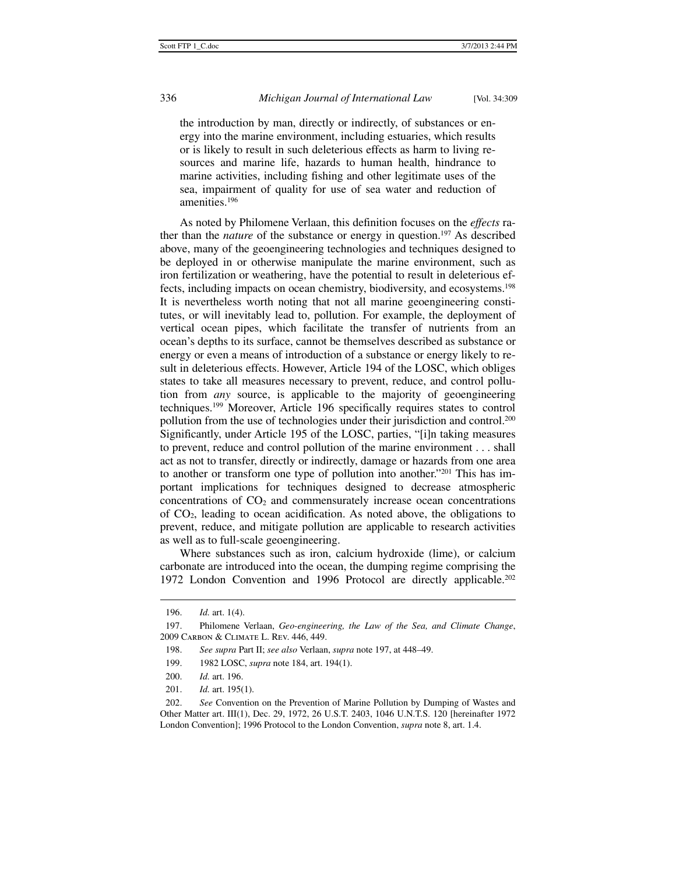the introduction by man, directly or indirectly, of substances or energy into the marine environment, including estuaries, which results or is likely to result in such deleterious effects as harm to living resources and marine life, hazards to human health, hindrance to marine activities, including fishing and other legitimate uses of the sea, impairment of quality for use of sea water and reduction of amenities.196

As noted by Philomene Verlaan, this definition focuses on the *effects* rather than the *nature* of the substance or energy in question.197 As described above, many of the geoengineering technologies and techniques designed to be deployed in or otherwise manipulate the marine environment, such as iron fertilization or weathering, have the potential to result in deleterious effects, including impacts on ocean chemistry, biodiversity, and ecosystems.198 It is nevertheless worth noting that not all marine geoengineering constitutes, or will inevitably lead to, pollution. For example, the deployment of vertical ocean pipes, which facilitate the transfer of nutrients from an ocean's depths to its surface, cannot be themselves described as substance or energy or even a means of introduction of a substance or energy likely to result in deleterious effects. However, Article 194 of the LOSC, which obliges states to take all measures necessary to prevent, reduce, and control pollution from *any* source, is applicable to the majority of geoengineering techniques.199 Moreover, Article 196 specifically requires states to control pollution from the use of technologies under their jurisdiction and control.200 Significantly, under Article 195 of the LOSC, parties, "[i]n taking measures to prevent, reduce and control pollution of the marine environment . . . shall act as not to transfer, directly or indirectly, damage or hazards from one area to another or transform one type of pollution into another."201 This has important implications for techniques designed to decrease atmospheric concentrations of  $CO<sub>2</sub>$  and commensurately increase ocean concentrations of CO2, leading to ocean acidification. As noted above, the obligations to prevent, reduce, and mitigate pollution are applicable to research activities as well as to full-scale geoengineering.

Where substances such as iron, calcium hydroxide (lime), or calcium carbonate are introduced into the ocean, the dumping regime comprising the 1972 London Convention and 1996 Protocol are directly applicable.202

 <sup>196.</sup> *Id.* art. 1(4).

 <sup>197.</sup> Philomene Verlaan, *Geo-engineering, the Law of the Sea, and Climate Change*, 2009 Carbon & Climate L. Rev. 446, 449.

 <sup>198.</sup> *See supra* Part II; *see also* Verlaan, *supra* note 197, at 448–49.

 <sup>199. 1982</sup> LOSC, *supra* note 184, art. 194(1).

 <sup>200.</sup> *Id.* art. 196.

 <sup>201.</sup> *Id.* art. 195(1).

 <sup>202.</sup> *See* Convention on the Prevention of Marine Pollution by Dumping of Wastes and Other Matter art. III(1), Dec. 29, 1972, 26 U.S.T. 2403, 1046 U.N.T.S. 120 [hereinafter 1972 London Convention]; 1996 Protocol to the London Convention, *supra* note 8, art. 1.4.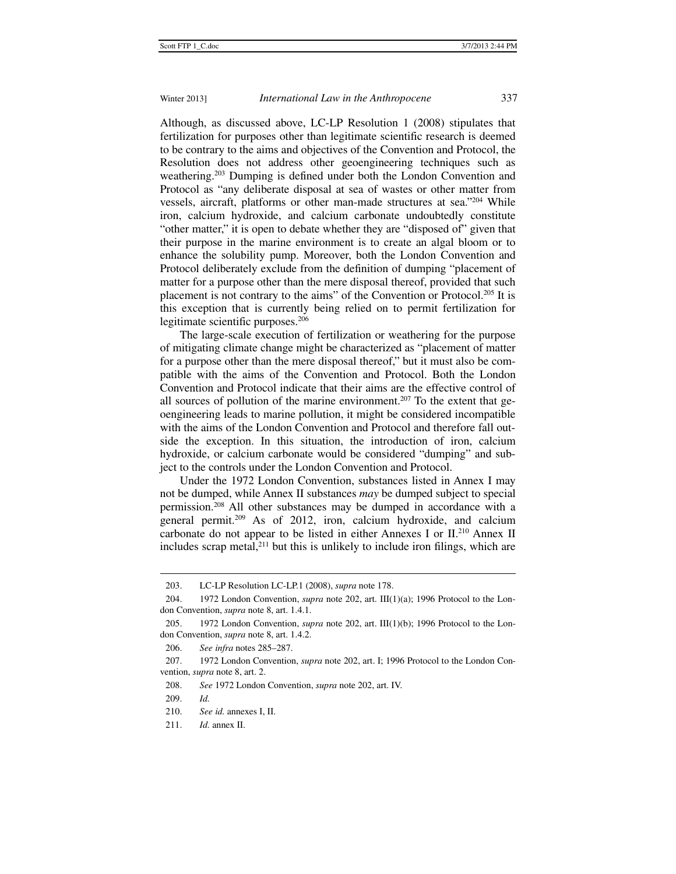Although, as discussed above, LC-LP Resolution 1 (2008) stipulates that fertilization for purposes other than legitimate scientific research is deemed to be contrary to the aims and objectives of the Convention and Protocol, the Resolution does not address other geoengineering techniques such as weathering.203 Dumping is defined under both the London Convention and Protocol as "any deliberate disposal at sea of wastes or other matter from vessels, aircraft, platforms or other man-made structures at sea."204 While iron, calcium hydroxide, and calcium carbonate undoubtedly constitute "other matter," it is open to debate whether they are "disposed of" given that their purpose in the marine environment is to create an algal bloom or to enhance the solubility pump. Moreover, both the London Convention and Protocol deliberately exclude from the definition of dumping "placement of matter for a purpose other than the mere disposal thereof, provided that such placement is not contrary to the aims" of the Convention or Protocol.205 It is this exception that is currently being relied on to permit fertilization for legitimate scientific purposes.<sup>206</sup>

The large-scale execution of fertilization or weathering for the purpose of mitigating climate change might be characterized as "placement of matter for a purpose other than the mere disposal thereof," but it must also be compatible with the aims of the Convention and Protocol. Both the London Convention and Protocol indicate that their aims are the effective control of all sources of pollution of the marine environment.<sup>207</sup> To the extent that geoengineering leads to marine pollution, it might be considered incompatible with the aims of the London Convention and Protocol and therefore fall outside the exception. In this situation, the introduction of iron, calcium hydroxide, or calcium carbonate would be considered "dumping" and subject to the controls under the London Convention and Protocol.

Under the 1972 London Convention, substances listed in Annex I may not be dumped, while Annex II substances *may* be dumped subject to special permission.208 All other substances may be dumped in accordance with a general permit.209 As of 2012, iron, calcium hydroxide, and calcium carbonate do not appear to be listed in either Annexes I or II.210 Annex II includes scrap metal, $2^{11}$  but this is unlikely to include iron filings, which are

 <sup>203.</sup> LC-LP Resolution LC-LP.1 (2008), *supra* note 178.

 <sup>204. 1972</sup> London Convention, *supra* note 202, art. III(1)(a); 1996 Protocol to the London Convention, *supra* note 8, art. 1.4.1.

 <sup>205. 1972</sup> London Convention, *supra* note 202, art. III(1)(b); 1996 Protocol to the London Convention, *supra* note 8, art. 1.4.2.

 <sup>206.</sup> *See infra* notes 285–287.

 <sup>207. 1972</sup> London Convention, *supra* note 202, art. I; 1996 Protocol to the London Convention, *supra* note 8, art. 2.

 <sup>208.</sup> *See* 1972 London Convention, *supra* note 202, art. IV.

 <sup>209.</sup> *Id.*

 <sup>210.</sup> *See id.* annexes I, II.

 <sup>211.</sup> *Id.* annex II.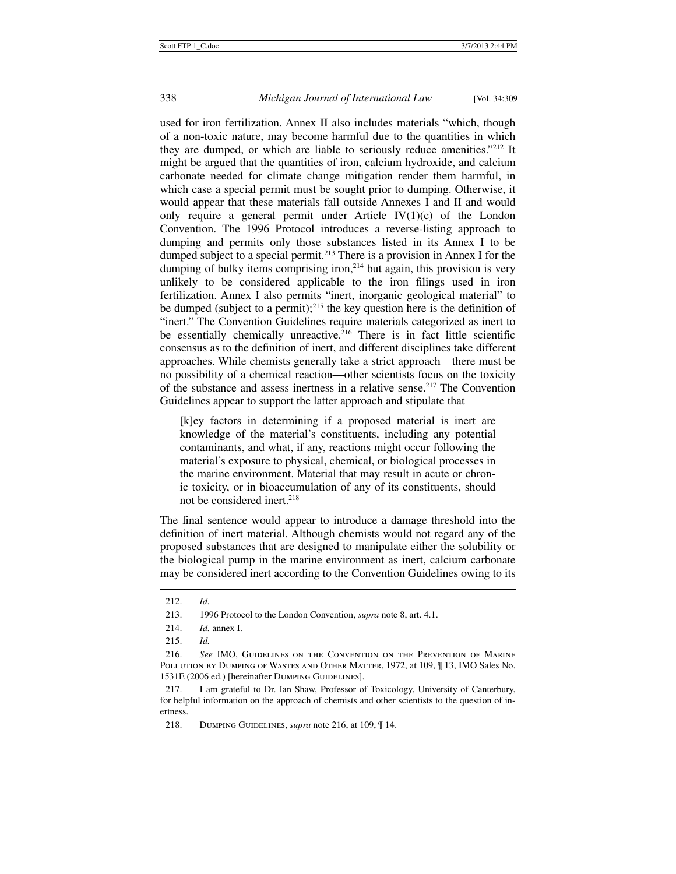used for iron fertilization. Annex II also includes materials "which, though of a non-toxic nature, may become harmful due to the quantities in which they are dumped, or which are liable to seriously reduce amenities."212 It might be argued that the quantities of iron, calcium hydroxide, and calcium carbonate needed for climate change mitigation render them harmful, in which case a special permit must be sought prior to dumping. Otherwise, it would appear that these materials fall outside Annexes I and II and would only require a general permit under Article  $IV(1)(c)$  of the London Convention. The 1996 Protocol introduces a reverse-listing approach to dumping and permits only those substances listed in its Annex I to be dumped subject to a special permit.<sup>213</sup> There is a provision in Annex I for the dumping of bulky items comprising iron,<sup>214</sup> but again, this provision is very unlikely to be considered applicable to the iron filings used in iron fertilization. Annex I also permits "inert, inorganic geological material" to be dumped (subject to a permit);<sup>215</sup> the key question here is the definition of "inert." The Convention Guidelines require materials categorized as inert to be essentially chemically unreactive.<sup>216</sup> There is in fact little scientific consensus as to the definition of inert, and different disciplines take different approaches. While chemists generally take a strict approach—there must be no possibility of a chemical reaction—other scientists focus on the toxicity of the substance and assess inertness in a relative sense.217 The Convention Guidelines appear to support the latter approach and stipulate that

[k]ey factors in determining if a proposed material is inert are knowledge of the material's constituents, including any potential contaminants, and what, if any, reactions might occur following the material's exposure to physical, chemical, or biological processes in the marine environment. Material that may result in acute or chronic toxicity, or in bioaccumulation of any of its constituents, should not be considered inert.<sup>218</sup>

The final sentence would appear to introduce a damage threshold into the definition of inert material. Although chemists would not regard any of the proposed substances that are designed to manipulate either the solubility or the biological pump in the marine environment as inert, calcium carbonate may be considered inert according to the Convention Guidelines owing to its

j

 <sup>212.</sup> *Id.*

 <sup>213. 1996</sup> Protocol to the London Convention, *supra* note 8, art. 4.1.

 <sup>214.</sup> *Id.* annex I.

 <sup>215.</sup> *Id.*

 <sup>216.</sup> *See* IMO, Guidelines on the Convention on the Prevention of Marine POLLUTION BY DUMPING OF WASTES AND OTHER MATTER, 1972, at 109,  $\P$  13, IMO Sales No. 1531E (2006 ed.) [hereinafter DUMPING GUIDELINES].

 <sup>217.</sup> I am grateful to Dr. Ian Shaw, Professor of Toxicology, University of Canterbury, for helpful information on the approach of chemists and other scientists to the question of inertness.

 <sup>218.</sup> Dumping Guidelines, *supra* note 216, at 109, ¶ 14.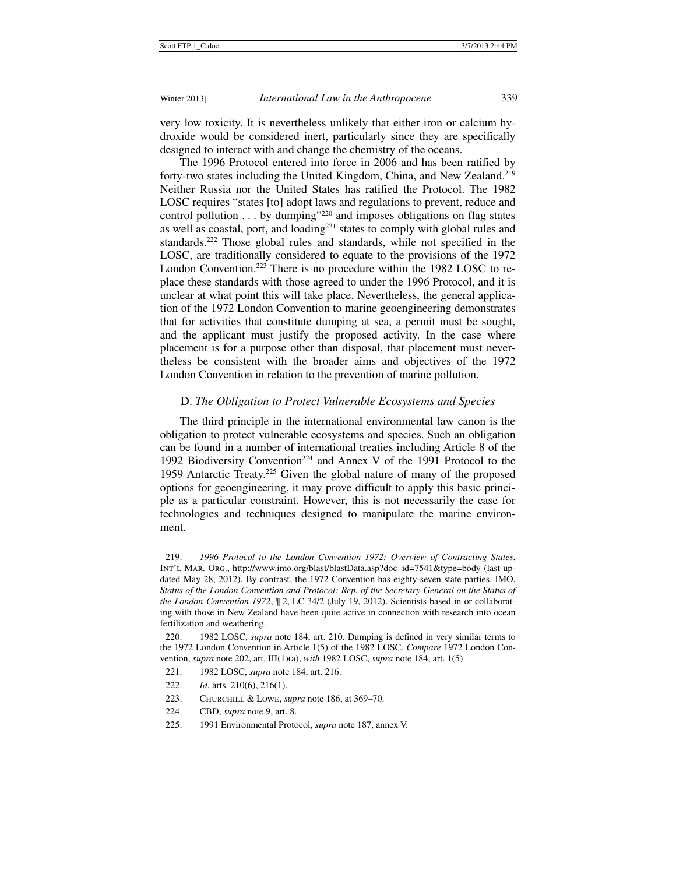very low toxicity. It is nevertheless unlikely that either iron or calcium hydroxide would be considered inert, particularly since they are specifically designed to interact with and change the chemistry of the oceans.

The 1996 Protocol entered into force in 2006 and has been ratified by forty-two states including the United Kingdom, China, and New Zealand.<sup>219</sup> Neither Russia nor the United States has ratified the Protocol. The 1982 LOSC requires "states [to] adopt laws and regulations to prevent, reduce and control pollution  $\dots$  by dumping"<sup>220</sup> and imposes obligations on flag states as well as coastal, port, and loading<sup>221</sup> states to comply with global rules and standards.<sup>222</sup> Those global rules and standards, while not specified in the LOSC, are traditionally considered to equate to the provisions of the 1972 London Convention.<sup>223</sup> There is no procedure within the 1982 LOSC to replace these standards with those agreed to under the 1996 Protocol, and it is unclear at what point this will take place. Nevertheless, the general application of the 1972 London Convention to marine geoengineering demonstrates that for activities that constitute dumping at sea, a permit must be sought, and the applicant must justify the proposed activity. In the case where placement is for a purpose other than disposal, that placement must nevertheless be consistent with the broader aims and objectives of the 1972 London Convention in relation to the prevention of marine pollution.

### D. *The Obligation to Protect Vulnerable Ecosystems and Species*

The third principle in the international environmental law canon is the obligation to protect vulnerable ecosystems and species. Such an obligation can be found in a number of international treaties including Article 8 of the 1992 Biodiversity Convention<sup>224</sup> and Annex V of the 1991 Protocol to the 1959 Antarctic Treaty.225 Given the global nature of many of the proposed options for geoengineering, it may prove difficult to apply this basic principle as a particular constraint. However, this is not necessarily the case for technologies and techniques designed to manipulate the marine environment.

 <sup>219.</sup> *1996 Protocol to the London Convention 1972: Overview of Contracting States*, Int'l Mar. Org., http://www.imo.org/blast/blastData.asp?doc\_id=7541&type=body (last updated May 28, 2012). By contrast, the 1972 Convention has eighty-seven state parties. IMO, *Status of the London Convention and Protocol: Rep. of the Secretary-General on the Status of the London Convention 1972*, ¶ 2, LC 34/2 (July 19, 2012). Scientists based in or collaborating with those in New Zealand have been quite active in connection with research into ocean fertilization and weathering.

 <sup>220. 1982</sup> LOSC, *supra* note 184, art. 210. Dumping is defined in very similar terms to the 1972 London Convention in Article 1(5) of the 1982 LOSC. *Compare* 1972 London Convention, *supra* note 202, art. III(1)(a), *with* 1982 LOSC, *supra* note 184, art. 1(5).

 <sup>221. 1982</sup> LOSC, *supra* note 184, art. 216.

 <sup>222.</sup> *Id.* arts. 210(6), 216(1).

 <sup>223.</sup> Churchill & Lowe, *supra* note 186, at 369–70.

 <sup>224.</sup> CBD, *supra* note 9, art. 8.

 <sup>225. 1991</sup> Environmental Protocol, *supra* note 187, annex V.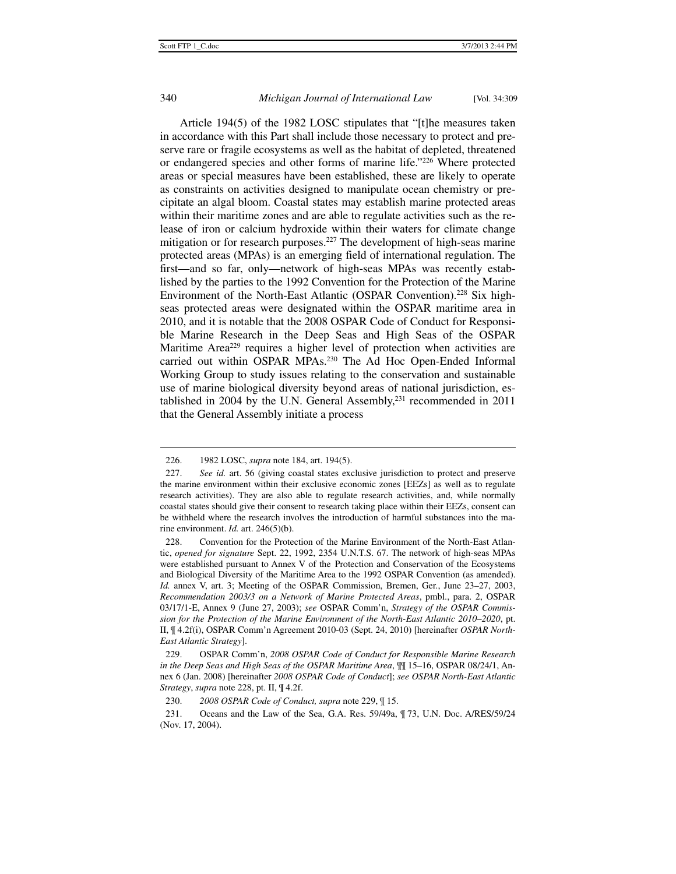## 340 *Michigan Journal of International Law* [Vol. 34:309

Article 194(5) of the 1982 LOSC stipulates that "[t]he measures taken in accordance with this Part shall include those necessary to protect and preserve rare or fragile ecosystems as well as the habitat of depleted, threatened or endangered species and other forms of marine life."226 Where protected areas or special measures have been established, these are likely to operate as constraints on activities designed to manipulate ocean chemistry or precipitate an algal bloom. Coastal states may establish marine protected areas within their maritime zones and are able to regulate activities such as the release of iron or calcium hydroxide within their waters for climate change mitigation or for research purposes.<sup>227</sup> The development of high-seas marine protected areas (MPAs) is an emerging field of international regulation. The first—and so far, only—network of high-seas MPAs was recently established by the parties to the 1992 Convention for the Protection of the Marine Environment of the North-East Atlantic (OSPAR Convention).<sup>228</sup> Six highseas protected areas were designated within the OSPAR maritime area in 2010, and it is notable that the 2008 OSPAR Code of Conduct for Responsible Marine Research in the Deep Seas and High Seas of the OSPAR Maritime Area<sup>229</sup> requires a higher level of protection when activities are carried out within OSPAR MPAs.230 The Ad Hoc Open-Ended Informal Working Group to study issues relating to the conservation and sustainable use of marine biological diversity beyond areas of national jurisdiction, established in 2004 by the U.N. General Assembly,<sup>231</sup> recommended in 2011 that the General Assembly initiate a process

 <sup>226. 1982</sup> LOSC, *supra* note 184, art. 194(5).

 <sup>227.</sup> *See id.* art. 56 (giving coastal states exclusive jurisdiction to protect and preserve the marine environment within their exclusive economic zones [EEZs] as well as to regulate research activities). They are also able to regulate research activities, and, while normally coastal states should give their consent to research taking place within their EEZs, consent can be withheld where the research involves the introduction of harmful substances into the marine environment. *Id.* art. 246(5)(b).

 <sup>228.</sup> Convention for the Protection of the Marine Environment of the North-East Atlantic, *opened for signature* Sept. 22, 1992, 2354 U.N.T.S. 67. The network of high-seas MPAs were established pursuant to Annex V of the Protection and Conservation of the Ecosystems and Biological Diversity of the Maritime Area to the 1992 OSPAR Convention (as amended). *Id.* annex V, art. 3; Meeting of the OSPAR Commission, Bremen, Ger., June 23–27, 2003, *Recommendation 2003/3 on a Network of Marine Protected Areas*, pmbl., para. 2, OSPAR 03/17/1-E, Annex 9 (June 27, 2003); *see* OSPAR Comm'n, *Strategy of the OSPAR Commission for the Protection of the Marine Environment of the North-East Atlantic 2010–2020*, pt. II, ¶ 4.2f(i), OSPAR Comm'n Agreement 2010-03 (Sept. 24, 2010) [hereinafter *OSPAR North-East Atlantic Strategy*].

 <sup>229.</sup> OSPAR Comm'n, *2008 OSPAR Code of Conduct for Responsible Marine Research in the Deep Seas and High Seas of the OSPAR Maritime Area*, ¶¶ 15–16, OSPAR 08/24/1, Annex 6 (Jan. 2008) [hereinafter *2008 OSPAR Code of Conduct*]; *see OSPAR North-East Atlantic Strategy*, *supra* note 228, pt. II, ¶ 4.2f.

 <sup>230.</sup> *2008 OSPAR Code of Conduct, supra* note 229, ¶ 15.

 <sup>231.</sup> Oceans and the Law of the Sea, G.A. Res. 59/49a, ¶ 73, U.N. Doc. A/RES/59/24 (Nov. 17, 2004).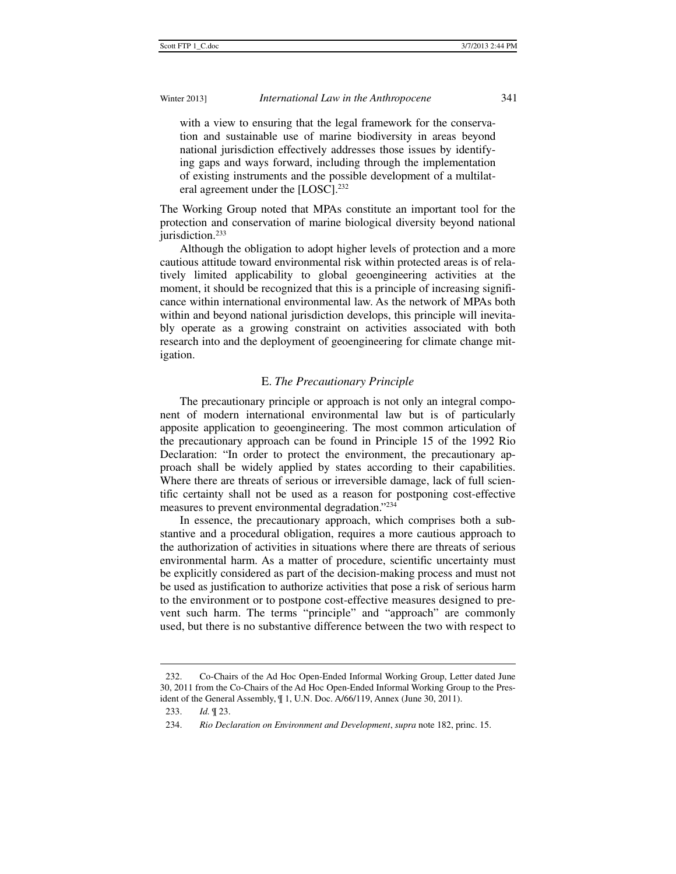with a view to ensuring that the legal framework for the conservation and sustainable use of marine biodiversity in areas beyond national jurisdiction effectively addresses those issues by identifying gaps and ways forward, including through the implementation of existing instruments and the possible development of a multilateral agreement under the [LOSC].<sup>232</sup>

The Working Group noted that MPAs constitute an important tool for the protection and conservation of marine biological diversity beyond national jurisdiction.<sup>233</sup>

Although the obligation to adopt higher levels of protection and a more cautious attitude toward environmental risk within protected areas is of relatively limited applicability to global geoengineering activities at the moment, it should be recognized that this is a principle of increasing significance within international environmental law. As the network of MPAs both within and beyond national jurisdiction develops, this principle will inevitably operate as a growing constraint on activities associated with both research into and the deployment of geoengineering for climate change mitigation.

# E. *The Precautionary Principle*

The precautionary principle or approach is not only an integral component of modern international environmental law but is of particularly apposite application to geoengineering. The most common articulation of the precautionary approach can be found in Principle 15 of the 1992 Rio Declaration: "In order to protect the environment, the precautionary approach shall be widely applied by states according to their capabilities. Where there are threats of serious or irreversible damage, lack of full scientific certainty shall not be used as a reason for postponing cost-effective measures to prevent environmental degradation."234

In essence, the precautionary approach, which comprises both a substantive and a procedural obligation, requires a more cautious approach to the authorization of activities in situations where there are threats of serious environmental harm. As a matter of procedure, scientific uncertainty must be explicitly considered as part of the decision-making process and must not be used as justification to authorize activities that pose a risk of serious harm to the environment or to postpone cost-effective measures designed to prevent such harm. The terms "principle" and "approach" are commonly used, but there is no substantive difference between the two with respect to

 <sup>232.</sup> Co-Chairs of the Ad Hoc Open-Ended Informal Working Group, Letter dated June 30, 2011 from the Co-Chairs of the Ad Hoc Open-Ended Informal Working Group to the President of the General Assembly, ¶ 1, U.N. Doc. A/66/119, Annex (June 30, 2011).

 <sup>233.</sup> *Id.* ¶ 23.

 <sup>234.</sup> *Rio Declaration on Environment and Development*, *supra* note 182, princ. 15.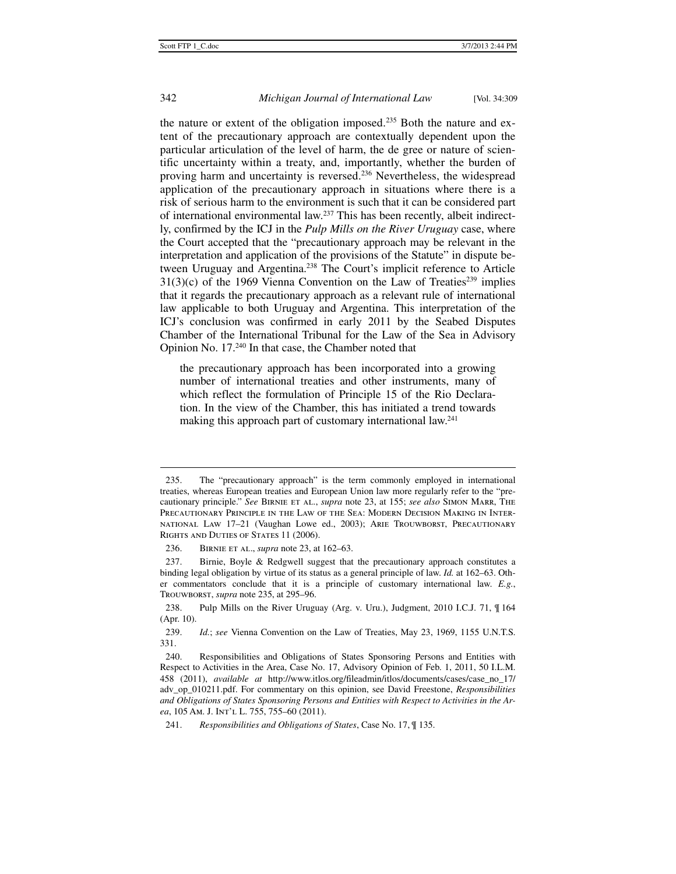# 342 *Michigan Journal of International Law* [Vol. 34:309

the nature or extent of the obligation imposed.235 Both the nature and extent of the precautionary approach are contextually dependent upon the particular articulation of the level of harm, the de gree or nature of scientific uncertainty within a treaty, and, importantly, whether the burden of proving harm and uncertainty is reversed.<sup>236</sup> Nevertheless, the widespread application of the precautionary approach in situations where there is a risk of serious harm to the environment is such that it can be considered part of international environmental law.237 This has been recently, albeit indirectly, confirmed by the ICJ in the *Pulp Mills on the River Uruguay* case, where the Court accepted that the "precautionary approach may be relevant in the interpretation and application of the provisions of the Statute" in dispute between Uruguay and Argentina.<sup>238</sup> The Court's implicit reference to Article  $31(3)(c)$  of the 1969 Vienna Convention on the Law of Treaties<sup>239</sup> implies that it regards the precautionary approach as a relevant rule of international law applicable to both Uruguay and Argentina. This interpretation of the ICJ's conclusion was confirmed in early 2011 by the Seabed Disputes Chamber of the International Tribunal for the Law of the Sea in Advisory Opinion No. 17.240 In that case, the Chamber noted that

the precautionary approach has been incorporated into a growing number of international treaties and other instruments, many of which reflect the formulation of Principle 15 of the Rio Declaration. In the view of the Chamber, this has initiated a trend towards making this approach part of customary international law.<sup>241</sup>

 <sup>235.</sup> The "precautionary approach" is the term commonly employed in international treaties, whereas European treaties and European Union law more regularly refer to the "precautionary principle." *See* Birnie et al., *supra* note 23, at 155; *see also* Simon Marr, The Precautionary Principle in the Law of the Sea: Modern Decision Making in International Law 17–21 (Vaughan Lowe ed., 2003); Arie Trouwborst, Precautionary RIGHTS AND DUTIES OF STATES 11 (2006).

 <sup>236.</sup> Birnie et al., *supra* note 23, at 162–63.

 <sup>237.</sup> Birnie, Boyle & Redgwell suggest that the precautionary approach constitutes a binding legal obligation by virtue of its status as a general principle of law. *Id.* at 162–63. Other commentators conclude that it is a principle of customary international law. *E.g.*, Trouwborst, *supra* note 235, at 295–96.

 <sup>238.</sup> Pulp Mills on the River Uruguay (Arg. v. Uru.), Judgment, 2010 I.C.J. 71, ¶ 164 (Apr. 10).

 <sup>239.</sup> *Id.*; *see* Vienna Convention on the Law of Treaties, May 23, 1969, 1155 U.N.T.S. 331.

 <sup>240.</sup> Responsibilities and Obligations of States Sponsoring Persons and Entities with Respect to Activities in the Area, Case No. 17, Advisory Opinion of Feb. 1, 2011, 50 I.L.M. 458 (2011), *available at* http://www.itlos.org/fileadmin/itlos/documents/cases/case\_no\_17/ adv\_op\_010211.pdf. For commentary on this opinion, see David Freestone, *Responsibilities and Obligations of States Sponsoring Persons and Entities with Respect to Activities in the Area*, 105 Am. J. INT'L L. 755, 755–60 (2011).

 <sup>241.</sup> *Responsibilities and Obligations of States*, Case No. 17, ¶ 135.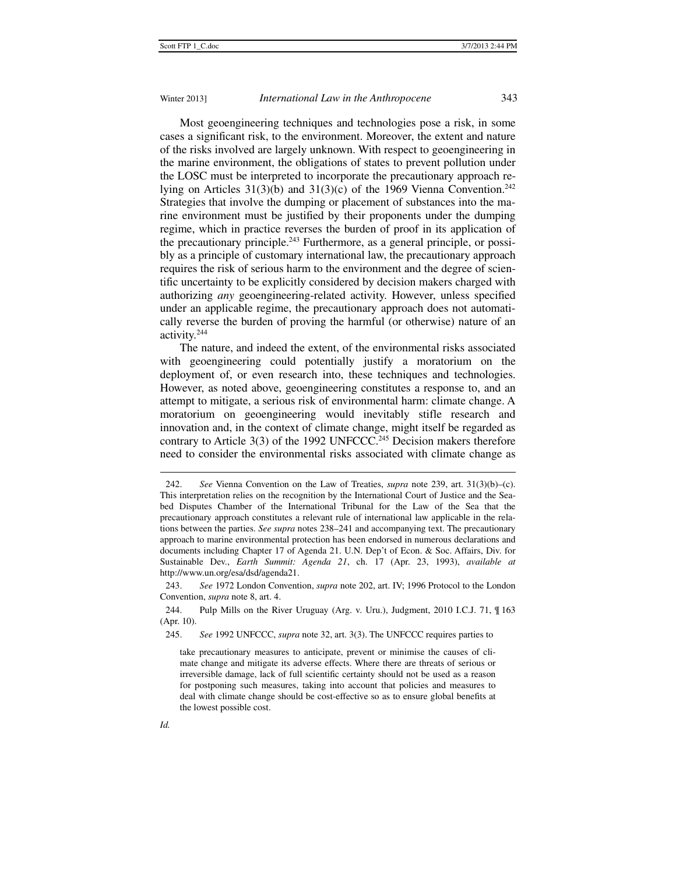Most geoengineering techniques and technologies pose a risk, in some cases a significant risk, to the environment. Moreover, the extent and nature of the risks involved are largely unknown. With respect to geoengineering in the marine environment, the obligations of states to prevent pollution under the LOSC must be interpreted to incorporate the precautionary approach relying on Articles  $31(3)(b)$  and  $31(3)(c)$  of the 1969 Vienna Convention.<sup>242</sup> Strategies that involve the dumping or placement of substances into the marine environment must be justified by their proponents under the dumping regime, which in practice reverses the burden of proof in its application of the precautionary principle.<sup>243</sup> Furthermore, as a general principle, or possibly as a principle of customary international law, the precautionary approach requires the risk of serious harm to the environment and the degree of scientific uncertainty to be explicitly considered by decision makers charged with authorizing *any* geoengineering-related activity. However, unless specified under an applicable regime, the precautionary approach does not automatically reverse the burden of proving the harmful (or otherwise) nature of an activity.244

The nature, and indeed the extent, of the environmental risks associated with geoengineering could potentially justify a moratorium on the deployment of, or even research into, these techniques and technologies. However, as noted above, geoengineering constitutes a response to, and an attempt to mitigate, a serious risk of environmental harm: climate change. A moratorium on geoengineering would inevitably stifle research and innovation and, in the context of climate change, might itself be regarded as contrary to Article  $3(3)$  of the 1992 UNFCCC.<sup>245</sup> Decision makers therefore need to consider the environmental risks associated with climate change as

245. *See* 1992 UNFCCC, *supra* note 32, art. 3(3). The UNFCCC requires parties to

 <sup>242.</sup> *See* Vienna Convention on the Law of Treaties, *supra* note 239, art. 31(3)(b)–(c). This interpretation relies on the recognition by the International Court of Justice and the Seabed Disputes Chamber of the International Tribunal for the Law of the Sea that the precautionary approach constitutes a relevant rule of international law applicable in the relations between the parties. *See supra* notes 238–241 and accompanying text. The precautionary approach to marine environmental protection has been endorsed in numerous declarations and documents including Chapter 17 of Agenda 21. U.N. Dep't of Econ. & Soc. Affairs, Div. for Sustainable Dev., *Earth Summit: Agenda 21*, ch. 17 (Apr. 23, 1993), *available at* http://www.un.org/esa/dsd/agenda21.

 <sup>243.</sup> *See* 1972 London Convention, *supra* note 202, art. IV; 1996 Protocol to the London Convention, *supra* note 8, art. 4.

 <sup>244.</sup> Pulp Mills on the River Uruguay (Arg. v. Uru.), Judgment, 2010 I.C.J. 71, ¶ 163 (Apr. 10).

take precautionary measures to anticipate, prevent or minimise the causes of climate change and mitigate its adverse effects. Where there are threats of serious or irreversible damage, lack of full scientific certainty should not be used as a reason for postponing such measures, taking into account that policies and measures to deal with climate change should be cost-effective so as to ensure global benefits at the lowest possible cost.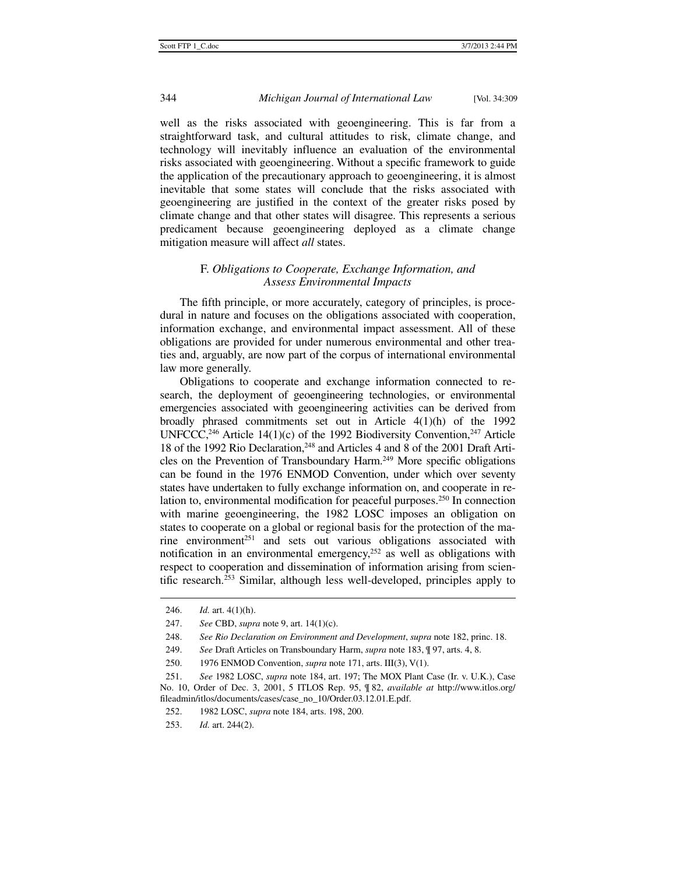well as the risks associated with geoengineering. This is far from a straightforward task, and cultural attitudes to risk, climate change, and technology will inevitably influence an evaluation of the environmental risks associated with geoengineering. Without a specific framework to guide the application of the precautionary approach to geoengineering, it is almost inevitable that some states will conclude that the risks associated with geoengineering are justified in the context of the greater risks posed by climate change and that other states will disagree. This represents a serious predicament because geoengineering deployed as a climate change mitigation measure will affect *all* states.

# F. *Obligations to Cooperate, Exchange Information, and Assess Environmental Impacts*

The fifth principle, or more accurately, category of principles, is procedural in nature and focuses on the obligations associated with cooperation, information exchange, and environmental impact assessment. All of these obligations are provided for under numerous environmental and other treaties and, arguably, are now part of the corpus of international environmental law more generally.

Obligations to cooperate and exchange information connected to research, the deployment of geoengineering technologies, or environmental emergencies associated with geoengineering activities can be derived from broadly phrased commitments set out in Article 4(1)(h) of the 1992 UNFCCC,<sup>246</sup> Article 14(1)(c) of the 1992 Biodiversity Convention,<sup>247</sup> Article 18 of the 1992 Rio Declaration,<sup>248</sup> and Articles 4 and 8 of the 2001 Draft Articles on the Prevention of Transboundary Harm.<sup>249</sup> More specific obligations can be found in the 1976 ENMOD Convention, under which over seventy states have undertaken to fully exchange information on, and cooperate in relation to, environmental modification for peaceful purposes.<sup>250</sup> In connection with marine geoengineering, the 1982 LOSC imposes an obligation on states to cooperate on a global or regional basis for the protection of the marine environment<sup>251</sup> and sets out various obligations associated with notification in an environmental emergency,<sup>252</sup> as well as obligations with respect to cooperation and dissemination of information arising from scientific research.253 Similar, although less well-developed, principles apply to

 <sup>246.</sup> *Id.* art. 4(1)(h).

 <sup>247.</sup> *See* CBD, *supra* note 9, art. 14(1)(c).

 <sup>248.</sup> *See Rio Declaration on Environment and Development*, *supra* note 182, princ. 18.

 <sup>249.</sup> *See* Draft Articles on Transboundary Harm, *supra* note 183, ¶ 97, arts. 4, 8.

 <sup>250. 1976</sup> ENMOD Convention, *supra* note 171, arts. III(3), V(1).

 <sup>251.</sup> *See* 1982 LOSC, *supra* note 184, art. 197; The MOX Plant Case (Ir. v. U.K.), Case No. 10, Order of Dec. 3, 2001, 5 ITLOS Rep. 95, ¶ 82, *available at* http://www.itlos.org/ fileadmin/itlos/documents/cases/case\_no\_10/Order.03.12.01.E.pdf.

 <sup>252. 1982</sup> LOSC, *supra* note 184, arts. 198, 200.

 <sup>253.</sup> *Id.* art. 244(2).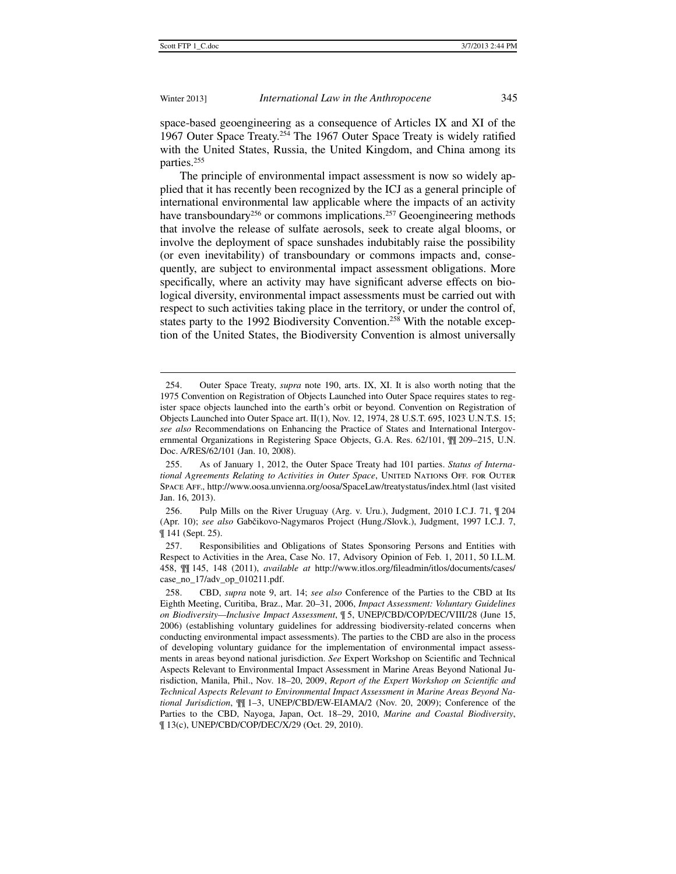Winter 2013] *International Law in the Anthropocene* 345

space-based geoengineering as a consequence of Articles IX and XI of the 1967 Outer Space Treaty.254 The 1967 Outer Space Treaty is widely ratified with the United States, Russia, the United Kingdom, and China among its parties.255

The principle of environmental impact assessment is now so widely applied that it has recently been recognized by the ICJ as a general principle of international environmental law applicable where the impacts of an activity have transboundary<sup>256</sup> or commons implications.<sup>257</sup> Geoengineering methods that involve the release of sulfate aerosols, seek to create algal blooms, or involve the deployment of space sunshades indubitably raise the possibility (or even inevitability) of transboundary or commons impacts and, consequently, are subject to environmental impact assessment obligations. More specifically, where an activity may have significant adverse effects on biological diversity, environmental impact assessments must be carried out with respect to such activities taking place in the territory, or under the control of, states party to the 1992 Biodiversity Convention.<sup>258</sup> With the notable exception of the United States, the Biodiversity Convention is almost universally

 <sup>254.</sup> Outer Space Treaty, *supra* note 190, arts. IX, XI. It is also worth noting that the 1975 Convention on Registration of Objects Launched into Outer Space requires states to register space objects launched into the earth's orbit or beyond. Convention on Registration of Objects Launched into Outer Space art. II(1), Nov. 12, 1974, 28 U.S.T. 695, 1023 U.N.T.S. 15; *see also* Recommendations on Enhancing the Practice of States and International Intergovernmental Organizations in Registering Space Objects, G.A. Res. 62/101, ¶¶ 209–215, U.N. Doc. A/RES/62/101 (Jan. 10, 2008).

 <sup>255.</sup> As of January 1, 2012, the Outer Space Treaty had 101 parties. *Status of International Agreements Relating to Activities in Outer Space*, UNITED NATIONS OFF. FOR OUTER Space Aff., http://www.oosa.unvienna.org/oosa/SpaceLaw/treatystatus/index.html (last visited Jan. 16, 2013).

 <sup>256.</sup> Pulp Mills on the River Uruguay (Arg. v. Uru.), Judgment, 2010 I.C.J. 71, ¶ 204 (Apr. 10); *see also* Gabčikovo-Nagymaros Project (Hung./Slovk.), Judgment, 1997 I.C.J. 7, ¶ 141 (Sept. 25).

 <sup>257.</sup> Responsibilities and Obligations of States Sponsoring Persons and Entities with Respect to Activities in the Area, Case No. 17, Advisory Opinion of Feb. 1, 2011, 50 I.L.M. 458, ¶¶ 145, 148 (2011), *available at* http://www.itlos.org/fileadmin/itlos/documents/cases/ case\_no\_17/adv\_op\_010211.pdf.

 <sup>258.</sup> CBD, *supra* note 9, art. 14; *see also* Conference of the Parties to the CBD at Its Eighth Meeting, Curitiba, Braz., Mar. 20–31, 2006, *Impact Assessment: Voluntary Guidelines on Biodiversity—Inclusive Impact Assessment*, ¶ 5, UNEP/CBD/COP/DEC/VIII/28 (June 15, 2006) (establishing voluntary guidelines for addressing biodiversity-related concerns when conducting environmental impact assessments). The parties to the CBD are also in the process of developing voluntary guidance for the implementation of environmental impact assessments in areas beyond national jurisdiction. *See* Expert Workshop on Scientific and Technical Aspects Relevant to Environmental Impact Assessment in Marine Areas Beyond National Jurisdiction, Manila, Phil., Nov. 18–20, 2009, *Report of the Expert Workshop on Scientific and Technical Aspects Relevant to Environmental Impact Assessment in Marine Areas Beyond National Jurisdiction*, ¶¶ 1–3, UNEP/CBD/EW-EIAMA/2 (Nov. 20, 2009); Conference of the Parties to the CBD, Nayoga, Japan, Oct. 18–29, 2010, *Marine and Coastal Biodiversity*, ¶ 13(c), UNEP/CBD/COP/DEC/X/29 (Oct. 29, 2010).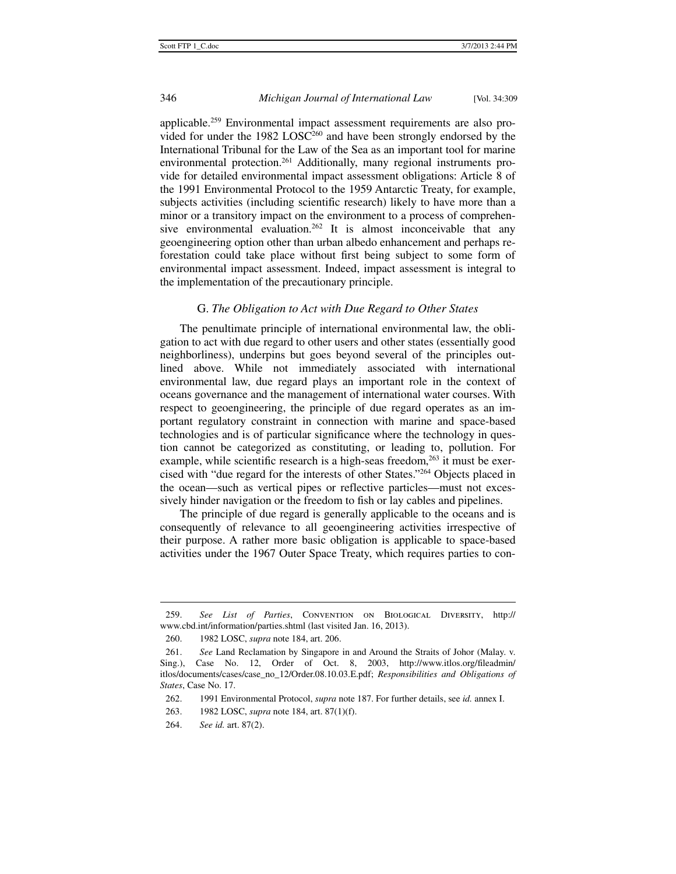applicable.259 Environmental impact assessment requirements are also provided for under the 1982 LOSC<sup>260</sup> and have been strongly endorsed by the International Tribunal for the Law of the Sea as an important tool for marine environmental protection.<sup>261</sup> Additionally, many regional instruments provide for detailed environmental impact assessment obligations: Article 8 of the 1991 Environmental Protocol to the 1959 Antarctic Treaty, for example, subjects activities (including scientific research) likely to have more than a minor or a transitory impact on the environment to a process of comprehensive environmental evaluation.<sup>262</sup> It is almost inconceivable that any geoengineering option other than urban albedo enhancement and perhaps reforestation could take place without first being subject to some form of environmental impact assessment. Indeed, impact assessment is integral to the implementation of the precautionary principle.

### G. *The Obligation to Act with Due Regard to Other States*

The penultimate principle of international environmental law, the obligation to act with due regard to other users and other states (essentially good neighborliness), underpins but goes beyond several of the principles outlined above. While not immediately associated with international environmental law, due regard plays an important role in the context of oceans governance and the management of international water courses. With respect to geoengineering, the principle of due regard operates as an important regulatory constraint in connection with marine and space-based technologies and is of particular significance where the technology in question cannot be categorized as constituting, or leading to, pollution. For example, while scientific research is a high-seas freedom, $263$  it must be exercised with "due regard for the interests of other States."264 Objects placed in the ocean—such as vertical pipes or reflective particles—must not excessively hinder navigation or the freedom to fish or lay cables and pipelines.

The principle of due regard is generally applicable to the oceans and is consequently of relevance to all geoengineering activities irrespective of their purpose. A rather more basic obligation is applicable to space-based activities under the 1967 Outer Space Treaty, which requires parties to con-

j

 <sup>259.</sup> *See List of Parties*, Convention on Biological Diversity, http:// www.cbd.int/information/parties.shtml (last visited Jan. 16, 2013).

 <sup>260. 1982</sup> LOSC, *supra* note 184, art. 206.

 <sup>261.</sup> *See* Land Reclamation by Singapore in and Around the Straits of Johor (Malay. v. Sing.), Case No. 12, Order of Oct. 8, 2003, http://www.itlos.org/fileadmin/ itlos/documents/cases/case\_no\_12/Order.08.10.03.E.pdf; *Responsibilities and Obligations of States*, Case No. 17.

 <sup>262. 1991</sup> Environmental Protocol, *supra* note 187. For further details, see *id.* annex I.

 <sup>263. 1982</sup> LOSC, *supra* note 184, art. 87(1)(f).

 <sup>264.</sup> *See id.* art. 87(2).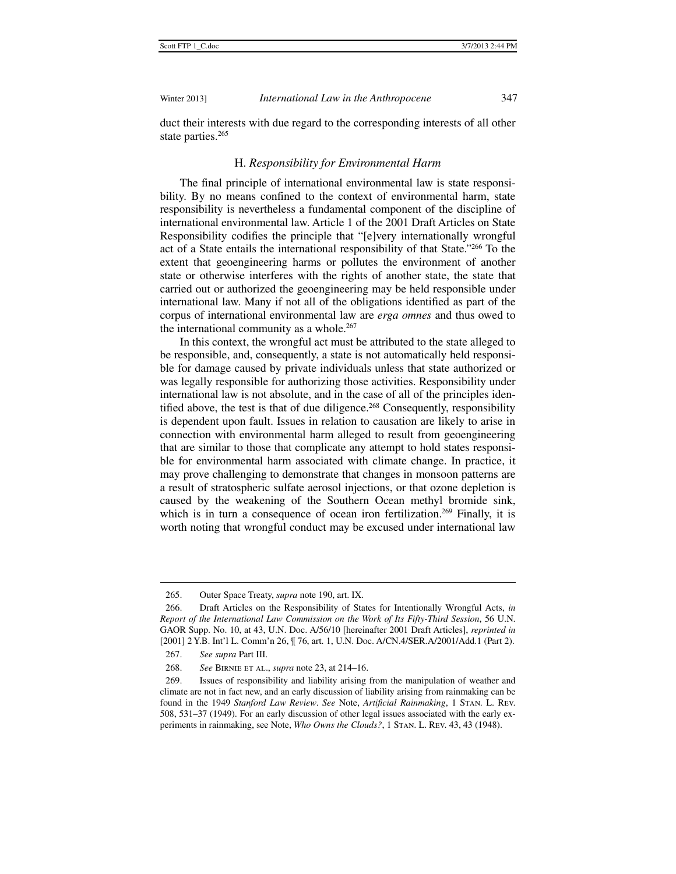duct their interests with due regard to the corresponding interests of all other state parties.<sup>265</sup>

# H. *Responsibility for Environmental Harm*

The final principle of international environmental law is state responsibility. By no means confined to the context of environmental harm, state responsibility is nevertheless a fundamental component of the discipline of international environmental law. Article 1 of the 2001 Draft Articles on State Responsibility codifies the principle that "[e]very internationally wrongful act of a State entails the international responsibility of that State."266 To the extent that geoengineering harms or pollutes the environment of another state or otherwise interferes with the rights of another state, the state that carried out or authorized the geoengineering may be held responsible under international law. Many if not all of the obligations identified as part of the corpus of international environmental law are *erga omnes* and thus owed to the international community as a whole.<sup>267</sup>

In this context, the wrongful act must be attributed to the state alleged to be responsible, and, consequently, a state is not automatically held responsible for damage caused by private individuals unless that state authorized or was legally responsible for authorizing those activities. Responsibility under international law is not absolute, and in the case of all of the principles identified above, the test is that of due diligence.<sup>268</sup> Consequently, responsibility is dependent upon fault. Issues in relation to causation are likely to arise in connection with environmental harm alleged to result from geoengineering that are similar to those that complicate any attempt to hold states responsible for environmental harm associated with climate change. In practice, it may prove challenging to demonstrate that changes in monsoon patterns are a result of stratospheric sulfate aerosol injections, or that ozone depletion is caused by the weakening of the Southern Ocean methyl bromide sink, which is in turn a consequence of ocean iron fertilization.<sup>269</sup> Finally, it is worth noting that wrongful conduct may be excused under international law

j

 <sup>265.</sup> Outer Space Treaty, *supra* note 190, art. IX.

 <sup>266.</sup> Draft Articles on the Responsibility of States for Intentionally Wrongful Acts, *in Report of the International Law Commission on the Work of Its Fifty-Third Session*, 56 U.N. GAOR Supp. No. 10, at 43, U.N. Doc. A/56/10 [hereinafter 2001 Draft Articles], *reprinted in* [2001] 2 Y.B. Int'l L. Comm'n 26, ¶ 76, art. 1, U.N. Doc. A/CN.4/SER.A/2001/Add.1 (Part 2).

 <sup>267.</sup> *See supra* Part III.

 <sup>268.</sup> *See* Birnie et al., *supra* note 23, at 214–16.

 <sup>269.</sup> Issues of responsibility and liability arising from the manipulation of weather and climate are not in fact new, and an early discussion of liability arising from rainmaking can be found in the 1949 *Stanford Law Review*. *See* Note, *Artificial Rainmaking*, 1 Stan. L. Rev. 508, 531–37 (1949). For an early discussion of other legal issues associated with the early experiments in rainmaking, see Note, *Who Owns the Clouds?*, 1 Stan. L. Rev. 43, 43 (1948).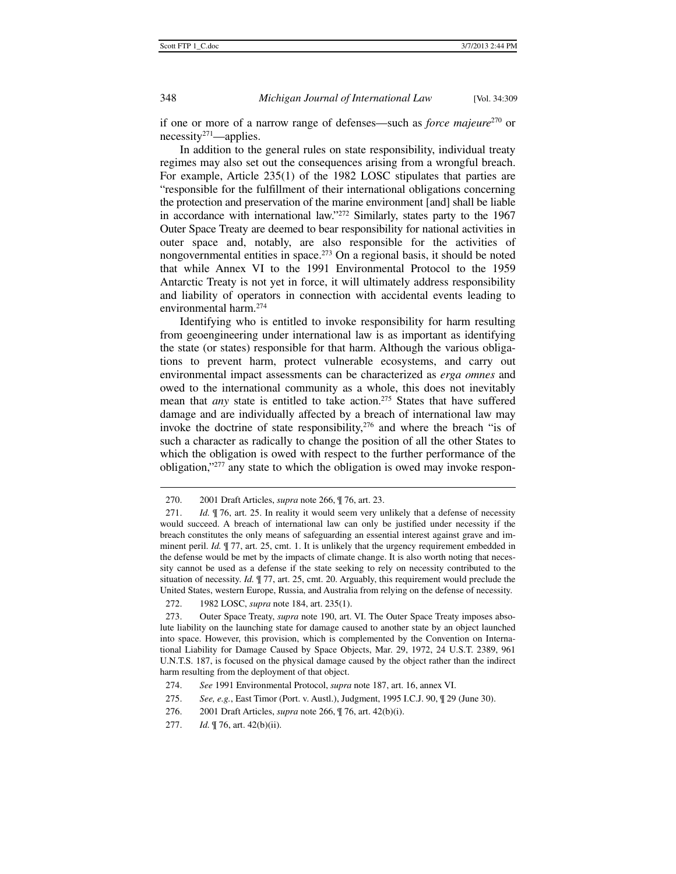if one or more of a narrow range of defenses—such as *force majeure*270 or necessity271—applies.

In addition to the general rules on state responsibility, individual treaty regimes may also set out the consequences arising from a wrongful breach. For example, Article 235(1) of the 1982 LOSC stipulates that parties are "responsible for the fulfillment of their international obligations concerning the protection and preservation of the marine environment [and] shall be liable in accordance with international law."272 Similarly, states party to the 1967 Outer Space Treaty are deemed to bear responsibility for national activities in outer space and, notably, are also responsible for the activities of nongovernmental entities in space.<sup>273</sup> On a regional basis, it should be noted that while Annex VI to the 1991 Environmental Protocol to the 1959 Antarctic Treaty is not yet in force, it will ultimately address responsibility and liability of operators in connection with accidental events leading to environmental harm.274

Identifying who is entitled to invoke responsibility for harm resulting from geoengineering under international law is as important as identifying the state (or states) responsible for that harm. Although the various obligations to prevent harm, protect vulnerable ecosystems, and carry out environmental impact assessments can be characterized as *erga omnes* and owed to the international community as a whole, this does not inevitably mean that *any* state is entitled to take action.<sup>275</sup> States that have suffered damage and are individually affected by a breach of international law may invoke the doctrine of state responsibility,  $276$  and where the breach "is of such a character as radically to change the position of all the other States to which the obligation is owed with respect to the further performance of the obligation,"277 any state to which the obligation is owed may invoke respon-

 <sup>270. 2001</sup> Draft Articles, *supra* note 266, ¶ 76, art. 23.

<sup>271.</sup> *Id.*  $\parallel$  76, art. 25. In reality it would seem very unlikely that a defense of necessity would succeed. A breach of international law can only be justified under necessity if the breach constitutes the only means of safeguarding an essential interest against grave and imminent peril. *Id.*  $\mathcal{F}$  77, art. 25, cmt. 1. It is unlikely that the urgency requirement embedded in the defense would be met by the impacts of climate change. It is also worth noting that necessity cannot be used as a defense if the state seeking to rely on necessity contributed to the situation of necessity. *Id.* ¶ 77, art. 25, cmt. 20. Arguably, this requirement would preclude the United States, western Europe, Russia, and Australia from relying on the defense of necessity.

 <sup>272. 1982</sup> LOSC, *supra* note 184, art. 235(1).

 <sup>273.</sup> Outer Space Treaty, *supra* note 190, art. VI. The Outer Space Treaty imposes absolute liability on the launching state for damage caused to another state by an object launched into space. However, this provision, which is complemented by the Convention on International Liability for Damage Caused by Space Objects, Mar. 29, 1972, 24 U.S.T. 2389, 961 U.N.T.S. 187, is focused on the physical damage caused by the object rather than the indirect harm resulting from the deployment of that object.

 <sup>274.</sup> *See* 1991 Environmental Protocol, *supra* note 187, art. 16, annex VI.

 <sup>275.</sup> *See, e.g.*, East Timor (Port. v. Austl.), Judgment, 1995 I.C.J. 90, ¶ 29 (June 30).

 <sup>276. 2001</sup> Draft Articles, *supra* note 266, ¶ 76, art. 42(b)(i).

 <sup>277.</sup> *Id.* ¶ 76, art. 42(b)(ii).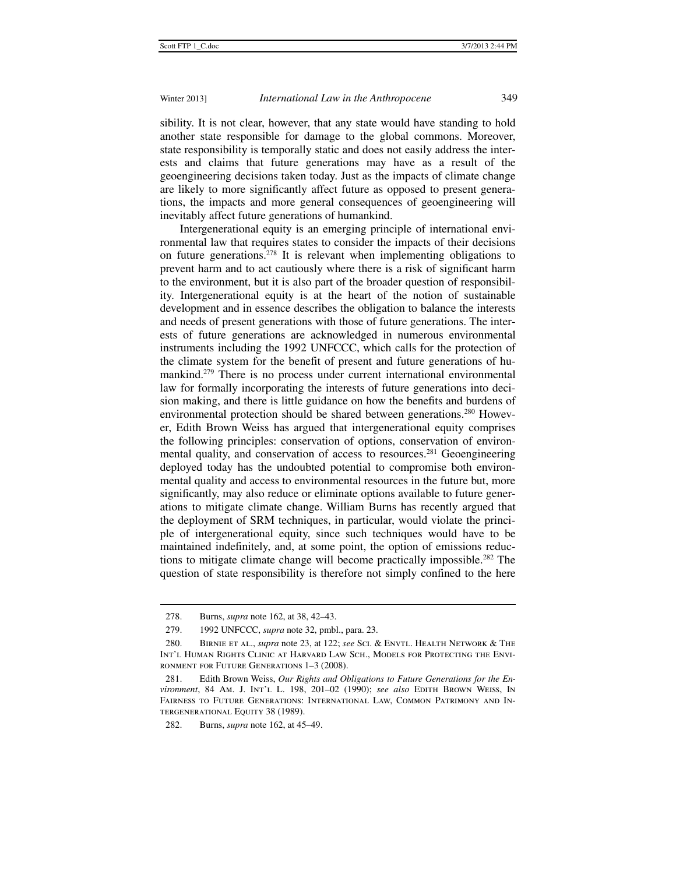sibility. It is not clear, however, that any state would have standing to hold another state responsible for damage to the global commons. Moreover, state responsibility is temporally static and does not easily address the interests and claims that future generations may have as a result of the geoengineering decisions taken today. Just as the impacts of climate change are likely to more significantly affect future as opposed to present generations, the impacts and more general consequences of geoengineering will inevitably affect future generations of humankind.

Intergenerational equity is an emerging principle of international environmental law that requires states to consider the impacts of their decisions on future generations.278 It is relevant when implementing obligations to prevent harm and to act cautiously where there is a risk of significant harm to the environment, but it is also part of the broader question of responsibility. Intergenerational equity is at the heart of the notion of sustainable development and in essence describes the obligation to balance the interests and needs of present generations with those of future generations. The interests of future generations are acknowledged in numerous environmental instruments including the 1992 UNFCCC, which calls for the protection of the climate system for the benefit of present and future generations of humankind.279 There is no process under current international environmental law for formally incorporating the interests of future generations into decision making, and there is little guidance on how the benefits and burdens of environmental protection should be shared between generations.<sup>280</sup> However, Edith Brown Weiss has argued that intergenerational equity comprises the following principles: conservation of options, conservation of environmental quality, and conservation of access to resources.<sup>281</sup> Geoengineering deployed today has the undoubted potential to compromise both environmental quality and access to environmental resources in the future but, more significantly, may also reduce or eliminate options available to future generations to mitigate climate change. William Burns has recently argued that the deployment of SRM techniques, in particular, would violate the principle of intergenerational equity, since such techniques would have to be maintained indefinitely, and, at some point, the option of emissions reductions to mitigate climate change will become practically impossible.282 The question of state responsibility is therefore not simply confined to the here

 <sup>278.</sup> Burns, *supra* note 162, at 38, 42–43.

 <sup>279. 1992</sup> UNFCCC, *supra* note 32, pmbl., para. 23.

 <sup>280.</sup> Birnie et al., *supra* note 23, at 122; *see* Sci. & Envtl. Health Network & The Int'l Human Rights Clinic at Harvard Law Sch., Models for Protecting the Environment for Future Generations 1–3 (2008).

 <sup>281.</sup> Edith Brown Weiss, *Our Rights and Obligations to Future Generations for the Environment*, 84 Am. J. Int'l L. 198, 201–02 (1990); *see also* Edith Brown Weiss, In Fairness to Future Generations: International Law, Common Patrimony and Intergenerational Equity 38 (1989).

 <sup>282.</sup> Burns, *supra* note 162, at 45–49.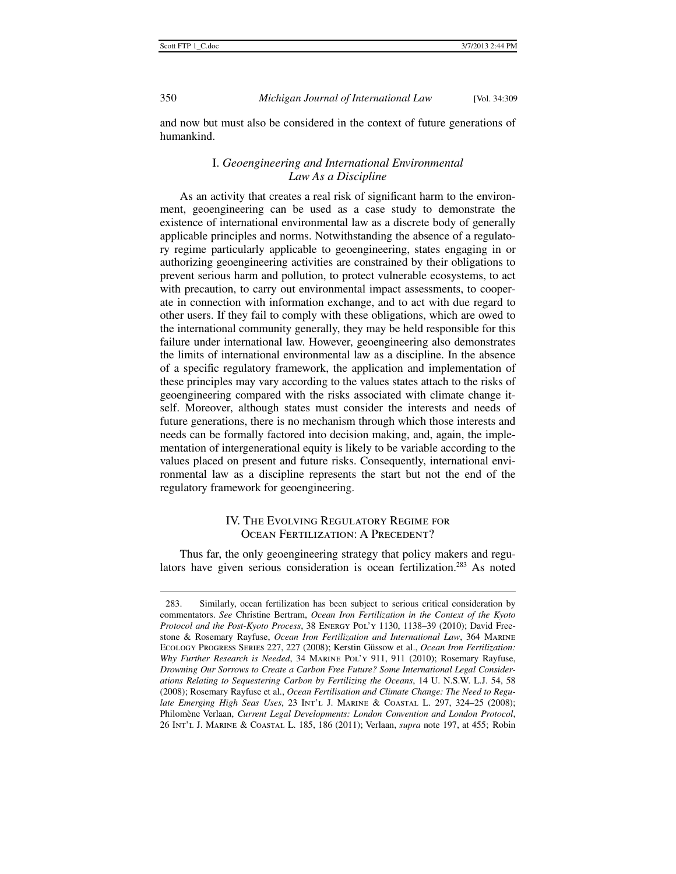350 *Michigan Journal of International Law* [Vol. 34:309

and now but must also be considered in the context of future generations of humankind.

# I. *Geoengineering and International Environmental Law As a Discipline*

As an activity that creates a real risk of significant harm to the environment, geoengineering can be used as a case study to demonstrate the existence of international environmental law as a discrete body of generally applicable principles and norms. Notwithstanding the absence of a regulatory regime particularly applicable to geoengineering, states engaging in or authorizing geoengineering activities are constrained by their obligations to prevent serious harm and pollution, to protect vulnerable ecosystems, to act with precaution, to carry out environmental impact assessments, to cooperate in connection with information exchange, and to act with due regard to other users. If they fail to comply with these obligations, which are owed to the international community generally, they may be held responsible for this failure under international law. However, geoengineering also demonstrates the limits of international environmental law as a discipline. In the absence of a specific regulatory framework, the application and implementation of these principles may vary according to the values states attach to the risks of geoengineering compared with the risks associated with climate change itself. Moreover, although states must consider the interests and needs of future generations, there is no mechanism through which those interests and needs can be formally factored into decision making, and, again, the implementation of intergenerational equity is likely to be variable according to the values placed on present and future risks. Consequently, international environmental law as a discipline represents the start but not the end of the regulatory framework for geoengineering.

# IV. The Evolving Regulatory Regime for OCEAN FERTILIZATION: A PRECEDENT?

Thus far, the only geoengineering strategy that policy makers and regulators have given serious consideration is ocean fertilization.283 As noted

 <sup>283.</sup> Similarly, ocean fertilization has been subject to serious critical consideration by commentators. *See* Christine Bertram, *Ocean Iron Fertilization in the Context of the Kyoto Protocol and the Post-Kyoto Process*, 38 Energy Pol'y 1130, 1138–39 (2010); David Freestone & Rosemary Rayfuse, *Ocean Iron Fertilization and International Law*, 364 Marine Ecology Progress Series 227, 227 (2008); Kerstin Güssow et al., *Ocean Iron Fertilization: Why Further Research is Needed*, 34 Marine Pol'y 911, 911 (2010); Rosemary Rayfuse, *Drowning Our Sorrows to Create a Carbon Free Future? Some International Legal Considerations Relating to Sequestering Carbon by Fertilizing the Oceans*, 14 U. N.S.W. L.J. 54, 58 (2008); Rosemary Rayfuse et al., *Ocean Fertilisation and Climate Change: The Need to Regulate Emerging High Seas Uses*, 23 Int'l J. Marine & Coastal L. 297, 324–25 (2008); Philomène Verlaan, *Current Legal Developments: London Convention and London Protocol*, 26 Int'l J. Marine & Coastal L. 185, 186 (2011); Verlaan, *supra* note 197, at 455; Robin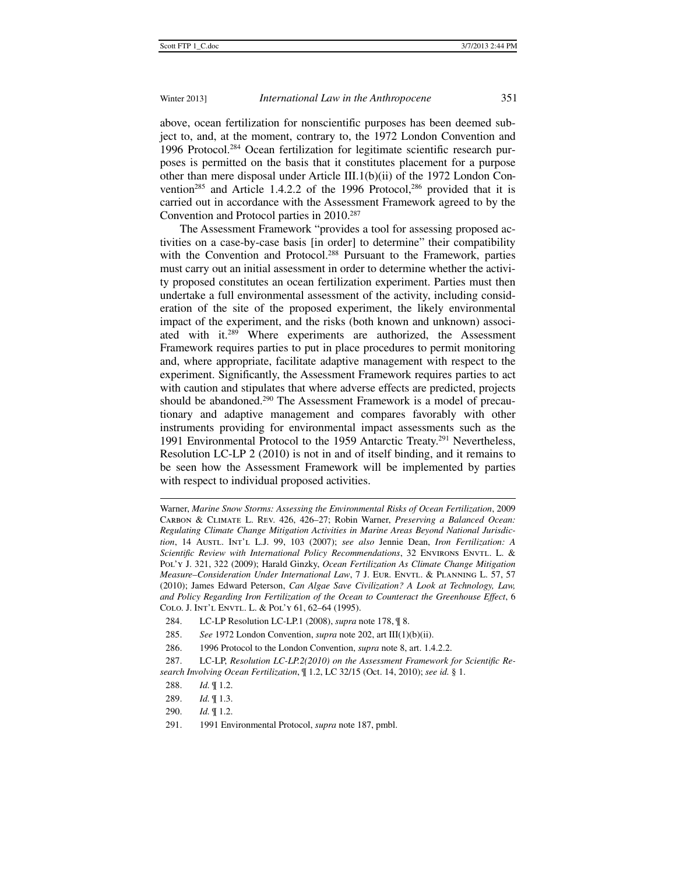above, ocean fertilization for nonscientific purposes has been deemed subject to, and, at the moment, contrary to, the 1972 London Convention and 1996 Protocol.284 Ocean fertilization for legitimate scientific research purposes is permitted on the basis that it constitutes placement for a purpose other than mere disposal under Article III.1(b)(ii) of the 1972 London Convention<sup>285</sup> and Article 1.4.2.2 of the 1996 Protocol,<sup>286</sup> provided that it is carried out in accordance with the Assessment Framework agreed to by the Convention and Protocol parties in 2010.287

The Assessment Framework "provides a tool for assessing proposed activities on a case-by-case basis [in order] to determine" their compatibility with the Convention and Protocol.<sup>288</sup> Pursuant to the Framework, parties must carry out an initial assessment in order to determine whether the activity proposed constitutes an ocean fertilization experiment. Parties must then undertake a full environmental assessment of the activity, including consideration of the site of the proposed experiment, the likely environmental impact of the experiment, and the risks (both known and unknown) associated with it.289 Where experiments are authorized, the Assessment Framework requires parties to put in place procedures to permit monitoring and, where appropriate, facilitate adaptive management with respect to the experiment. Significantly, the Assessment Framework requires parties to act with caution and stipulates that where adverse effects are predicted, projects should be abandoned.<sup>290</sup> The Assessment Framework is a model of precautionary and adaptive management and compares favorably with other instruments providing for environmental impact assessments such as the 1991 Environmental Protocol to the 1959 Antarctic Treaty.<sup>291</sup> Nevertheless, Resolution LC-LP 2 (2010) is not in and of itself binding, and it remains to be seen how the Assessment Framework will be implemented by parties with respect to individual proposed activities.

 $\ddot{ }$ Warner, *Marine Snow Storms: Assessing the Environmental Risks of Ocean Fertilization*, 2009 Carbon & Climate L. Rev. 426, 426–27; Robin Warner, *Preserving a Balanced Ocean: Regulating Climate Change Mitigation Activities in Marine Areas Beyond National Jurisdiction*, 14 AustL. INT'L L.J. 99, 103 (2007); see also Jennie Dean, Iron Fertilization: A *Scientific Review with International Policy Recommendations*, 32 Environs Envtl. L. & Pol'y J. 321, 322 (2009); Harald Ginzky, *Ocean Fertilization As Climate Change Mitigation Measure–Consideration Under International Law, 7 J. EUR. ENVTL. & PLANNING L. 57, 57* (2010); James Edward Peterson, *Can Algae Save Civilization? A Look at Technology, Law, and Policy Regarding Iron Fertilization of the Ocean to Counteract the Greenhouse Effect*, 6 Colo. J. Int'l Envtl. L. & Pol'y 61, 62–64 (1995).

 <sup>284.</sup> LC-LP Resolution LC-LP.1 (2008), *supra* note 178, ¶ 8.

 <sup>285.</sup> *See* 1972 London Convention, *supra* note 202, art III(1)(b)(ii).

 <sup>286. 1996</sup> Protocol to the London Convention, *supra* note 8, art. 1.4.2.2.

 <sup>287.</sup> LC-LP, *Resolution LC-LP.2(2010) on the Assessment Framework for Scientific Research Involving Ocean Fertilization*, ¶ 1.2, LC 32/15 (Oct. 14, 2010); *see id.* § 1.

 <sup>288.</sup> *Id.* ¶ 1.2.

 <sup>289.</sup> *Id.* ¶ 1.3.

 <sup>290.</sup> *Id.* ¶ 1.2.

 <sup>291. 1991</sup> Environmental Protocol, *supra* note 187, pmbl.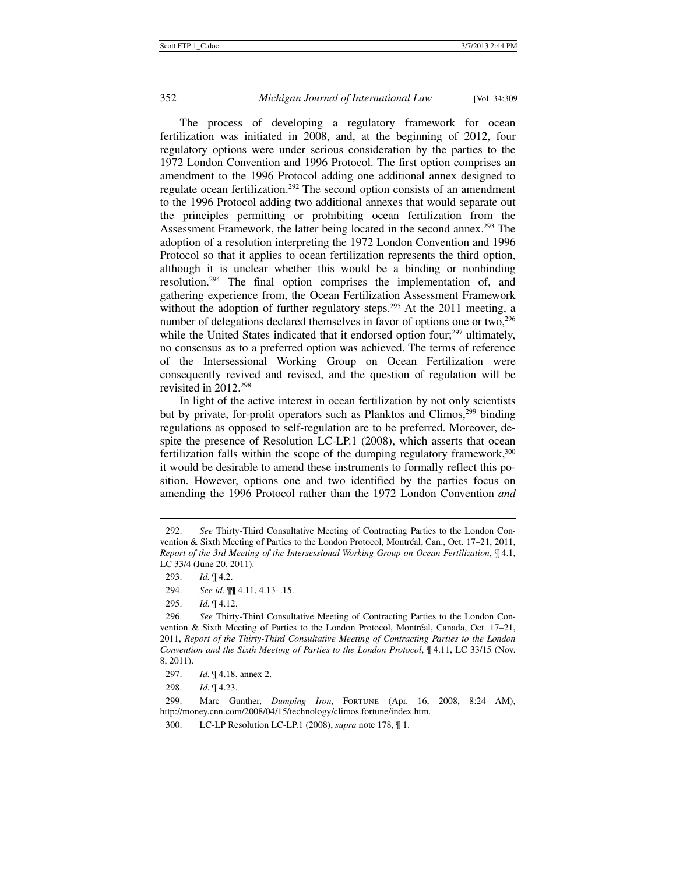The process of developing a regulatory framework for ocean fertilization was initiated in 2008, and, at the beginning of 2012, four regulatory options were under serious consideration by the parties to the 1972 London Convention and 1996 Protocol. The first option comprises an amendment to the 1996 Protocol adding one additional annex designed to regulate ocean fertilization.<sup>292</sup> The second option consists of an amendment to the 1996 Protocol adding two additional annexes that would separate out the principles permitting or prohibiting ocean fertilization from the Assessment Framework, the latter being located in the second annex.<sup>293</sup> The adoption of a resolution interpreting the 1972 London Convention and 1996 Protocol so that it applies to ocean fertilization represents the third option, although it is unclear whether this would be a binding or nonbinding resolution.294 The final option comprises the implementation of, and gathering experience from, the Ocean Fertilization Assessment Framework without the adoption of further regulatory steps.<sup>295</sup> At the 2011 meeting, a number of delegations declared themselves in favor of options one or two,<sup>296</sup> while the United States indicated that it endorsed option four;<sup>297</sup> ultimately, no consensus as to a preferred option was achieved. The terms of reference of the Intersessional Working Group on Ocean Fertilization were consequently revived and revised, and the question of regulation will be revisited in 2012.298

In light of the active interest in ocean fertilization by not only scientists but by private, for-profit operators such as Planktos and Climos,299 binding regulations as opposed to self-regulation are to be preferred. Moreover, despite the presence of Resolution LC-LP.1 (2008), which asserts that ocean fertilization falls within the scope of the dumping regulatory framework,300 it would be desirable to amend these instruments to formally reflect this position. However, options one and two identified by the parties focus on amending the 1996 Protocol rather than the 1972 London Convention *and*

 <sup>292.</sup> *See* Thirty-Third Consultative Meeting of Contracting Parties to the London Convention & Sixth Meeting of Parties to the London Protocol, Montréal, Can., Oct. 17–21, 2011, *Report of the 3rd Meeting of the Intersessional Working Group on Ocean Fertilization*, ¶ 4.1, LC 33/4 (June 20, 2011).

 <sup>293.</sup> *Id.* ¶ 4.2.

 <sup>294.</sup> *See id.* ¶¶ 4.11, 4.13–.15.

 <sup>295.</sup> *Id.* ¶ 4.12.

 <sup>296.</sup> *See* Thirty-Third Consultative Meeting of Contracting Parties to the London Convention & Sixth Meeting of Parties to the London Protocol, Montréal, Canada, Oct. 17–21, 2011, *Report of the Thirty-Third Consultative Meeting of Contracting Parties to the London Convention and the Sixth Meeting of Parties to the London Protocol*, ¶ 4.11, LC 33/15 (Nov. 8, 2011).

 <sup>297.</sup> *Id.* ¶ 4.18, annex 2.

 <sup>298.</sup> *Id.* ¶ 4.23.

 <sup>299.</sup> Marc Gunther, *Dumping Iron*, Fortune (Apr. 16, 2008, 8:24 AM), http://money.cnn.com/2008/04/15/technology/climos.fortune/index.htm.

 <sup>300.</sup> LC-LP Resolution LC-LP.1 (2008), *supra* note 178, ¶ 1.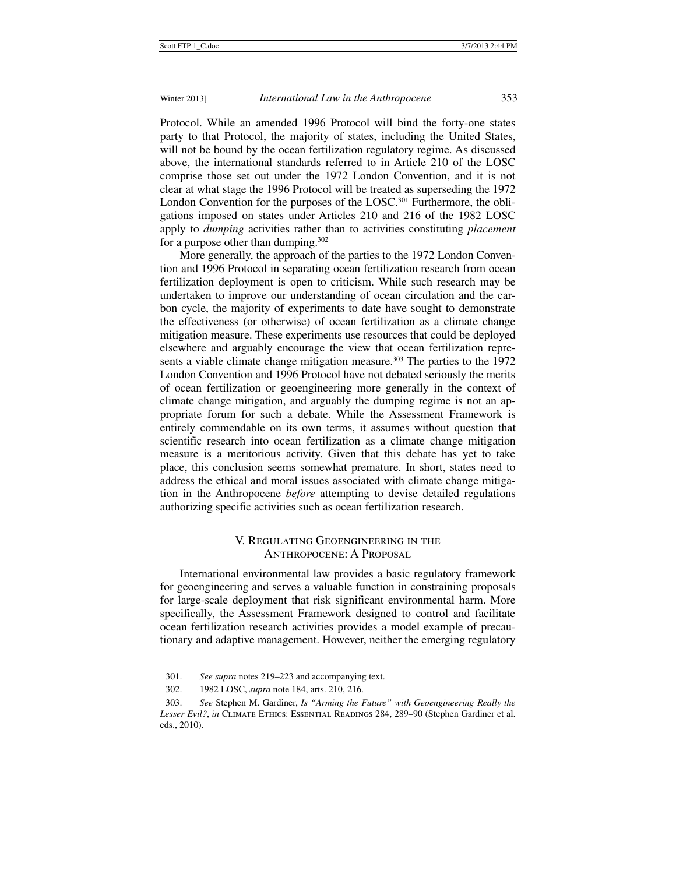Protocol. While an amended 1996 Protocol will bind the forty-one states party to that Protocol, the majority of states, including the United States, will not be bound by the ocean fertilization regulatory regime. As discussed above, the international standards referred to in Article 210 of the LOSC comprise those set out under the 1972 London Convention, and it is not clear at what stage the 1996 Protocol will be treated as superseding the 1972 London Convention for the purposes of the LOSC.<sup>301</sup> Furthermore, the obligations imposed on states under Articles 210 and 216 of the 1982 LOSC apply to *dumping* activities rather than to activities constituting *placement* for a purpose other than dumping.<sup>302</sup>

More generally, the approach of the parties to the 1972 London Convention and 1996 Protocol in separating ocean fertilization research from ocean fertilization deployment is open to criticism. While such research may be undertaken to improve our understanding of ocean circulation and the carbon cycle, the majority of experiments to date have sought to demonstrate the effectiveness (or otherwise) of ocean fertilization as a climate change mitigation measure. These experiments use resources that could be deployed elsewhere and arguably encourage the view that ocean fertilization represents a viable climate change mitigation measure.<sup>303</sup> The parties to the 1972 London Convention and 1996 Protocol have not debated seriously the merits of ocean fertilization or geoengineering more generally in the context of climate change mitigation, and arguably the dumping regime is not an appropriate forum for such a debate. While the Assessment Framework is entirely commendable on its own terms, it assumes without question that scientific research into ocean fertilization as a climate change mitigation measure is a meritorious activity. Given that this debate has yet to take place, this conclusion seems somewhat premature. In short, states need to address the ethical and moral issues associated with climate change mitigation in the Anthropocene *before* attempting to devise detailed regulations authorizing specific activities such as ocean fertilization research.

# V. Regulating Geoengineering in the Anthropocene: A Proposal

International environmental law provides a basic regulatory framework for geoengineering and serves a valuable function in constraining proposals for large-scale deployment that risk significant environmental harm. More specifically, the Assessment Framework designed to control and facilitate ocean fertilization research activities provides a model example of precautionary and adaptive management. However, neither the emerging regulatory

 <sup>301.</sup> *See supra* notes 219–223 and accompanying text.

 <sup>302. 1982</sup> LOSC, *supra* note 184, arts. 210, 216.

 <sup>303.</sup> *See* Stephen M. Gardiner, *Is "Arming the Future" with Geoengineering Really the Lesser Evil?*, *in* Climate Ethics: Essential Readings 284, 289–90 (Stephen Gardiner et al. eds., 2010).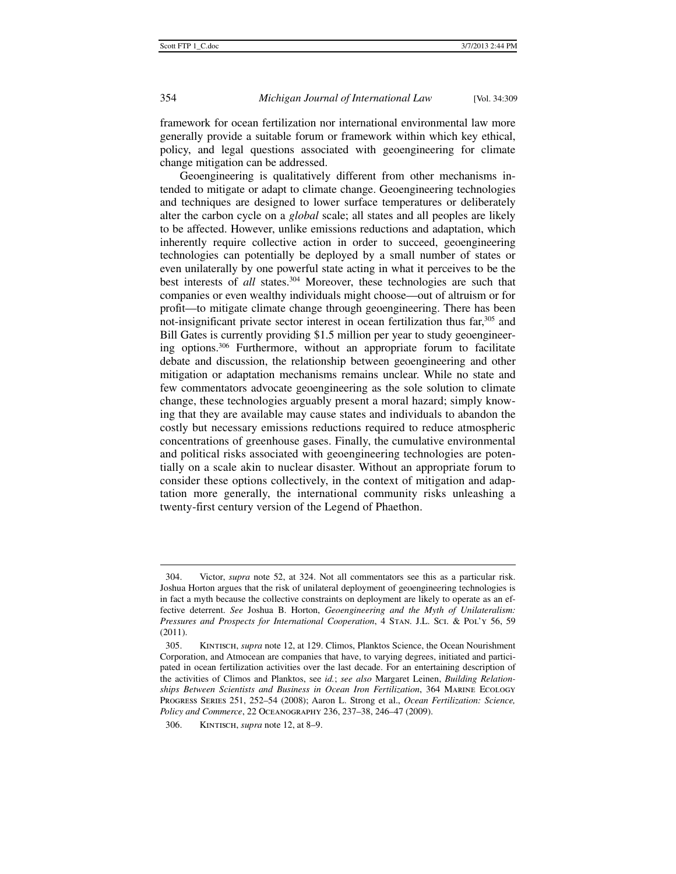framework for ocean fertilization nor international environmental law more generally provide a suitable forum or framework within which key ethical, policy, and legal questions associated with geoengineering for climate change mitigation can be addressed.

Geoengineering is qualitatively different from other mechanisms intended to mitigate or adapt to climate change. Geoengineering technologies and techniques are designed to lower surface temperatures or deliberately alter the carbon cycle on a *global* scale; all states and all peoples are likely to be affected. However, unlike emissions reductions and adaptation, which inherently require collective action in order to succeed, geoengineering technologies can potentially be deployed by a small number of states or even unilaterally by one powerful state acting in what it perceives to be the best interests of *all* states.<sup>304</sup> Moreover, these technologies are such that companies or even wealthy individuals might choose—out of altruism or for profit—to mitigate climate change through geoengineering. There has been not-insignificant private sector interest in ocean fertilization thus far,<sup>305</sup> and Bill Gates is currently providing \$1.5 million per year to study geoengineering options.306 Furthermore, without an appropriate forum to facilitate debate and discussion, the relationship between geoengineering and other mitigation or adaptation mechanisms remains unclear. While no state and few commentators advocate geoengineering as the sole solution to climate change, these technologies arguably present a moral hazard; simply knowing that they are available may cause states and individuals to abandon the costly but necessary emissions reductions required to reduce atmospheric concentrations of greenhouse gases. Finally, the cumulative environmental and political risks associated with geoengineering technologies are potentially on a scale akin to nuclear disaster. Without an appropriate forum to consider these options collectively, in the context of mitigation and adaptation more generally, the international community risks unleashing a twenty-first century version of the Legend of Phaethon.

 <sup>304.</sup> Victor, *supra* note 52, at 324. Not all commentators see this as a particular risk. Joshua Horton argues that the risk of unilateral deployment of geoengineering technologies is in fact a myth because the collective constraints on deployment are likely to operate as an effective deterrent. *See* Joshua B. Horton, *Geoengineering and the Myth of Unilateralism: Pressures and Prospects for International Cooperation*, 4 Stan. J.L. Sci. & Pol'y 56, 59 (2011).

 <sup>305.</sup> Kintisch, *supra* note 12, at 129. Climos, Planktos Science, the Ocean Nourishment Corporation, and Atmocean are companies that have, to varying degrees, initiated and participated in ocean fertilization activities over the last decade. For an entertaining description of the activities of Climos and Planktos, see *id.*; *see also* Margaret Leinen, *Building Relationships Between Scientists and Business in Ocean Iron Fertilization*, 364 Marine Ecology Progress Series 251, 252–54 (2008); Aaron L. Strong et al., *Ocean Fertilization: Science, Policy and Commerce*, 22 Oceanography 236, 237–38, 246–47 (2009).

 <sup>306.</sup> Kintisch, *supra* note 12, at 8–9.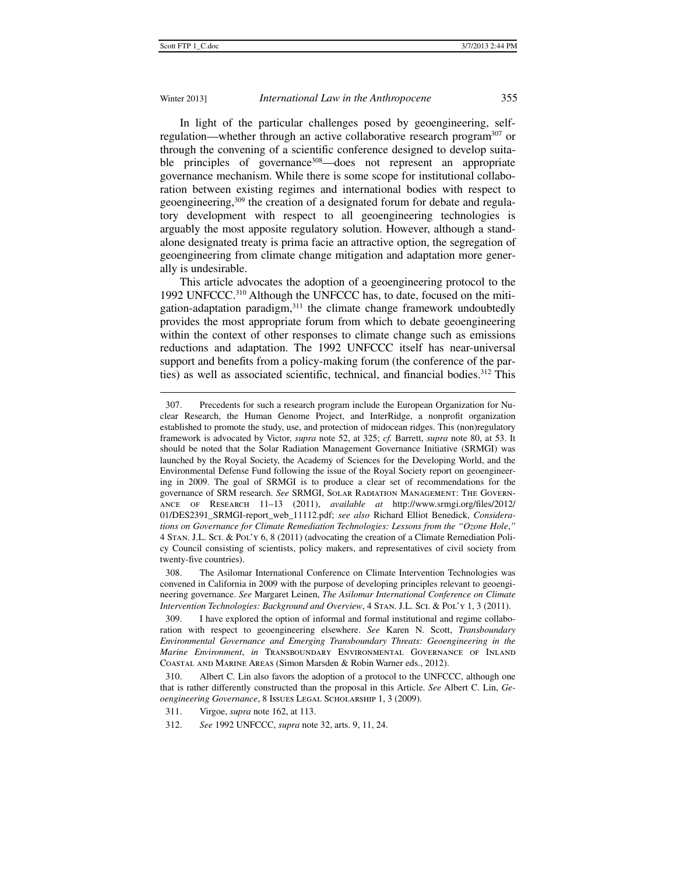### Winter 2013] *International Law in the Anthropocene* 355

In light of the particular challenges posed by geoengineering, selfregulation—whether through an active collaborative research program<sup>307</sup> or through the convening of a scientific conference designed to develop suitable principles of governance<sup>308</sup>—does not represent an appropriate governance mechanism. While there is some scope for institutional collaboration between existing regimes and international bodies with respect to geoengineering,309 the creation of a designated forum for debate and regulatory development with respect to all geoengineering technologies is arguably the most apposite regulatory solution. However, although a standalone designated treaty is prima facie an attractive option, the segregation of geoengineering from climate change mitigation and adaptation more generally is undesirable.

This article advocates the adoption of a geoengineering protocol to the 1992 UNFCCC.310 Although the UNFCCC has, to date, focused on the mitigation-adaptation paradigm, $311$  the climate change framework undoubtedly provides the most appropriate forum from which to debate geoengineering within the context of other responses to climate change such as emissions reductions and adaptation. The 1992 UNFCCC itself has near-universal support and benefits from a policy-making forum (the conference of the parties) as well as associated scientific, technical, and financial bodies.<sup>312</sup> This

 <sup>307.</sup> Precedents for such a research program include the European Organization for Nuclear Research, the Human Genome Project, and InterRidge, a nonprofit organization established to promote the study, use, and protection of midocean ridges. This (non)regulatory framework is advocated by Victor, *supra* note 52, at 325; *cf.* Barrett, *supra* note 80, at 53. It should be noted that the Solar Radiation Management Governance Initiative (SRMGI) was launched by the Royal Society, the Academy of Sciences for the Developing World, and the Environmental Defense Fund following the issue of the Royal Society report on geoengineering in 2009. The goal of SRMGI is to produce a clear set of recommendations for the governance of SRM research. *See* SRMGI, Solar Radiation Management: The Governance of Research 11–13 (2011), *available at* http://www.srmgi.org/files/2012/ 01/DES2391\_SRMGI-report\_web\_11112.pdf; *see also* Richard Elliot Benedick, *Considerations on Governance for Climate Remediation Technologies: Lessons from the "Ozone Hole*,*"* 4 Stan. J.L. Sci. & Pol'y 6, 8 (2011) (advocating the creation of a Climate Remediation Policy Council consisting of scientists, policy makers, and representatives of civil society from twenty-five countries).

 <sup>308.</sup> The Asilomar International Conference on Climate Intervention Technologies was convened in California in 2009 with the purpose of developing principles relevant to geoengineering governance. *See* Margaret Leinen, *The Asilomar International Conference on Climate Intervention Technologies: Background and Overview*, 4 Stan. J.L. Sci. & Pol'y 1, 3 (2011).

 <sup>309.</sup> I have explored the option of informal and formal institutional and regime collaboration with respect to geoengineering elsewhere. *See* Karen N. Scott, *Transboundary Environmental Governance and Emerging Transboundary Threats: Geoengineering in the Marine Environment*, *in* Transboundary Environmental Governance of Inland Coastal and Marine Areas (Simon Marsden & Robin Warner eds., 2012).

 <sup>310.</sup> Albert C. Lin also favors the adoption of a protocol to the UNFCCC, although one that is rather differently constructed than the proposal in this Article. *See* Albert C. Lin, *Geoengineering Governance*, 8 Issues Legal Scholarship 1, 3 (2009).

 <sup>311.</sup> Virgoe, *supra* note 162, at 113.

 <sup>312.</sup> *See* 1992 UNFCCC, *supra* note 32, arts. 9, 11, 24.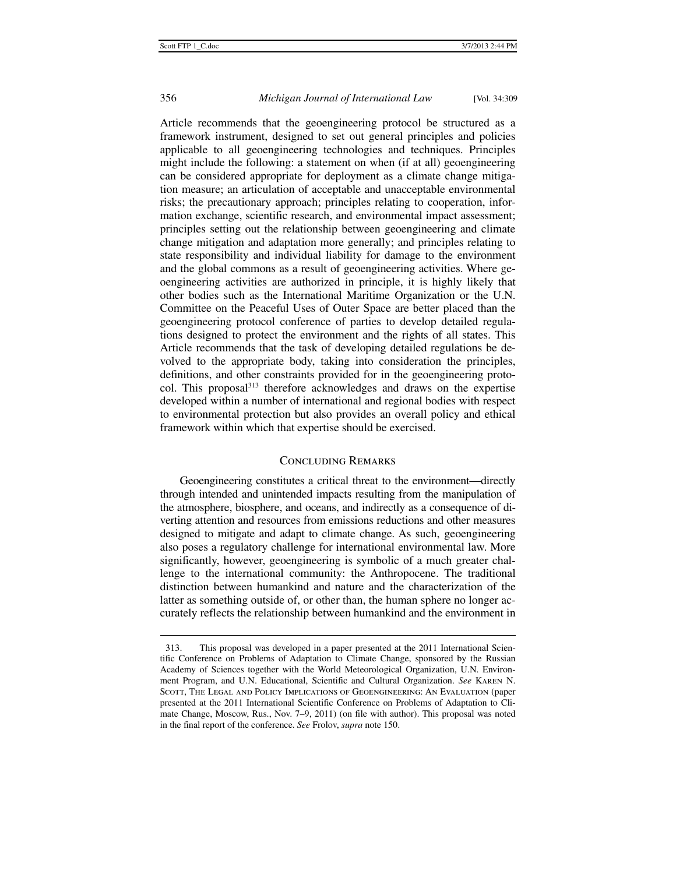j

### 356 *Michigan Journal of International Law* [Vol. 34:309

Article recommends that the geoengineering protocol be structured as a framework instrument, designed to set out general principles and policies applicable to all geoengineering technologies and techniques. Principles might include the following: a statement on when (if at all) geoengineering can be considered appropriate for deployment as a climate change mitigation measure; an articulation of acceptable and unacceptable environmental risks; the precautionary approach; principles relating to cooperation, information exchange, scientific research, and environmental impact assessment; principles setting out the relationship between geoengineering and climate change mitigation and adaptation more generally; and principles relating to state responsibility and individual liability for damage to the environment and the global commons as a result of geoengineering activities. Where geoengineering activities are authorized in principle, it is highly likely that other bodies such as the International Maritime Organization or the U.N. Committee on the Peaceful Uses of Outer Space are better placed than the geoengineering protocol conference of parties to develop detailed regulations designed to protect the environment and the rights of all states. This Article recommends that the task of developing detailed regulations be devolved to the appropriate body, taking into consideration the principles, definitions, and other constraints provided for in the geoengineering protocol. This proposal<sup>313</sup> therefore acknowledges and draws on the expertise developed within a number of international and regional bodies with respect to environmental protection but also provides an overall policy and ethical framework within which that expertise should be exercised.

# Concluding Remarks

Geoengineering constitutes a critical threat to the environment—directly through intended and unintended impacts resulting from the manipulation of the atmosphere, biosphere, and oceans, and indirectly as a consequence of diverting attention and resources from emissions reductions and other measures designed to mitigate and adapt to climate change. As such, geoengineering also poses a regulatory challenge for international environmental law. More significantly, however, geoengineering is symbolic of a much greater challenge to the international community: the Anthropocene. The traditional distinction between humankind and nature and the characterization of the latter as something outside of, or other than, the human sphere no longer accurately reflects the relationship between humankind and the environment in

 <sup>313.</sup> This proposal was developed in a paper presented at the 2011 International Scientific Conference on Problems of Adaptation to Climate Change, sponsored by the Russian Academy of Sciences together with the World Meteorological Organization, U.N. Environment Program, and U.N. Educational, Scientific and Cultural Organization. *See* Karen N. Scott, The Legal and Policy Implications of Geoengineering: An Evaluation (paper presented at the 2011 International Scientific Conference on Problems of Adaptation to Climate Change, Moscow, Rus., Nov. 7–9, 2011) (on file with author). This proposal was noted in the final report of the conference. *See* Frolov, *supra* note 150.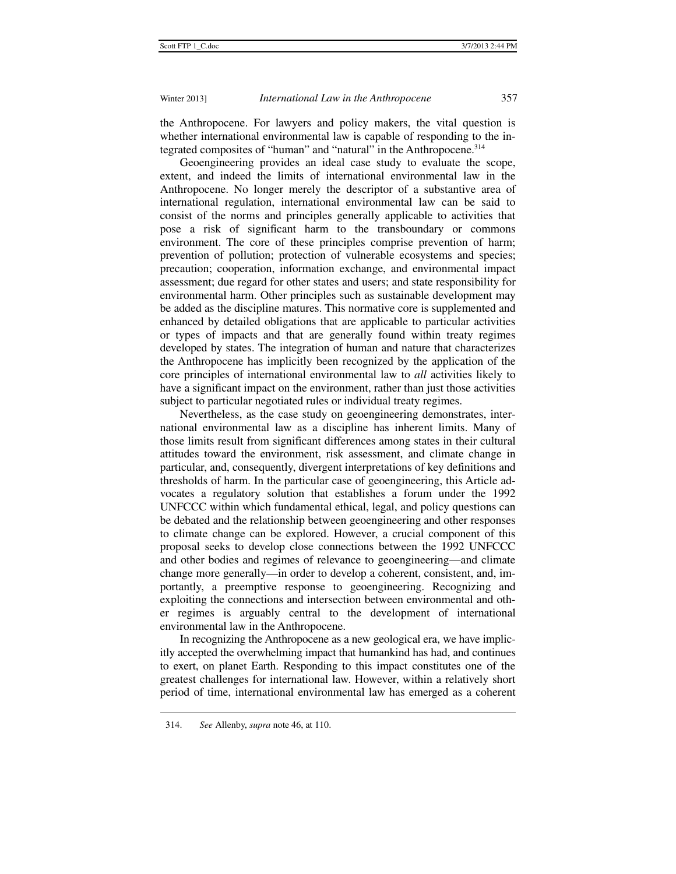the Anthropocene. For lawyers and policy makers, the vital question is whether international environmental law is capable of responding to the integrated composites of "human" and "natural" in the Anthropocene.314

Geoengineering provides an ideal case study to evaluate the scope, extent, and indeed the limits of international environmental law in the Anthropocene. No longer merely the descriptor of a substantive area of international regulation, international environmental law can be said to consist of the norms and principles generally applicable to activities that pose a risk of significant harm to the transboundary or commons environment. The core of these principles comprise prevention of harm; prevention of pollution; protection of vulnerable ecosystems and species; precaution; cooperation, information exchange, and environmental impact assessment; due regard for other states and users; and state responsibility for environmental harm. Other principles such as sustainable development may be added as the discipline matures. This normative core is supplemented and enhanced by detailed obligations that are applicable to particular activities or types of impacts and that are generally found within treaty regimes developed by states. The integration of human and nature that characterizes the Anthropocene has implicitly been recognized by the application of the core principles of international environmental law to *all* activities likely to have a significant impact on the environment, rather than just those activities subject to particular negotiated rules or individual treaty regimes.

Nevertheless, as the case study on geoengineering demonstrates, international environmental law as a discipline has inherent limits. Many of those limits result from significant differences among states in their cultural attitudes toward the environment, risk assessment, and climate change in particular, and, consequently, divergent interpretations of key definitions and thresholds of harm. In the particular case of geoengineering, this Article advocates a regulatory solution that establishes a forum under the 1992 UNFCCC within which fundamental ethical, legal, and policy questions can be debated and the relationship between geoengineering and other responses to climate change can be explored. However, a crucial component of this proposal seeks to develop close connections between the 1992 UNFCCC and other bodies and regimes of relevance to geoengineering—and climate change more generally—in order to develop a coherent, consistent, and, importantly, a preemptive response to geoengineering. Recognizing and exploiting the connections and intersection between environmental and other regimes is arguably central to the development of international environmental law in the Anthropocene.

In recognizing the Anthropocene as a new geological era, we have implicitly accepted the overwhelming impact that humankind has had, and continues to exert, on planet Earth. Responding to this impact constitutes one of the greatest challenges for international law. However, within a relatively short period of time, international environmental law has emerged as a coherent

 <sup>314.</sup> *See* Allenby, *supra* note 46, at 110.